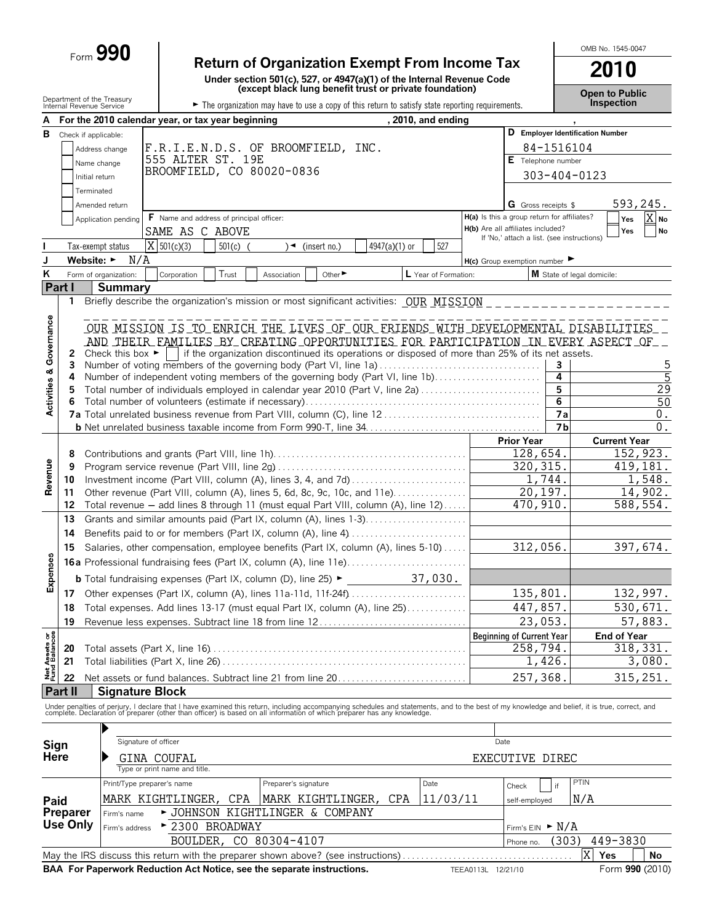# Form **990 Return of Organization Exempt From Income Tax**

**Under section 501(c), 527, or 4947(a)(1) of the Internal Revenue Code (except black lung benefit trust or private foundation)**

**Open to Public**

OMB No. 1545-0047

**2010**

|                                                                               | Department of the Treasury<br>Internal Revenue Service |                            |                                                               | (except black lung benent trust or private loundation)                                                                                                                                                                            |                      |                                             |                | <b>Open to Public</b><br>Inspection |
|-------------------------------------------------------------------------------|--------------------------------------------------------|----------------------------|---------------------------------------------------------------|-----------------------------------------------------------------------------------------------------------------------------------------------------------------------------------------------------------------------------------|----------------------|---------------------------------------------|----------------|-------------------------------------|
|                                                                               |                                                        |                            |                                                               | The organization may have to use a copy of this return to satisfy state reporting requirements.                                                                                                                                   |                      |                                             |                |                                     |
|                                                                               |                                                        |                            | For the 2010 calendar year, or tax year beginning             |                                                                                                                                                                                                                                   | , 2010, and ending   |                                             |                |                                     |
| в                                                                             | Check if applicable:                                   |                            |                                                               |                                                                                                                                                                                                                                   |                      |                                             |                | D Employer Identification Number    |
|                                                                               |                                                        | Address change             |                                                               | F.R.I.E.N.D.S. OF BROOMFIELD, INC.                                                                                                                                                                                                |                      |                                             | 84-1516104     |                                     |
|                                                                               |                                                        | Name change                | 555 ALTER ST. 19E<br>BROOMFIELD, CO 80020-0836                |                                                                                                                                                                                                                                   |                      | E Telephone number                          |                |                                     |
|                                                                               | Initial return                                         |                            |                                                               |                                                                                                                                                                                                                                   |                      |                                             | 303-404-0123   |                                     |
|                                                                               | Terminated                                             |                            |                                                               |                                                                                                                                                                                                                                   |                      |                                             |                |                                     |
|                                                                               |                                                        | Amended return             |                                                               |                                                                                                                                                                                                                                   |                      | <b>G</b> Gross receipts \$                  |                | 593,245.                            |
|                                                                               |                                                        | Application pending        | F Name and address of principal officer:                      |                                                                                                                                                                                                                                   |                      | H(a) Is this a group return for affiliates? |                | X No<br>Yes                         |
|                                                                               |                                                        |                            | SAME AS C ABOVE                                               |                                                                                                                                                                                                                                   |                      | H(b) Are all affiliates included?           |                | Yes<br>No                           |
|                                                                               |                                                        | Tax-exempt status          | $X$ 501(c)(3)<br>501(c)                                       | $\rightarrow$ (insert no.)                                                                                                                                                                                                        | 527<br>4947(a)(1) or | If 'No,' attach a list. (see instructions)  |                |                                     |
| J                                                                             | Website: $\blacktriangleright$                         | N/A                        |                                                               |                                                                                                                                                                                                                                   |                      | $H(c)$ Group exemption number               |                |                                     |
| Κ                                                                             |                                                        | Form of organization:      | Trust<br>Corporation                                          | Other ►                                                                                                                                                                                                                           | L Year of Formation: |                                             |                | M State of legal domicile:          |
|                                                                               | Part I                                                 | <b>Summary</b>             |                                                               | Association                                                                                                                                                                                                                       |                      |                                             |                |                                     |
|                                                                               | 1                                                      |                            |                                                               | Briefly describe the organization's mission or most significant activities: OUR MISSION                                                                                                                                           |                      |                                             |                |                                     |
|                                                                               |                                                        |                            |                                                               |                                                                                                                                                                                                                                   |                      |                                             |                |                                     |
| Activities & Governance                                                       |                                                        |                            |                                                               |                                                                                                                                                                                                                                   |                      |                                             |                |                                     |
|                                                                               |                                                        |                            |                                                               | OUR MISSION IS TO ENRICH THE LIVES OF QUR ERIENDS WITH DEVELOPMENTAL DISABILITIES                                                                                                                                                 |                      |                                             |                |                                     |
|                                                                               |                                                        |                            |                                                               | AND THEIR FAMILIES BY CREATING OPPORTUNITIES FOR PARTICIPATION IN EVERY ASPECT OF                                                                                                                                                 |                      |                                             |                |                                     |
|                                                                               | $\mathbf{2}$<br>3                                      |                            |                                                               | Check this box $\blacktriangleright$   if the organization discontinued its operations or disposed of more than 25% of its net assets.<br>Number of voting members of the governing body (Part VI, line 1a)                       |                      |                                             | 3              | 5                                   |
|                                                                               | 4                                                      |                            |                                                               | Number of independent voting members of the governing body (Part VI, line 1b)                                                                                                                                                     |                      |                                             | 4              | 5                                   |
|                                                                               | 5                                                      |                            |                                                               | Total number of individuals employed in calendar year 2010 (Part V, line 2a)                                                                                                                                                      |                      |                                             | 5              | 29                                  |
|                                                                               | 6                                                      |                            |                                                               |                                                                                                                                                                                                                                   |                      |                                             | 6              | 50                                  |
|                                                                               |                                                        |                            |                                                               |                                                                                                                                                                                                                                   |                      |                                             | <b>7a</b>      | 0.                                  |
|                                                                               |                                                        |                            |                                                               |                                                                                                                                                                                                                                   |                      |                                             | 7 <sub>b</sub> | $\overline{0}$ .                    |
|                                                                               |                                                        |                            |                                                               |                                                                                                                                                                                                                                   |                      | <b>Prior Year</b>                           |                | <b>Current Year</b>                 |
|                                                                               | 8                                                      |                            |                                                               |                                                                                                                                                                                                                                   |                      | 128,654.                                    |                | $\overline{15}$ 2, 923.             |
|                                                                               | 9                                                      |                            |                                                               | 320, 315.                                                                                                                                                                                                                         |                      | 419,181.                                    |                |                                     |
| Revenue                                                                       | 10                                                     |                            | Investment income (Part VIII, column (A), lines 3, 4, and 7d) | 1,744.                                                                                                                                                                                                                            |                      | 1,548.                                      |                |                                     |
|                                                                               | 11                                                     |                            |                                                               | Other revenue (Part VIII, column (A), lines 5, 6d, 8c, 9c, 10c, and 11e)                                                                                                                                                          |                      | 20,197.                                     |                | 14,902.                             |
|                                                                               | 12                                                     |                            |                                                               | Total revenue - add lines 8 through 11 (must equal Part VIII, column (A), line 12)                                                                                                                                                |                      | 470,910.                                    |                | 588,554.                            |
|                                                                               | 13                                                     |                            |                                                               | Grants and similar amounts paid (Part IX, column (A), lines 1-3)                                                                                                                                                                  |                      |                                             |                |                                     |
|                                                                               | 14                                                     |                            |                                                               |                                                                                                                                                                                                                                   |                      |                                             |                |                                     |
|                                                                               | 15                                                     |                            |                                                               | Salaries, other compensation, employee benefits (Part IX, column (A), lines 5-10)                                                                                                                                                 |                      | 312,056.                                    |                | 397,674.                            |
|                                                                               |                                                        |                            |                                                               |                                                                                                                                                                                                                                   |                      |                                             |                |                                     |
| Expenses                                                                      |                                                        |                            |                                                               |                                                                                                                                                                                                                                   |                      |                                             |                |                                     |
|                                                                               |                                                        |                            |                                                               | <b>b</b> Total fundraising expenses (Part IX, column (D), line 25) $\blacktriangleright$                                                                                                                                          | 37,030.              |                                             |                |                                     |
|                                                                               |                                                        |                            |                                                               |                                                                                                                                                                                                                                   |                      | 135,801.                                    |                | 132,997.                            |
|                                                                               | 18                                                     |                            |                                                               | Total expenses. Add lines 13-17 (must equal Part IX, column (A), line 25)                                                                                                                                                         |                      | 447,857.                                    |                | 530,671.                            |
|                                                                               | 19                                                     |                            |                                                               | Revenue less expenses. Subtract line 18 from line 12                                                                                                                                                                              |                      | 23,053.                                     |                | 57,883.                             |
| Net Assets or<br>Fund Balances                                                |                                                        |                            |                                                               |                                                                                                                                                                                                                                   |                      | <b>Beginning of Current Year</b>            |                | <b>End of Year</b>                  |
|                                                                               | 20                                                     |                            |                                                               |                                                                                                                                                                                                                                   |                      | 258,794.                                    |                | $\overline{318,331}$ .              |
|                                                                               | 21                                                     |                            |                                                               |                                                                                                                                                                                                                                   |                      |                                             | 1,426.         | 3,080.                              |
|                                                                               | 22                                                     |                            |                                                               | Net assets or fund balances. Subtract line 21 from line 20                                                                                                                                                                        |                      | 257,368                                     |                | 315, 251.                           |
|                                                                               | Part II                                                | <b>Signature Block</b>     |                                                               |                                                                                                                                                                                                                                   |                      |                                             |                |                                     |
|                                                                               |                                                        |                            |                                                               |                                                                                                                                                                                                                                   |                      |                                             |                |                                     |
|                                                                               |                                                        |                            |                                                               | Under penalties of perjury, I declare that I have examined this return, including accompanying schedules and statements, and to the best of my knowledge and belief, it is true, correct, and<br>complete. Declaration of prepare |                      |                                             |                |                                     |
|                                                                               |                                                        |                            |                                                               |                                                                                                                                                                                                                                   |                      |                                             |                |                                     |
|                                                                               | Sign                                                   | Signature of officer       |                                                               |                                                                                                                                                                                                                                   |                      | Date                                        |                |                                     |
|                                                                               | Here                                                   |                            | GINA COUFAL                                                   |                                                                                                                                                                                                                                   |                      | EXECUTIVE DIREC                             |                |                                     |
|                                                                               |                                                        |                            | Type or print name and title.                                 |                                                                                                                                                                                                                                   |                      |                                             |                |                                     |
|                                                                               |                                                        | Print/Type preparer's name |                                                               | Preparer's signature                                                                                                                                                                                                              | Date                 | Check                                       | if             | <b>PTIN</b>                         |
| Paid                                                                          |                                                        |                            | MARK KIGHTLINGER, CPA                                         | MARK KIGHTLINGER, CPA                                                                                                                                                                                                             | 11/03/11             | self-employed                               |                | N/A                                 |
|                                                                               |                                                        |                            |                                                               |                                                                                                                                                                                                                                   |                      |                                             |                |                                     |
| ► JOHNSON KIGHTLINGER & COMPANY<br>Preparer<br>Firm's name<br><b>Use Only</b> |                                                        |                            |                                                               |                                                                                                                                                                                                                                   |                      |                                             |                |                                     |
|                                                                               |                                                        | Firm's address             | ► 2300 BROADWAY                                               |                                                                                                                                                                                                                                   |                      | Firm's $EN \rightarrow N/A$                 |                |                                     |
|                                                                               |                                                        |                            | BOULDER,                                                      | CO 80304-4107                                                                                                                                                                                                                     |                      | Phone no.                                   | (303)          | 449-3830                            |
|                                                                               |                                                        |                            |                                                               | May the IRS discuss this return with the preparer shown above? (see instructions)                                                                                                                                                 |                      |                                             |                | Х<br>Yes<br>No                      |
|                                                                               |                                                        |                            |                                                               | BAA For Paperwork Reduction Act Notice, see the separate instructions.                                                                                                                                                            |                      | TEEA0113L 12/21/10                          |                | Form 990 (2010)                     |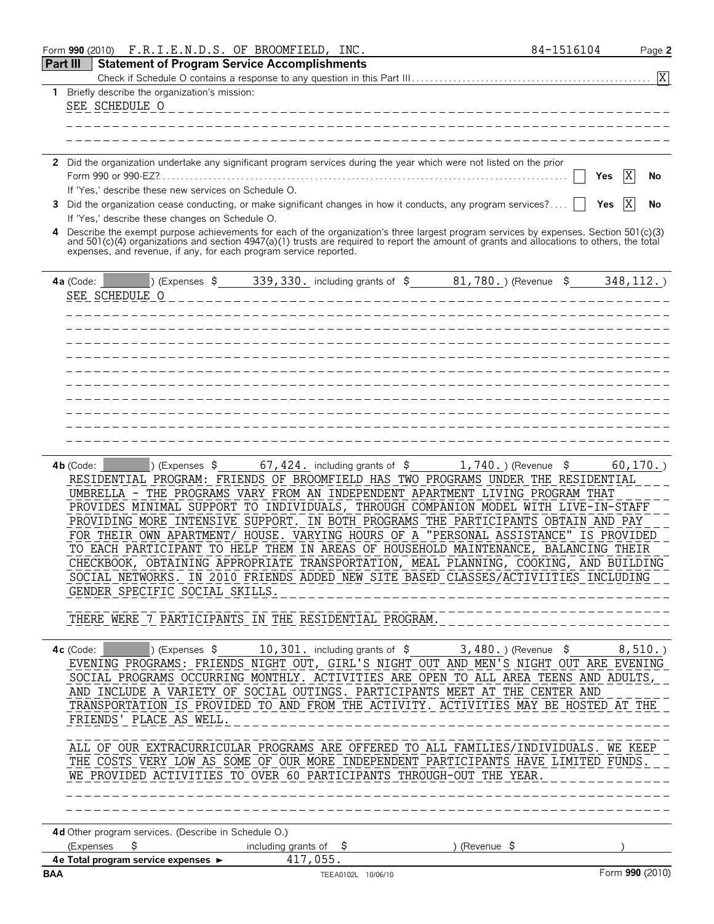|            | Form 990 (2010) F.R.I.E.N.D.S. OF BROOMFIELD, INC.                                                                                                                                                                                                                                                                                                                                                                                                                                                                                                                                                                                                                                                                                                                                                                                                                                                                                                                           | 84-1516104 | Page 2                |
|------------|------------------------------------------------------------------------------------------------------------------------------------------------------------------------------------------------------------------------------------------------------------------------------------------------------------------------------------------------------------------------------------------------------------------------------------------------------------------------------------------------------------------------------------------------------------------------------------------------------------------------------------------------------------------------------------------------------------------------------------------------------------------------------------------------------------------------------------------------------------------------------------------------------------------------------------------------------------------------------|------------|-----------------------|
|            | Part III<br><b>Statement of Program Service Accomplishments</b>                                                                                                                                                                                                                                                                                                                                                                                                                                                                                                                                                                                                                                                                                                                                                                                                                                                                                                              |            |                       |
|            |                                                                                                                                                                                                                                                                                                                                                                                                                                                                                                                                                                                                                                                                                                                                                                                                                                                                                                                                                                              |            |                       |
|            | 1 Briefly describe the organization's mission:                                                                                                                                                                                                                                                                                                                                                                                                                                                                                                                                                                                                                                                                                                                                                                                                                                                                                                                               |            |                       |
|            | SEE SCHEDULE O                                                                                                                                                                                                                                                                                                                                                                                                                                                                                                                                                                                                                                                                                                                                                                                                                                                                                                                                                               |            |                       |
|            |                                                                                                                                                                                                                                                                                                                                                                                                                                                                                                                                                                                                                                                                                                                                                                                                                                                                                                                                                                              |            |                       |
|            |                                                                                                                                                                                                                                                                                                                                                                                                                                                                                                                                                                                                                                                                                                                                                                                                                                                                                                                                                                              |            |                       |
|            |                                                                                                                                                                                                                                                                                                                                                                                                                                                                                                                                                                                                                                                                                                                                                                                                                                                                                                                                                                              |            |                       |
|            | 2 Did the organization undertake any significant program services during the year which were not listed on the prior                                                                                                                                                                                                                                                                                                                                                                                                                                                                                                                                                                                                                                                                                                                                                                                                                                                         |            |                       |
|            |                                                                                                                                                                                                                                                                                                                                                                                                                                                                                                                                                                                                                                                                                                                                                                                                                                                                                                                                                                              |            | X                     |
|            |                                                                                                                                                                                                                                                                                                                                                                                                                                                                                                                                                                                                                                                                                                                                                                                                                                                                                                                                                                              |            | Yes<br>No             |
|            | If 'Yes,' describe these new services on Schedule O.                                                                                                                                                                                                                                                                                                                                                                                                                                                                                                                                                                                                                                                                                                                                                                                                                                                                                                                         |            |                       |
|            | 3 Did the organization cease conducting, or make significant changes in how it conducts, any program services?                                                                                                                                                                                                                                                                                                                                                                                                                                                                                                                                                                                                                                                                                                                                                                                                                                                               |            | X<br><b>Yes</b><br>No |
|            | If 'Yes,' describe these changes on Schedule O.                                                                                                                                                                                                                                                                                                                                                                                                                                                                                                                                                                                                                                                                                                                                                                                                                                                                                                                              |            |                       |
|            | Describe the exempt purpose achievements for each of the organization's three largest program services by expenses. Section 501(c)(3) and 501(c)(4) organizations and section 4947(a)(1) trusts are required to report the amo                                                                                                                                                                                                                                                                                                                                                                                                                                                                                                                                                                                                                                                                                                                                               |            |                       |
|            | expenses, and revenue, if any, for each program service reported.                                                                                                                                                                                                                                                                                                                                                                                                                                                                                                                                                                                                                                                                                                                                                                                                                                                                                                            |            |                       |
|            |                                                                                                                                                                                                                                                                                                                                                                                                                                                                                                                                                                                                                                                                                                                                                                                                                                                                                                                                                                              |            |                       |
|            |                                                                                                                                                                                                                                                                                                                                                                                                                                                                                                                                                                                                                                                                                                                                                                                                                                                                                                                                                                              |            |                       |
|            |                                                                                                                                                                                                                                                                                                                                                                                                                                                                                                                                                                                                                                                                                                                                                                                                                                                                                                                                                                              |            |                       |
|            |                                                                                                                                                                                                                                                                                                                                                                                                                                                                                                                                                                                                                                                                                                                                                                                                                                                                                                                                                                              |            |                       |
|            |                                                                                                                                                                                                                                                                                                                                                                                                                                                                                                                                                                                                                                                                                                                                                                                                                                                                                                                                                                              |            |                       |
|            |                                                                                                                                                                                                                                                                                                                                                                                                                                                                                                                                                                                                                                                                                                                                                                                                                                                                                                                                                                              |            |                       |
|            |                                                                                                                                                                                                                                                                                                                                                                                                                                                                                                                                                                                                                                                                                                                                                                                                                                                                                                                                                                              |            |                       |
|            |                                                                                                                                                                                                                                                                                                                                                                                                                                                                                                                                                                                                                                                                                                                                                                                                                                                                                                                                                                              |            |                       |
|            |                                                                                                                                                                                                                                                                                                                                                                                                                                                                                                                                                                                                                                                                                                                                                                                                                                                                                                                                                                              |            |                       |
|            |                                                                                                                                                                                                                                                                                                                                                                                                                                                                                                                                                                                                                                                                                                                                                                                                                                                                                                                                                                              |            |                       |
|            |                                                                                                                                                                                                                                                                                                                                                                                                                                                                                                                                                                                                                                                                                                                                                                                                                                                                                                                                                                              |            |                       |
|            |                                                                                                                                                                                                                                                                                                                                                                                                                                                                                                                                                                                                                                                                                                                                                                                                                                                                                                                                                                              |            |                       |
|            |                                                                                                                                                                                                                                                                                                                                                                                                                                                                                                                                                                                                                                                                                                                                                                                                                                                                                                                                                                              |            |                       |
|            |                                                                                                                                                                                                                                                                                                                                                                                                                                                                                                                                                                                                                                                                                                                                                                                                                                                                                                                                                                              |            |                       |
|            |                                                                                                                                                                                                                                                                                                                                                                                                                                                                                                                                                                                                                                                                                                                                                                                                                                                                                                                                                                              |            |                       |
|            | $(1, 740. )$ (Expenses $$ 67, 424.$ including grants of $$ 1, 740.$ ) (Revenue $$ 5$<br>$4b$ (Code: $\vert$<br>RESIDENTIAL PROGRAM: FRIENDS OF BROOMFIELD HAS TWO PROGRAMS UNDER THE RESIDENTIAL<br>UMBRELLA - THE PROGRAMS VARY FROM AN INDEPENDENT APARTMENT LIVING PROGRAM THAT<br>PROVIDES MINIMAL SUPPORT TO INDIVIDUALS, THROUGH COMPANION MODEL WITH LIVE-IN-STAFF<br>PROVIDING MORE INTENSIVE SUPPORT. IN BOTH PROGRAMS THE PARTICIPANTS OBTAIN AND PAY<br>FOR THEIR OWN APARTMENT/ HOUSE. VARYING HOURS OF A "PERSONAL ASSISTANCE" IS PROVIDED<br>TO EACH PARTICIPANT TO HELP THEM IN AREAS OF HOUSEHOLD MAINTENANCE, BALANCING THEIR<br>CHECKBOOK, OBTAINING APPROPRIATE TRANSPORTATION, MEAL PLANNING, COOKING, AND BUILDING<br>SOCIAL NETWORKS. IN 2010 FRIENDS ADDED NEW SITE BASED CLASSES/ACTIVIITIES INCLUDING<br>GENDER SPECIFIC SOCIAL SKILLS.<br>THERE WERE 7 PARTICIPANTS IN THE RESIDENTIAL PROGRAM.                                                    |            | 60, 170.              |
|            | 4c (Code: $\vert$ ) (Expenses $\frac{10}{301}$ , including grants of $\frac{10}{3}$ , $\frac{100}{301}$ , (Revenue $\frac{100}{3}$ , $\frac{100}{301}$ , $\frac{100}{301}$ , $\frac{100}{301}$ , $\frac{100}{301}$ , $\frac{100}{301}$ , $\frac{100}{301}$ , $\frac{100}{301}$ , $\frac{10$<br>EVENING PROGRAMS: FRIENDS NIGHT OUT, GIRL'S NIGHT OUT AND MEN'S NIGHT OUT ARE EVENING<br>SOCIAL PROGRAMS OCCURRING MONTHLY. ACTIVITIES ARE OPEN TO ALL AREA TEENS AND ADULTS,<br>AND INCLUDE A VARIETY OF SOCIAL OUTINGS. PARTICIPANTS MEET AT THE CENTER AND<br>TRANSPORTATION IS PROVIDED TO AND FROM THE ACTIVITY. ACTIVITIES MAY BE HOSTED AT THE<br>FRIENDS' PLACE AS WELL.<br>----------------------------------<br>ALL OF OUR EXTRACURRICULAR PROGRAMS ARE OFFERED TO ALL FAMILIES/INDIVIDUALS. WE KEEP<br>THE COSTS VERY LOW AS SOME OF OUR MORE INDEPENDENT PARTICIPANTS HAVE LIMITED FUNDS.<br>WE PROVIDED ACTIVITIES TO OVER 60 PARTICIPANTS THROUGH-OUT THE YEAR. |            |                       |
|            | 4d Other program services. (Describe in Schedule O.)                                                                                                                                                                                                                                                                                                                                                                                                                                                                                                                                                                                                                                                                                                                                                                                                                                                                                                                         |            |                       |
|            | (Expenses<br>including grants of \$<br>\$<br>)(Revenue \$                                                                                                                                                                                                                                                                                                                                                                                                                                                                                                                                                                                                                                                                                                                                                                                                                                                                                                                    |            |                       |
|            | 417,055.                                                                                                                                                                                                                                                                                                                                                                                                                                                                                                                                                                                                                                                                                                                                                                                                                                                                                                                                                                     |            |                       |
| <b>BAA</b> | TEEA0102L 10/06/10                                                                                                                                                                                                                                                                                                                                                                                                                                                                                                                                                                                                                                                                                                                                                                                                                                                                                                                                                           |            | Form 990 (2010)       |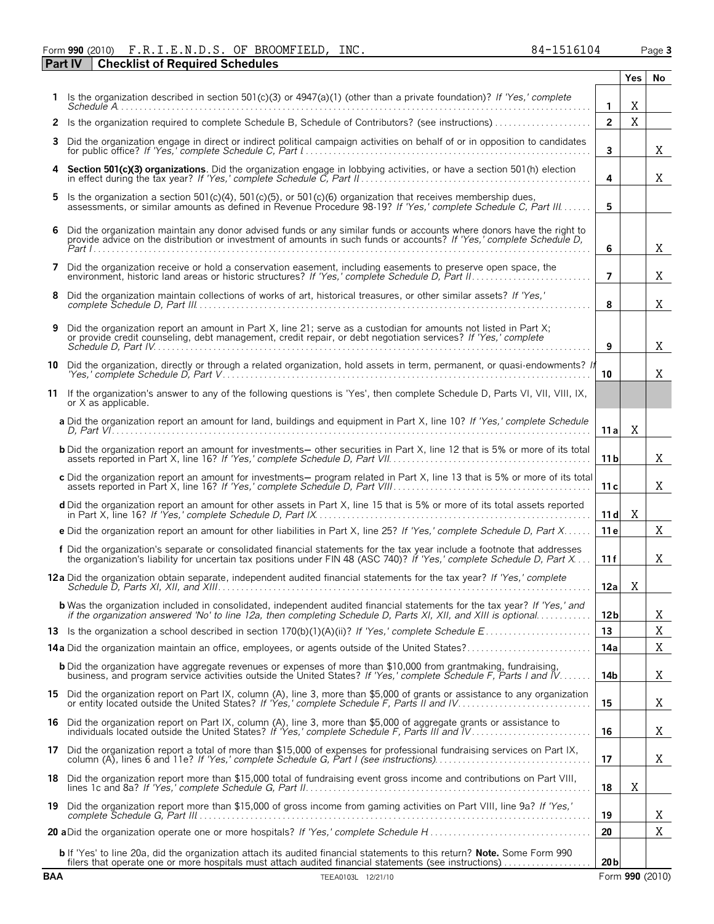#### Form **990** (2010) Page **3** F.R.I.E.N.D.S. OF BROOMFIELD, INC. 84-1516104 **Part IV Checklist of Required Schedules**

|            |                                                                                                                                                                                                                                                     |                 | Yes.        | No              |
|------------|-----------------------------------------------------------------------------------------------------------------------------------------------------------------------------------------------------------------------------------------------------|-----------------|-------------|-----------------|
|            | Is the organization described in section 501(c)(3) or $4947(a)(1)$ (other than a private foundation)? If 'Yes,' complete<br>Schedule A                                                                                                              | 1               | X           |                 |
| 2          | Is the organization required to complete Schedule B, Schedule of Contributors? (see instructions)                                                                                                                                                   | $\overline{2}$  | $\mathbf X$ |                 |
| 3          | Did the organization engage in direct or indirect political campaign activities on behalf of or in opposition to candidates                                                                                                                         | $\mathbf{3}$    |             | X               |
|            | Section 501(c)(3) organizations. Did the organization engage in lobbying activities, or have a section 501(h) election                                                                                                                              | 4               |             | X               |
| 5          | Is the organization a section 501(c)(4), 501(c)(5), or 501(c)(6) organization that receives membership dues,<br>assessments, or similar amounts as defined in Revenue Procedure 98-19? If 'Yes,' complete Schedule C, Part III                      | 5               |             |                 |
| 6          | Did the organization maintain any donor advised funds or any similar funds or accounts where donors have the right to<br>provide advice on the distribution or investment of amounts in such funds or accounts? If 'Yes,' complete Schedule D,      | 6               |             | X               |
|            | Did the organization receive or hold a conservation easement, including easements to preserve open space, the                                                                                                                                       | $\overline{ }$  |             | X               |
| 8          | Did the organization maintain collections of works of art, historical treasures, or other similar assets? If 'Yes,'                                                                                                                                 | 8               |             | X               |
| 9          | Did the organization report an amount in Part X, line 21; serve as a custodian for amounts not listed in Part X;<br>or provide credit counseling, debt management, credit repair, or debt negotiation services? If 'Yes,' complete                  | 9               |             | X               |
|            | 10 Did the organization, directly or through a related organization, hold assets in term, permanent, or quasi-endowments? If<br>"Yes,' complete Schedule D. Part V…………………………………………………………………………………                                                   | 10              |             | X               |
|            | 11 If the organization's answer to any of the following questions is 'Yes', then complete Schedule D, Parts VI, VII, VIII, IX,<br>or X as applicable.                                                                                               |                 |             |                 |
|            | a Did the organization report an amount for land, buildings and equipment in Part X, line 10? If 'Yes,' complete Schedule                                                                                                                           | 11 al           | Χ           |                 |
|            | <b>b</b> Did the organization report an amount for investments— other securities in Part X, line 12 that is 5% or more of its total                                                                                                                 | 11 b            |             | X               |
|            | c Did the organization report an amount for investments- program related in Part X, line 13 that is 5% or more of its total                                                                                                                         | 11 c            |             | X               |
|            | d Did the organization report an amount for other assets in Part X, line 15 that is 5% or more of its total assets reported                                                                                                                         | 11d             | X           |                 |
|            | e Did the organization report an amount for other liabilities in Part X, line 25? If 'Yes,' complete Schedule D, Part X                                                                                                                             | 11 e            |             | X               |
|            | f Did the organization's separate or consolidated financial statements for the tax year include a footnote that addresses<br>the organization's liability for uncertain tax positions under FIN 48 (ASC 740)? If 'Yes,' complete Schedule D, Part X | 11 f            |             | Χ               |
|            | 12a Did the organization obtain separate, independent audited financial statements for the tax year? If 'Yes,' complete                                                                                                                             | 12a             | X           |                 |
|            | <b>b</b> Was the organization included in consolidated, independent audited financial statements for the tax year? If 'Yes,' and<br>if the organization answered 'No' to line 12a, then completing Schedule D, Parts XI, XII, and XIII is optional  | 12 <sub>b</sub> |             | Χ               |
|            |                                                                                                                                                                                                                                                     | 13              |             | X               |
|            |                                                                                                                                                                                                                                                     | 14a             |             | X               |
|            | <b>b</b> Did the organization have aggregate revenues or expenses of more than \$10,000 from grantmaking, fundraising,<br>business, and program service activities outside the United States? If 'Yes,' complete Schedule F, Parts I and IV         | 14b             |             | X               |
|            | 15 Did the organization report on Part IX, column (A), line 3, more than \$5,000 of grants or assistance to any organization<br>or entity located outside the United States? If 'Yes,' complete Schedule F, Parts II and IV                         | 15              |             | X               |
| 16         | Did the organization report on Part IX, column (A), line 3, more than \$5,000 of aggregate grants or assistance to<br>individuals located outside the United States? If 'Yes,' complete Schedule F, Parts III and IV                                | 16              |             | X               |
|            | 17 Did the organization report a total of more than \$15,000 of expenses for professional fundraising services on Part IX,                                                                                                                          | 17              |             | X               |
|            | 18 Did the organization report more than \$15,000 total of fundraising event gross income and contributions on Part VIII,                                                                                                                           | 18              | X           |                 |
|            | 19 Did the organization report more than \$15,000 of gross income from gaming activities on Part VIII, line 9a? If 'Yes,'                                                                                                                           | 19              |             | Χ               |
|            |                                                                                                                                                                                                                                                     | 20              |             | Χ               |
|            | <b>b</b> If 'Yes' to line 20a, did the organization attach its audited financial statements to this return? <b>Note.</b> Some Form 990<br>filers that operate one or more hospitals must attach audited financial statements (see instructions)     | 20 <sub>b</sub> |             |                 |
| <b>BAA</b> | TEEA0103L 12/21/10                                                                                                                                                                                                                                  |                 |             | Form 990 (2010) |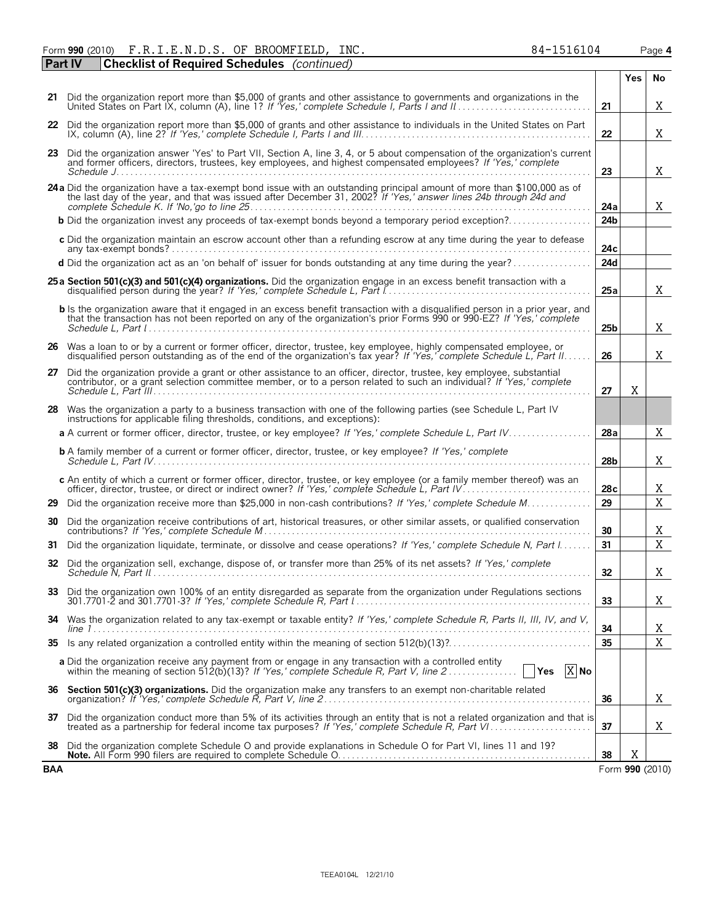Form **990** (2010) F.R.I.E.N.D.S. OF BROOMFIELD, INC. 84-1516104 Page **4** F.R.I.E.N.D.S. OF BROOMFIELD, INC. 84-1516104

| <b>Checklist of Required Schedules</b> (continued)<br>  Part IV                                               |                                                                                                                                                                                                                                                                                                                                                                                                                                                                                                                                                                                                                                                                                                                                                                                                                                                                                                                                                                                                                                                                                                                                                                                                                                                                                                                                                                                                                                                                                                                                                                                                                                                                                                                                                                                                                                                                                                                                                                                                                                                                                                                                                                                                                                                                                                                                                                                                                                                                                                                                                                                                                                                                                                                                                                                                                                                                                                                                                                                                                                                                                                                                                                                                                                                                                                                                                                                                                                                                                                                                                                                                                                                                                                                                                                                                                                                                                                                                               |     |             |
|---------------------------------------------------------------------------------------------------------------|-----------------------------------------------------------------------------------------------------------------------------------------------------------------------------------------------------------------------------------------------------------------------------------------------------------------------------------------------------------------------------------------------------------------------------------------------------------------------------------------------------------------------------------------------------------------------------------------------------------------------------------------------------------------------------------------------------------------------------------------------------------------------------------------------------------------------------------------------------------------------------------------------------------------------------------------------------------------------------------------------------------------------------------------------------------------------------------------------------------------------------------------------------------------------------------------------------------------------------------------------------------------------------------------------------------------------------------------------------------------------------------------------------------------------------------------------------------------------------------------------------------------------------------------------------------------------------------------------------------------------------------------------------------------------------------------------------------------------------------------------------------------------------------------------------------------------------------------------------------------------------------------------------------------------------------------------------------------------------------------------------------------------------------------------------------------------------------------------------------------------------------------------------------------------------------------------------------------------------------------------------------------------------------------------------------------------------------------------------------------------------------------------------------------------------------------------------------------------------------------------------------------------------------------------------------------------------------------------------------------------------------------------------------------------------------------------------------------------------------------------------------------------------------------------------------------------------------------------------------------------------------------------------------------------------------------------------------------------------------------------------------------------------------------------------------------------------------------------------------------------------------------------------------------------------------------------------------------------------------------------------------------------------------------------------------------------------------------------------------------------------------------------------------------------------------------------------------------------------------------------------------------------------------------------------------------------------------------------------------------------------------------------------------------------------------------------------------------------------------------------------------------------------------------------------------------------------------------------------------------------------------------------------------------------------------------------|-----|-------------|
|                                                                                                               |                                                                                                                                                                                                                                                                                                                                                                                                                                                                                                                                                                                                                                                                                                                                                                                                                                                                                                                                                                                                                                                                                                                                                                                                                                                                                                                                                                                                                                                                                                                                                                                                                                                                                                                                                                                                                                                                                                                                                                                                                                                                                                                                                                                                                                                                                                                                                                                                                                                                                                                                                                                                                                                                                                                                                                                                                                                                                                                                                                                                                                                                                                                                                                                                                                                                                                                                                                                                                                                                                                                                                                                                                                                                                                                                                                                                                                                                                                                                               | Yes | No          |
|                                                                                                               | 21                                                                                                                                                                                                                                                                                                                                                                                                                                                                                                                                                                                                                                                                                                                                                                                                                                                                                                                                                                                                                                                                                                                                                                                                                                                                                                                                                                                                                                                                                                                                                                                                                                                                                                                                                                                                                                                                                                                                                                                                                                                                                                                                                                                                                                                                                                                                                                                                                                                                                                                                                                                                                                                                                                                                                                                                                                                                                                                                                                                                                                                                                                                                                                                                                                                                                                                                                                                                                                                                                                                                                                                                                                                                                                                                                                                                                                                                                                                                            |     | X           |
|                                                                                                               | 22                                                                                                                                                                                                                                                                                                                                                                                                                                                                                                                                                                                                                                                                                                                                                                                                                                                                                                                                                                                                                                                                                                                                                                                                                                                                                                                                                                                                                                                                                                                                                                                                                                                                                                                                                                                                                                                                                                                                                                                                                                                                                                                                                                                                                                                                                                                                                                                                                                                                                                                                                                                                                                                                                                                                                                                                                                                                                                                                                                                                                                                                                                                                                                                                                                                                                                                                                                                                                                                                                                                                                                                                                                                                                                                                                                                                                                                                                                                                            |     | X           |
|                                                                                                               |                                                                                                                                                                                                                                                                                                                                                                                                                                                                                                                                                                                                                                                                                                                                                                                                                                                                                                                                                                                                                                                                                                                                                                                                                                                                                                                                                                                                                                                                                                                                                                                                                                                                                                                                                                                                                                                                                                                                                                                                                                                                                                                                                                                                                                                                                                                                                                                                                                                                                                                                                                                                                                                                                                                                                                                                                                                                                                                                                                                                                                                                                                                                                                                                                                                                                                                                                                                                                                                                                                                                                                                                                                                                                                                                                                                                                                                                                                                                               |     |             |
|                                                                                                               | 23                                                                                                                                                                                                                                                                                                                                                                                                                                                                                                                                                                                                                                                                                                                                                                                                                                                                                                                                                                                                                                                                                                                                                                                                                                                                                                                                                                                                                                                                                                                                                                                                                                                                                                                                                                                                                                                                                                                                                                                                                                                                                                                                                                                                                                                                                                                                                                                                                                                                                                                                                                                                                                                                                                                                                                                                                                                                                                                                                                                                                                                                                                                                                                                                                                                                                                                                                                                                                                                                                                                                                                                                                                                                                                                                                                                                                                                                                                                                            |     | X           |
|                                                                                                               | 24a                                                                                                                                                                                                                                                                                                                                                                                                                                                                                                                                                                                                                                                                                                                                                                                                                                                                                                                                                                                                                                                                                                                                                                                                                                                                                                                                                                                                                                                                                                                                                                                                                                                                                                                                                                                                                                                                                                                                                                                                                                                                                                                                                                                                                                                                                                                                                                                                                                                                                                                                                                                                                                                                                                                                                                                                                                                                                                                                                                                                                                                                                                                                                                                                                                                                                                                                                                                                                                                                                                                                                                                                                                                                                                                                                                                                                                                                                                                                           |     | X           |
|                                                                                                               | 24 <sub>b</sub>                                                                                                                                                                                                                                                                                                                                                                                                                                                                                                                                                                                                                                                                                                                                                                                                                                                                                                                                                                                                                                                                                                                                                                                                                                                                                                                                                                                                                                                                                                                                                                                                                                                                                                                                                                                                                                                                                                                                                                                                                                                                                                                                                                                                                                                                                                                                                                                                                                                                                                                                                                                                                                                                                                                                                                                                                                                                                                                                                                                                                                                                                                                                                                                                                                                                                                                                                                                                                                                                                                                                                                                                                                                                                                                                                                                                                                                                                                                               |     |             |
|                                                                                                               | 24c                                                                                                                                                                                                                                                                                                                                                                                                                                                                                                                                                                                                                                                                                                                                                                                                                                                                                                                                                                                                                                                                                                                                                                                                                                                                                                                                                                                                                                                                                                                                                                                                                                                                                                                                                                                                                                                                                                                                                                                                                                                                                                                                                                                                                                                                                                                                                                                                                                                                                                                                                                                                                                                                                                                                                                                                                                                                                                                                                                                                                                                                                                                                                                                                                                                                                                                                                                                                                                                                                                                                                                                                                                                                                                                                                                                                                                                                                                                                           |     |             |
|                                                                                                               | 24d                                                                                                                                                                                                                                                                                                                                                                                                                                                                                                                                                                                                                                                                                                                                                                                                                                                                                                                                                                                                                                                                                                                                                                                                                                                                                                                                                                                                                                                                                                                                                                                                                                                                                                                                                                                                                                                                                                                                                                                                                                                                                                                                                                                                                                                                                                                                                                                                                                                                                                                                                                                                                                                                                                                                                                                                                                                                                                                                                                                                                                                                                                                                                                                                                                                                                                                                                                                                                                                                                                                                                                                                                                                                                                                                                                                                                                                                                                                                           |     |             |
|                                                                                                               | 25a                                                                                                                                                                                                                                                                                                                                                                                                                                                                                                                                                                                                                                                                                                                                                                                                                                                                                                                                                                                                                                                                                                                                                                                                                                                                                                                                                                                                                                                                                                                                                                                                                                                                                                                                                                                                                                                                                                                                                                                                                                                                                                                                                                                                                                                                                                                                                                                                                                                                                                                                                                                                                                                                                                                                                                                                                                                                                                                                                                                                                                                                                                                                                                                                                                                                                                                                                                                                                                                                                                                                                                                                                                                                                                                                                                                                                                                                                                                                           |     | Χ           |
|                                                                                                               | 25 <sub>b</sub>                                                                                                                                                                                                                                                                                                                                                                                                                                                                                                                                                                                                                                                                                                                                                                                                                                                                                                                                                                                                                                                                                                                                                                                                                                                                                                                                                                                                                                                                                                                                                                                                                                                                                                                                                                                                                                                                                                                                                                                                                                                                                                                                                                                                                                                                                                                                                                                                                                                                                                                                                                                                                                                                                                                                                                                                                                                                                                                                                                                                                                                                                                                                                                                                                                                                                                                                                                                                                                                                                                                                                                                                                                                                                                                                                                                                                                                                                                                               |     | Χ           |
|                                                                                                               | 26                                                                                                                                                                                                                                                                                                                                                                                                                                                                                                                                                                                                                                                                                                                                                                                                                                                                                                                                                                                                                                                                                                                                                                                                                                                                                                                                                                                                                                                                                                                                                                                                                                                                                                                                                                                                                                                                                                                                                                                                                                                                                                                                                                                                                                                                                                                                                                                                                                                                                                                                                                                                                                                                                                                                                                                                                                                                                                                                                                                                                                                                                                                                                                                                                                                                                                                                                                                                                                                                                                                                                                                                                                                                                                                                                                                                                                                                                                                                            |     | X           |
|                                                                                                               | 27                                                                                                                                                                                                                                                                                                                                                                                                                                                                                                                                                                                                                                                                                                                                                                                                                                                                                                                                                                                                                                                                                                                                                                                                                                                                                                                                                                                                                                                                                                                                                                                                                                                                                                                                                                                                                                                                                                                                                                                                                                                                                                                                                                                                                                                                                                                                                                                                                                                                                                                                                                                                                                                                                                                                                                                                                                                                                                                                                                                                                                                                                                                                                                                                                                                                                                                                                                                                                                                                                                                                                                                                                                                                                                                                                                                                                                                                                                                                            | X   |             |
|                                                                                                               |                                                                                                                                                                                                                                                                                                                                                                                                                                                                                                                                                                                                                                                                                                                                                                                                                                                                                                                                                                                                                                                                                                                                                                                                                                                                                                                                                                                                                                                                                                                                                                                                                                                                                                                                                                                                                                                                                                                                                                                                                                                                                                                                                                                                                                                                                                                                                                                                                                                                                                                                                                                                                                                                                                                                                                                                                                                                                                                                                                                                                                                                                                                                                                                                                                                                                                                                                                                                                                                                                                                                                                                                                                                                                                                                                                                                                                                                                                                                               |     |             |
|                                                                                                               | 28a                                                                                                                                                                                                                                                                                                                                                                                                                                                                                                                                                                                                                                                                                                                                                                                                                                                                                                                                                                                                                                                                                                                                                                                                                                                                                                                                                                                                                                                                                                                                                                                                                                                                                                                                                                                                                                                                                                                                                                                                                                                                                                                                                                                                                                                                                                                                                                                                                                                                                                                                                                                                                                                                                                                                                                                                                                                                                                                                                                                                                                                                                                                                                                                                                                                                                                                                                                                                                                                                                                                                                                                                                                                                                                                                                                                                                                                                                                                                           |     | X           |
|                                                                                                               | 28b                                                                                                                                                                                                                                                                                                                                                                                                                                                                                                                                                                                                                                                                                                                                                                                                                                                                                                                                                                                                                                                                                                                                                                                                                                                                                                                                                                                                                                                                                                                                                                                                                                                                                                                                                                                                                                                                                                                                                                                                                                                                                                                                                                                                                                                                                                                                                                                                                                                                                                                                                                                                                                                                                                                                                                                                                                                                                                                                                                                                                                                                                                                                                                                                                                                                                                                                                                                                                                                                                                                                                                                                                                                                                                                                                                                                                                                                                                                                           |     | X           |
|                                                                                                               | 28c                                                                                                                                                                                                                                                                                                                                                                                                                                                                                                                                                                                                                                                                                                                                                                                                                                                                                                                                                                                                                                                                                                                                                                                                                                                                                                                                                                                                                                                                                                                                                                                                                                                                                                                                                                                                                                                                                                                                                                                                                                                                                                                                                                                                                                                                                                                                                                                                                                                                                                                                                                                                                                                                                                                                                                                                                                                                                                                                                                                                                                                                                                                                                                                                                                                                                                                                                                                                                                                                                                                                                                                                                                                                                                                                                                                                                                                                                                                                           |     | Χ           |
|                                                                                                               |                                                                                                                                                                                                                                                                                                                                                                                                                                                                                                                                                                                                                                                                                                                                                                                                                                                                                                                                                                                                                                                                                                                                                                                                                                                                                                                                                                                                                                                                                                                                                                                                                                                                                                                                                                                                                                                                                                                                                                                                                                                                                                                                                                                                                                                                                                                                                                                                                                                                                                                                                                                                                                                                                                                                                                                                                                                                                                                                                                                                                                                                                                                                                                                                                                                                                                                                                                                                                                                                                                                                                                                                                                                                                                                                                                                                                                                                                                                                               |     | $\mathbf X$ |
|                                                                                                               | 30                                                                                                                                                                                                                                                                                                                                                                                                                                                                                                                                                                                                                                                                                                                                                                                                                                                                                                                                                                                                                                                                                                                                                                                                                                                                                                                                                                                                                                                                                                                                                                                                                                                                                                                                                                                                                                                                                                                                                                                                                                                                                                                                                                                                                                                                                                                                                                                                                                                                                                                                                                                                                                                                                                                                                                                                                                                                                                                                                                                                                                                                                                                                                                                                                                                                                                                                                                                                                                                                                                                                                                                                                                                                                                                                                                                                                                                                                                                                            |     | Χ           |
|                                                                                                               | 31                                                                                                                                                                                                                                                                                                                                                                                                                                                                                                                                                                                                                                                                                                                                                                                                                                                                                                                                                                                                                                                                                                                                                                                                                                                                                                                                                                                                                                                                                                                                                                                                                                                                                                                                                                                                                                                                                                                                                                                                                                                                                                                                                                                                                                                                                                                                                                                                                                                                                                                                                                                                                                                                                                                                                                                                                                                                                                                                                                                                                                                                                                                                                                                                                                                                                                                                                                                                                                                                                                                                                                                                                                                                                                                                                                                                                                                                                                                                            |     | X           |
|                                                                                                               | 32                                                                                                                                                                                                                                                                                                                                                                                                                                                                                                                                                                                                                                                                                                                                                                                                                                                                                                                                                                                                                                                                                                                                                                                                                                                                                                                                                                                                                                                                                                                                                                                                                                                                                                                                                                                                                                                                                                                                                                                                                                                                                                                                                                                                                                                                                                                                                                                                                                                                                                                                                                                                                                                                                                                                                                                                                                                                                                                                                                                                                                                                                                                                                                                                                                                                                                                                                                                                                                                                                                                                                                                                                                                                                                                                                                                                                                                                                                                                            |     | X           |
|                                                                                                               | 33                                                                                                                                                                                                                                                                                                                                                                                                                                                                                                                                                                                                                                                                                                                                                                                                                                                                                                                                                                                                                                                                                                                                                                                                                                                                                                                                                                                                                                                                                                                                                                                                                                                                                                                                                                                                                                                                                                                                                                                                                                                                                                                                                                                                                                                                                                                                                                                                                                                                                                                                                                                                                                                                                                                                                                                                                                                                                                                                                                                                                                                                                                                                                                                                                                                                                                                                                                                                                                                                                                                                                                                                                                                                                                                                                                                                                                                                                                                                            |     | X           |
|                                                                                                               | 34                                                                                                                                                                                                                                                                                                                                                                                                                                                                                                                                                                                                                                                                                                                                                                                                                                                                                                                                                                                                                                                                                                                                                                                                                                                                                                                                                                                                                                                                                                                                                                                                                                                                                                                                                                                                                                                                                                                                                                                                                                                                                                                                                                                                                                                                                                                                                                                                                                                                                                                                                                                                                                                                                                                                                                                                                                                                                                                                                                                                                                                                                                                                                                                                                                                                                                                                                                                                                                                                                                                                                                                                                                                                                                                                                                                                                                                                                                                                            |     | X           |
|                                                                                                               | 35                                                                                                                                                                                                                                                                                                                                                                                                                                                                                                                                                                                                                                                                                                                                                                                                                                                                                                                                                                                                                                                                                                                                                                                                                                                                                                                                                                                                                                                                                                                                                                                                                                                                                                                                                                                                                                                                                                                                                                                                                                                                                                                                                                                                                                                                                                                                                                                                                                                                                                                                                                                                                                                                                                                                                                                                                                                                                                                                                                                                                                                                                                                                                                                                                                                                                                                                                                                                                                                                                                                                                                                                                                                                                                                                                                                                                                                                                                                                            |     | X           |
| X No                                                                                                          |                                                                                                                                                                                                                                                                                                                                                                                                                                                                                                                                                                                                                                                                                                                                                                                                                                                                                                                                                                                                                                                                                                                                                                                                                                                                                                                                                                                                                                                                                                                                                                                                                                                                                                                                                                                                                                                                                                                                                                                                                                                                                                                                                                                                                                                                                                                                                                                                                                                                                                                                                                                                                                                                                                                                                                                                                                                                                                                                                                                                                                                                                                                                                                                                                                                                                                                                                                                                                                                                                                                                                                                                                                                                                                                                                                                                                                                                                                                                               |     |             |
|                                                                                                               | 36                                                                                                                                                                                                                                                                                                                                                                                                                                                                                                                                                                                                                                                                                                                                                                                                                                                                                                                                                                                                                                                                                                                                                                                                                                                                                                                                                                                                                                                                                                                                                                                                                                                                                                                                                                                                                                                                                                                                                                                                                                                                                                                                                                                                                                                                                                                                                                                                                                                                                                                                                                                                                                                                                                                                                                                                                                                                                                                                                                                                                                                                                                                                                                                                                                                                                                                                                                                                                                                                                                                                                                                                                                                                                                                                                                                                                                                                                                                                            |     | X           |
|                                                                                                               | 37                                                                                                                                                                                                                                                                                                                                                                                                                                                                                                                                                                                                                                                                                                                                                                                                                                                                                                                                                                                                                                                                                                                                                                                                                                                                                                                                                                                                                                                                                                                                                                                                                                                                                                                                                                                                                                                                                                                                                                                                                                                                                                                                                                                                                                                                                                                                                                                                                                                                                                                                                                                                                                                                                                                                                                                                                                                                                                                                                                                                                                                                                                                                                                                                                                                                                                                                                                                                                                                                                                                                                                                                                                                                                                                                                                                                                                                                                                                                            |     | Χ           |
| Did the organization complete Schedule O and provide explanations in Schedule O for Part VI, lines 11 and 19? |                                                                                                                                                                                                                                                                                                                                                                                                                                                                                                                                                                                                                                                                                                                                                                                                                                                                                                                                                                                                                                                                                                                                                                                                                                                                                                                                                                                                                                                                                                                                                                                                                                                                                                                                                                                                                                                                                                                                                                                                                                                                                                                                                                                                                                                                                                                                                                                                                                                                                                                                                                                                                                                                                                                                                                                                                                                                                                                                                                                                                                                                                                                                                                                                                                                                                                                                                                                                                                                                                                                                                                                                                                                                                                                                                                                                                                                                                                                                               |     |             |
|                                                                                                               | 21 Did the organization report more than \$5,000 of grants and other assistance to governments and organizations in the<br>Did the organization report more than \$5,000 of grants and other assistance to individuals in the United States on Part<br>Did the organization answer 'Yes' to Part VII, Section A, line 3, 4, or 5 about compensation of the organization's current<br>and former officers, directors, trustees, key employees, and highest compensated employees? If 'Yes,' complete<br>24a Did the organization have a tax-exempt bond issue with an outstanding principal amount of more than \$100,000 as of the last day of the year, and that was issued after December 31, 2002? If 'Yes,' answer lines 24b throu<br><b>b</b> Did the organization invest any proceeds of tax-exempt bonds beyond a temporary period exception?<br>c Did the organization maintain an escrow account other than a refunding escrow at any time during the year to defease<br>d Did the organization act as an 'on behalf of' issuer for bonds outstanding at any time during the year?<br>25 a Section 501(c)(3) and 501(c)(4) organizations. Did the organization engage in an excess benefit transaction with a<br>disqualified person during the year? If 'Yes,' complete Schedule L, Part I.<br><b>b</b> Is the organization aware that it engaged in an excess benefit transaction with a disqualified person in a prior year, and<br>that the transaction has not been reported on any of the organization's prior Forms 990 or 990 EZ? If 'Yes,' complete<br>26 Was a loan to or by a current or former officer, director, trustee, key employee, highly compensated employee, or<br>disqualified person outstanding as of the end of the organization's tax year? If 'Yes,' complete Schedule L, Part II.<br>Did the organization provide a grant or other assistance to an officer, director, trustee, key employee, substantial<br>contributor, or a grant selection committee member, or to a person related to such an individual? If 'Yes,' complete<br>Was the organization a party to a business transaction with one of the following parties (see Schedule L, Part IV<br>instructions for applicable filing thresholds, conditions, and exceptions):<br>a A current or former officer, director, trustee, or key employee? If 'Yes,' complete Schedule L, Part IV<br><b>b</b> A family member of a current or former officer, director, trustee, or key employee? If 'Yes,' complete<br>c An entity of which a current or former officer, director, trustee, or key employee (or a family member thereof) was an<br>Did the organization receive more than \$25,000 in non-cash contributions? If 'Yes,' complete Schedule M<br>Did the organization receive contributions of art, historical treasures, or other similar assets, or qualified conservation<br>Did the organization liquidate, terminate, or dissolve and cease operations? If 'Yes,' complete Schedule N, Part I<br>Did the organization sell, exchange, dispose of, or transfer more than 25% of its net assets? If 'Yes,' complete<br>Did the organization own 100% of an entity disregarded as separate from the organization under Regulations sections<br>34 Was the organization related to any tax-exempt or taxable entity? If 'Yes,' complete Schedule R, Parts II, III, IV, and V,<br>Is any related organization a controlled entity within the meaning of section 512(b)(13)?<br>a Did the organization receive any payment from or engage in any transaction with a controlled entity<br>Section 501(c)(3) organizations. Did the organization make any transfers to an exempt non-charitable related<br>Did the organization conduct more than 5% of its activities through an entity that is not a related organization and that is<br>treated as a partnership for federal income tax purposes? If 'Yes,' complete Schedule R, Part V. | 29  |             |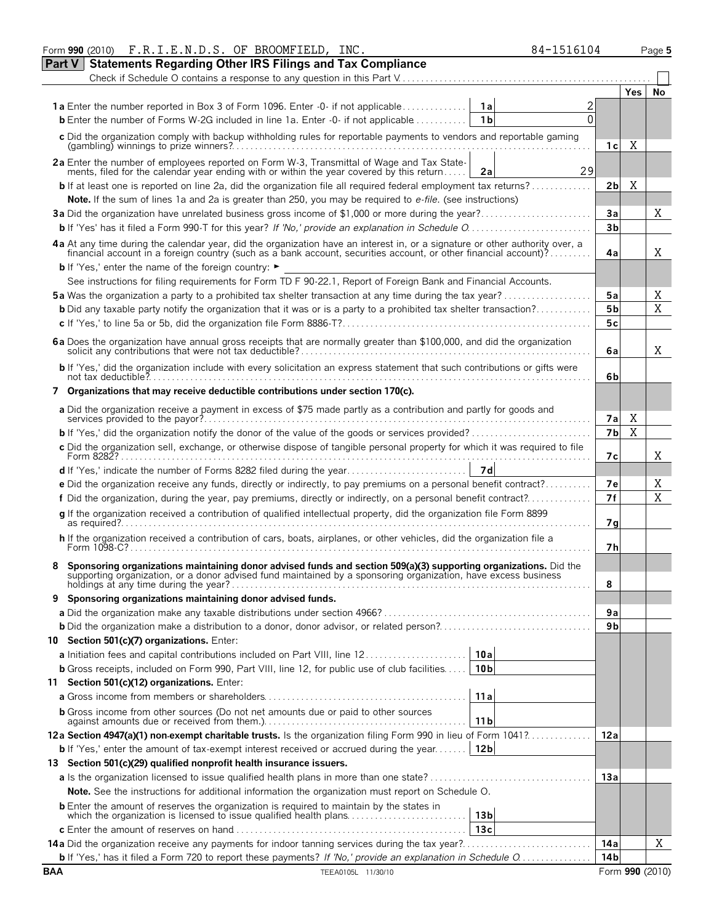|            | Form 990 (2010) F.R.I.E.N.D.S. OF BROOMFIELD, INC.                                                                                                                                                                                 |                 | 84-1516104 |                 |             | Page 5          |
|------------|------------------------------------------------------------------------------------------------------------------------------------------------------------------------------------------------------------------------------------|-----------------|------------|-----------------|-------------|-----------------|
| Part V     | <b>Statements Regarding Other IRS Filings and Tax Compliance</b>                                                                                                                                                                   |                 |            |                 |             |                 |
|            |                                                                                                                                                                                                                                    |                 |            |                 |             |                 |
|            |                                                                                                                                                                                                                                    |                 |            |                 | Yes         | No              |
|            | <b>1a</b> Enter the number reported in Box 3 of Form 1096. Enter -0- if not applicable                                                                                                                                             | 1a              |            |                 |             |                 |
|            | <b>b</b> Enter the number of Forms W-2G included in line 1a. Enter $-0$ - if not applicable $\dots\dots\dots\dots$                                                                                                                 | 1 <sub>b</sub>  | $\Omega$   |                 |             |                 |
|            | c Did the organization comply with backup withholding rules for reportable payments to vendors and reportable gaming                                                                                                               |                 |            |                 |             |                 |
|            |                                                                                                                                                                                                                                    |                 |            | 1с              | Χ           |                 |
|            |                                                                                                                                                                                                                                    |                 |            |                 |             |                 |
|            | 2a Enter the number of employees reported on Form W-3, Transmittal of Wage and Tax Statements, filed for the calendar year ending with or within the year covered by this return                                                   | 2a              | 29         |                 |             |                 |
|            | <b>b</b> If at least one is reported on line 2a, did the organization file all required federal employment tax returns?                                                                                                            |                 |            | 2b              | Χ           |                 |
|            | Note. If the sum of lines 1a and 2a is greater than 250, you may be required to e-file. (see instructions)                                                                                                                         |                 |            |                 |             |                 |
|            | 3a Did the organization have unrelated business gross income of \$1,000 or more during the year?                                                                                                                                   |                 |            | Зa              |             | Χ               |
|            |                                                                                                                                                                                                                                    |                 |            | 3 <sub>b</sub>  |             |                 |
|            |                                                                                                                                                                                                                                    |                 |            |                 |             |                 |
|            | 4a At any time during the calendar year, did the organization have an interest in, or a signature or other authority over, a financial account in a foreign country (such as a bank account, securities account, or other fina     |                 |            | 4a              |             | Χ               |
|            | <b>b</b> If 'Yes,' enter the name of the foreign country: ►                                                                                                                                                                        |                 |            |                 |             |                 |
|            | See instructions for filing requirements for Form TD F 90-22.1, Report of Foreign Bank and Financial Accounts.                                                                                                                     |                 |            |                 |             |                 |
|            | <b>5a</b> Was the organization a party to a prohibited tax shelter transaction at any time during the tax year?                                                                                                                    |                 |            | 5a              |             | Χ               |
|            | <b>b</b> Did any taxable party notify the organization that it was or is a party to a prohibited tax shelter transaction?                                                                                                          |                 |            | 5 <sub>b</sub>  |             | X               |
|            |                                                                                                                                                                                                                                    |                 |            | 5c              |             |                 |
|            |                                                                                                                                                                                                                                    |                 |            |                 |             |                 |
|            |                                                                                                                                                                                                                                    |                 |            | 6a              |             | Χ               |
|            | b If 'Yes,' did the organization include with every solicitation an express statement that such contributions or gifts were                                                                                                        |                 |            |                 |             |                 |
|            |                                                                                                                                                                                                                                    |                 |            | 6b              |             |                 |
|            | 7 Organizations that may receive deductible contributions under section 170(c).                                                                                                                                                    |                 |            |                 |             |                 |
|            | a Did the organization receive a payment in excess of \$75 made partly as a contribution and partly for goods and                                                                                                                  |                 |            |                 |             |                 |
|            |                                                                                                                                                                                                                                    |                 |            | 7a              | Χ           |                 |
|            |                                                                                                                                                                                                                                    |                 |            | 7b              | $\mathbf X$ |                 |
|            | c Did the organization sell, exchange, or otherwise dispose of tangible personal property for which it was required to file                                                                                                        |                 |            |                 |             |                 |
|            |                                                                                                                                                                                                                                    |                 |            | 7с              |             | Χ               |
|            |                                                                                                                                                                                                                                    | 7d              |            |                 |             |                 |
|            | e Did the organization receive any funds, directly or indirectly, to pay premiums on a personal benefit contract?                                                                                                                  |                 |            | 7e              |             | Χ               |
|            | f Did the organization, during the year, pay premiums, directly or indirectly, on a personal benefit contract?                                                                                                                     |                 |            | 7f              |             | X               |
|            | g If the organization received a contribution of qualified intellectual property, did the organization file Form 8899                                                                                                              |                 |            |                 |             |                 |
|            |                                                                                                                                                                                                                                    |                 |            | 7q              |             |                 |
|            | h If the organization received a contribution of cars, boats, airplanes, or other vehicles, did the organization file a                                                                                                            |                 |            | 7h              |             |                 |
|            |                                                                                                                                                                                                                                    |                 |            |                 |             |                 |
|            | Sponsoring organizations maintaining donor advised funds and section 509(a)(3) supporting organizations. Did the<br>supporting organization, or a donor advised fund maintained by a sponsoring organization, have excess business |                 |            |                 |             |                 |
|            | holdings at any time during the year?.                                                                                                                                                                                             |                 |            | 8               |             |                 |
| 9          | Sponsoring organizations maintaining donor advised funds.                                                                                                                                                                          |                 |            |                 |             |                 |
|            |                                                                                                                                                                                                                                    |                 |            | 9а              |             |                 |
|            |                                                                                                                                                                                                                                    |                 |            | 9b              |             |                 |
|            | 10 Section 501(c)(7) organizations. Enter:                                                                                                                                                                                         |                 |            |                 |             |                 |
|            | <b>a</b> Initiation fees and capital contributions included on Part VIII, line 12                                                                                                                                                  | 10a             |            |                 |             |                 |
|            | <b>b</b> Gross receipts, included on Form 990, Part VIII, line 12, for public use of club facilities                                                                                                                               | 10 <sub>b</sub> |            |                 |             |                 |
|            | 11 Section 501(c)(12) organizations. Enter:                                                                                                                                                                                        |                 |            |                 |             |                 |
|            |                                                                                                                                                                                                                                    | 11a             |            |                 |             |                 |
|            | <b>b</b> Gross income from other sources (Do not net amounts due or paid to other sources                                                                                                                                          |                 |            |                 |             |                 |
|            |                                                                                                                                                                                                                                    | 11 <sub>b</sub> |            |                 |             |                 |
|            | 12a Section 4947(a)(1) non-exempt charitable trusts. Is the organization filing Form 990 in lieu of Form 1041?                                                                                                                     |                 |            | 12a             |             |                 |
|            | <b>b</b> If 'Yes,' enter the amount of tax-exempt interest received or accrued during the year                                                                                                                                     | 12 <sub>b</sub> |            |                 |             |                 |
|            | 13 Section 501(c)(29) qualified nonprofit health insurance issuers.                                                                                                                                                                |                 |            |                 |             |                 |
|            | <b>a</b> Is the organization licensed to issue qualified health plans in more than one state?                                                                                                                                      |                 |            | 13a             |             |                 |
|            | Note. See the instructions for additional information the organization must report on Schedule O.                                                                                                                                  |                 |            |                 |             |                 |
|            | <b>b</b> Enter the amount of reserves the organization is required to maintain by the states in                                                                                                                                    |                 |            |                 |             |                 |
|            | which the organization is licensed to issue qualified health plans                                                                                                                                                                 | 13 b            |            |                 |             |                 |
|            |                                                                                                                                                                                                                                    | 13c             |            |                 |             |                 |
|            | <b>14a</b> Did the organization receive any payments for indoor tanning services during the tax year?                                                                                                                              |                 |            | 14a             |             | Χ               |
|            | <b>b</b> If 'Yes,' has it filed a Form 720 to report these payments? If 'No,' provide an explanation in Schedule O                                                                                                                 |                 |            | 14 <sub>b</sub> |             |                 |
| <b>BAA</b> | TEEA0105L 11/30/10                                                                                                                                                                                                                 |                 |            |                 |             | Form 990 (2010) |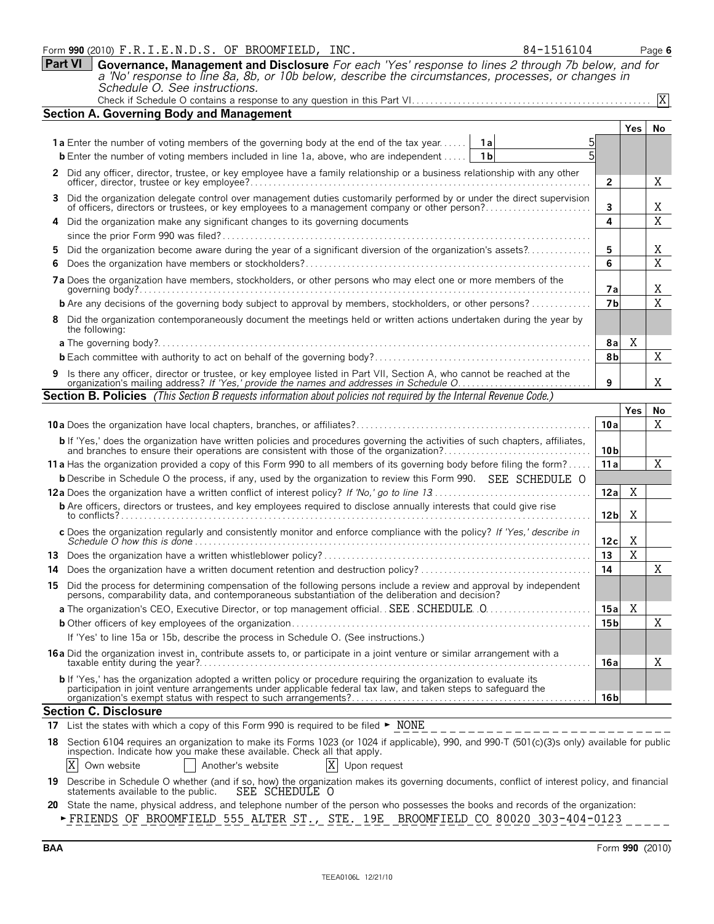|     | Form 990 (2010) F.R.I.E.N.D.S. OF BROOMFIELD, INC.<br>84-1516104                                                                                                                                                                           |                 |            | Page 6    |
|-----|--------------------------------------------------------------------------------------------------------------------------------------------------------------------------------------------------------------------------------------------|-----------------|------------|-----------|
|     | <b>Part VI</b><br>Governance, Management and Disclosure For each 'Yes' response to lines 2 through 7b below, and for                                                                                                                       |                 |            |           |
|     | a 'No' response to line 8a, 8b, or 10b below, describe the circumstances, processes, or changes in                                                                                                                                         |                 |            |           |
|     | Schedule O. See instructions.                                                                                                                                                                                                              |                 |            |           |
|     |                                                                                                                                                                                                                                            |                 |            | X         |
|     | <b>Section A. Governing Body and Management</b>                                                                                                                                                                                            |                 |            |           |
|     |                                                                                                                                                                                                                                            |                 | <b>Yes</b> | <b>No</b> |
|     | <b>1a</b> Enter the number of voting members of the governing body at the end of the tax year<br>5<br>1a                                                                                                                                   |                 |            |           |
|     | 5<br>1 <sub>b</sub><br><b>b</b> Enter the number of voting members included in line 1a, above, who are independent                                                                                                                         |                 |            |           |
|     | 2 Did any officer, director, trustee, or key employee have a family relationship or a business relationship with any other                                                                                                                 | $\overline{2}$  |            | Χ         |
|     | Did the organization delegate control over management duties customarily performed by or under the direct supervision of officers, directors or trustees, or key employees to a management company or other person?                        | 3               |            | Χ         |
|     | Did the organization make any significant changes to its governing documents                                                                                                                                                               | 4               |            | X         |
|     |                                                                                                                                                                                                                                            |                 |            |           |
|     | Did the organization become aware during the year of a significant diversion of the organization's assets?                                                                                                                                 | 5               |            | Χ         |
|     |                                                                                                                                                                                                                                            | 6               |            | X         |
|     | 7a Does the organization have members, stockholders, or other persons who may elect one or more members of the<br>governing body?                                                                                                          | 7а              |            | Χ         |
|     | <b>b</b> Are any decisions of the governing body subject to approval by members, stockholders, or other persons?                                                                                                                           | 7 <sub>b</sub>  |            | X         |
|     | Did the organization contemporaneously document the meetings held or written actions undertaken during the year by                                                                                                                         |                 |            |           |
|     | the following:                                                                                                                                                                                                                             |                 |            |           |
|     |                                                                                                                                                                                                                                            | 8a              | Χ          |           |
|     |                                                                                                                                                                                                                                            | 8b              |            | Χ         |
|     |                                                                                                                                                                                                                                            |                 |            |           |
|     | 9 Is there any officer, director or trustee, or key employee listed in Part VII, Section A, who cannot be reached at the organization's mailing address? If 'Yes,' provide the names and addresses in Schedule O                           | 9               |            | Χ         |
|     | <b>Section B. Policies</b> (This Section B requests information about policies not required by the Internal Revenue Code.)                                                                                                                 |                 |            |           |
|     |                                                                                                                                                                                                                                            |                 | Yes        | No        |
|     |                                                                                                                                                                                                                                            | 10a             |            | X         |
|     |                                                                                                                                                                                                                                            |                 |            |           |
|     | <b>b</b> If 'Yes,' does the organization have written policies and procedures governing the activities of such chapters, affiliates, and branches to ensure their operations are consistent with those of the organization?                | 10 <sub>b</sub> |            |           |
|     | 11 a Has the organization provided a copy of this Form 990 to all members of its governing body before filing the form?                                                                                                                    | 11a             |            | Χ         |
|     | <b>b</b> Describe in Schedule O the process, if any, used by the organization to review this Form 990. SEE SCHEDULE O                                                                                                                      |                 |            |           |
|     |                                                                                                                                                                                                                                            | 12a             | Χ          |           |
|     | <b>b</b> Are officers, directors or trustees, and key employees required to disclose annually interests that could give rise                                                                                                               |                 |            |           |
|     | to conflicts?<br>c Does the organization regularly and consistently monitor and enforce compliance with the policy? If 'Yes,' describe in                                                                                                  | 12 <sub>b</sub> | Χ          |           |
|     | Schedule O how this is done $\ldots \ldots \ldots \ldots \ldots \ldots \ldots$                                                                                                                                                             | 12c             | Χ          |           |
|     |                                                                                                                                                                                                                                            | 13              | X          |           |
|     | 14 Does the organization have a written document retention and destruction policy?                                                                                                                                                         | 14              |            | Χ         |
|     | 15 Did the process for determining compensation of the following persons include a review and approval by independent persons, comparability data, and contemporaneous substantiation of the deliberation and decision?                    |                 |            |           |
|     | a The organization's CEO, Executive Director, or top management official. SEE. SCHEDULE. 0                                                                                                                                                 | 15a             | X          |           |
|     |                                                                                                                                                                                                                                            | 15 <sub>b</sub> |            | Χ         |
|     | If 'Yes' to line 15a or 15b, describe the process in Schedule O. (See instructions.)                                                                                                                                                       |                 |            |           |
|     | 16a Did the organization invest in, contribute assets to, or participate in a joint venture or similar arrangement with a                                                                                                                  | 16a             |            | Χ         |
|     |                                                                                                                                                                                                                                            |                 |            |           |
|     | <b>b</b> If 'Yes,' has the organization adopted a written policy or procedure requiring the organization to evaluate its<br>participation in joint venture arrangements under applicable federal tax law, and taken steps to safeguard the |                 |            |           |
|     |                                                                                                                                                                                                                                            | 16 b            |            |           |
|     | <b>Section C. Disclosure</b>                                                                                                                                                                                                               |                 |            |           |
| 17  | List the states with which a copy of this Form 990 is required to be filed ► NONE                                                                                                                                                          |                 |            |           |
| 18  |                                                                                                                                                                                                                                            |                 |            |           |
|     | Section 6104 requires an organization to make its Forms 1023 (or 1024 if applicable), 990, and 990-T (501(c)(3)s only) available for public inspection. Indicate how you make these available. Check all that apply.                       |                 |            |           |
| 19. | X<br>X<br>Own website<br>Another's website<br>Upon request<br>Describe in Schedule O whether (and if so, how) the organization makes its governing documents, conflict of interest policy, and financial                                   |                 |            |           |

**20** State the name, physical address, and telephone number of the person who possesses the books and records of the organization: G FRIENDS OF BROOMFIELD 555 ALTER ST., STE. 19E BROOMFIELD CO 80020 303-404-0123  $\frac{1}{1}$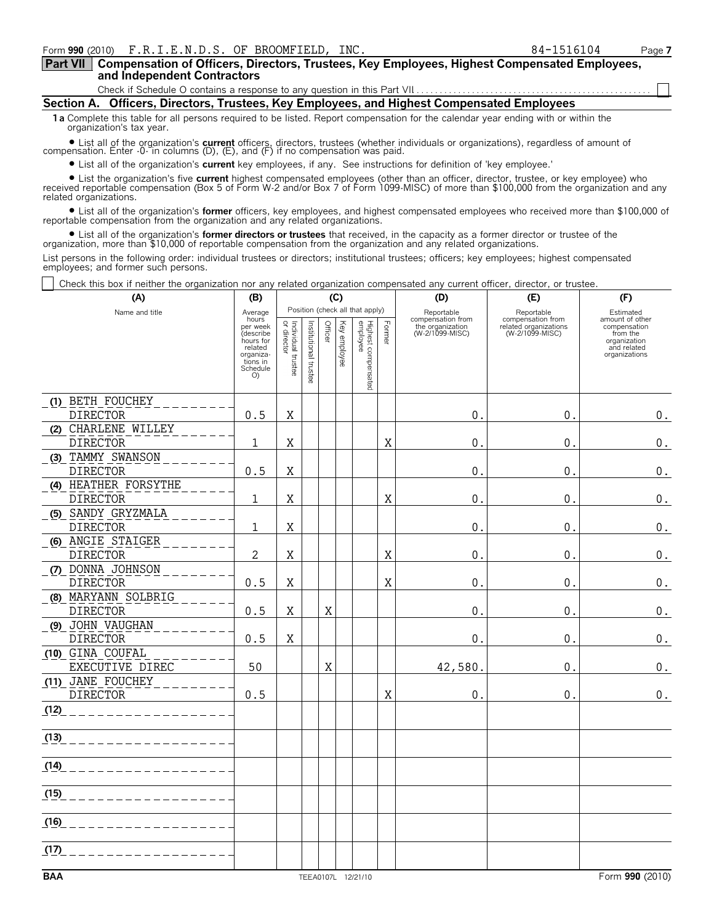**Compensation of Officers, Directors, Trustees, Key Employees, Highest Compensated Employees, and Independent Contractors Part VII**

Check if Schedule O contains a response to any question in this Part VII

**Section A. Officers, Directors, Trustees, Key Employees, and Highest Compensated Employees**

**1a** Complete this table for all persons required to be listed. Report compensation for the calendar year ending with or within the organization's tax year.

? List all of the organization's **current** officers, directors, trustees (whether individuals or organizations), regardless of amount of compensation. Enter -0- in columns (D), (E), and (F) if no compensation was paid.

? List all of the organization's **current** key employees, if any. See instructions for definition of 'key employee.'

? List the organization's five **current** highest compensated employees (other than an officer, director, trustee, or key employee) who received reportable compensation (Box 5 of Form W-2 and/or Box 7 of Form 1099-MISC) of more than \$100,000 from the organization and any related organizations.

? List all of the organization's **former** officers, key employees, and highest compensated employees who received more than \$100,000 of reportable compensation from the organization and any related organizations.

? List all of the organization's **former directors or trustees** that received, in the capacity as a former director or trustee of the organization, more than \$10,000 of reportable compensation from the organization and any related organizations.

List persons in the following order: individual trustees or directors; institutional trustees; officers; key employees; highest compensated employees; and former such persons.

Check this box if neither the organization nor any related organization compensated any current officer, director, or trustee.

| (A)                                    | (C)<br>(B)                                                                     |                                   |                       |         |              |                                                                    |        | (D)                                                                    | (E)                                                                         | (F)                                                                                                      |  |
|----------------------------------------|--------------------------------------------------------------------------------|-----------------------------------|-----------------------|---------|--------------|--------------------------------------------------------------------|--------|------------------------------------------------------------------------|-----------------------------------------------------------------------------|----------------------------------------------------------------------------------------------------------|--|
| Name and title                         | Average<br>hours<br>per week<br>(describe<br>hours for<br>related<br>organiza- | Individual trustee<br>or director | Institutional trustee | Officer | Key employee | Position (check all that apply)<br>Highest compensated<br>employee | Former | Reportable<br>compensation from<br>the organization<br>(W-2/1099-MISC) | Reportable<br>compensation from<br>related organizations<br>(W-2/1099-MISC) | Estimated<br>amount of other<br>compensation<br>from the<br>organization<br>and related<br>organizations |  |
|                                        | tions in<br>Schedule<br>O                                                      |                                   |                       |         |              |                                                                    |        |                                                                        |                                                                             |                                                                                                          |  |
| (1) BETH FOUCHEY                       |                                                                                |                                   |                       |         |              |                                                                    |        |                                                                        |                                                                             |                                                                                                          |  |
| <b>DIRECTOR</b>                        | 0.5                                                                            | X                                 |                       |         |              |                                                                    |        | 0.                                                                     | 0.                                                                          | $0_{\cdot}$                                                                                              |  |
| (2) CHARLENE WILLEY                    |                                                                                |                                   |                       |         |              |                                                                    |        |                                                                        |                                                                             |                                                                                                          |  |
| <b>DIRECTOR</b><br>(3) TAMMY SWANSON   | $\mathbf{1}$                                                                   | Χ                                 |                       |         |              |                                                                    | X      | 0.                                                                     | $\mathbf{0}$ .                                                              | $\boldsymbol{0}$ .                                                                                       |  |
| <b>DIRECTOR</b>                        | 0.5                                                                            | $\mathbf X$                       |                       |         |              |                                                                    |        | 0.                                                                     | $\mathbf{0}$ .                                                              | $\boldsymbol{0}$ .                                                                                       |  |
| (4) HEATHER FORSYTHE                   |                                                                                |                                   |                       |         |              |                                                                    |        |                                                                        |                                                                             |                                                                                                          |  |
| <b>DIRECTOR</b>                        | $\mathbf{1}$                                                                   | Χ                                 |                       |         |              |                                                                    | X      | 0.                                                                     | 0.                                                                          | $\boldsymbol{0}$ .                                                                                       |  |
| (5) SANDY GRYZMALA                     |                                                                                |                                   |                       |         |              |                                                                    |        |                                                                        |                                                                             |                                                                                                          |  |
| <b>DIRECTOR</b>                        | 1                                                                              | X                                 |                       |         |              |                                                                    |        | 0.                                                                     | 0.                                                                          | $\boldsymbol{0}$ .                                                                                       |  |
| (6) ANGIE STAIGER                      |                                                                                |                                   |                       |         |              |                                                                    |        |                                                                        |                                                                             |                                                                                                          |  |
| <b>DIRECTOR</b>                        | 2                                                                              | Χ                                 |                       |         |              |                                                                    | X      | 0.                                                                     | 0.                                                                          | $\boldsymbol{0}$ .                                                                                       |  |
| (7) DONNA JOHNSON                      |                                                                                |                                   |                       |         |              |                                                                    |        |                                                                        |                                                                             |                                                                                                          |  |
| <b>DIRECTOR</b>                        | $0.5\,$                                                                        | X                                 |                       |         |              |                                                                    | X      | 0.                                                                     | $\mathbf{0}$ .                                                              | $\boldsymbol{0}$ .                                                                                       |  |
| (8) MARYANN SOLBRIG<br><b>DIRECTOR</b> | 0.5                                                                            | Χ                                 |                       | Χ       |              |                                                                    |        | $0$ .                                                                  | 0.                                                                          | $\boldsymbol{0}$ .                                                                                       |  |
| (9) JOHN VAUGHAN                       |                                                                                |                                   |                       |         |              |                                                                    |        |                                                                        |                                                                             |                                                                                                          |  |
| <b>DIRECTOR</b>                        | 0.5                                                                            | X                                 |                       |         |              |                                                                    |        | 0.                                                                     | $\mathbf{0}$ .                                                              | $\boldsymbol{0}$ .                                                                                       |  |
| (10) GINA COUFAL                       |                                                                                |                                   |                       |         |              |                                                                    |        |                                                                        |                                                                             |                                                                                                          |  |
| EXECUTIVE DIREC                        | 50                                                                             |                                   |                       | X       |              |                                                                    |        | 42,580.                                                                | 0.                                                                          | $\boldsymbol{0}$ .                                                                                       |  |
| (11) JANE FOUCHEY                      |                                                                                |                                   |                       |         |              |                                                                    |        |                                                                        |                                                                             |                                                                                                          |  |
| <b>DIRECTOR</b>                        | 0.5                                                                            |                                   |                       |         |              |                                                                    | X      | 0.                                                                     | $\mathbf{0}$                                                                | 0.                                                                                                       |  |
| (12)                                   |                                                                                |                                   |                       |         |              |                                                                    |        |                                                                        |                                                                             |                                                                                                          |  |
| (13)<br>.                              |                                                                                |                                   |                       |         |              |                                                                    |        |                                                                        |                                                                             |                                                                                                          |  |
|                                        |                                                                                |                                   |                       |         |              |                                                                    |        |                                                                        |                                                                             |                                                                                                          |  |
| $(14)$ _ _ _ _ _ _ _ _ _               |                                                                                |                                   |                       |         |              |                                                                    |        |                                                                        |                                                                             |                                                                                                          |  |
| $(15)$ _ _ _ _ _ _ _ _ _               |                                                                                |                                   |                       |         |              |                                                                    |        |                                                                        |                                                                             |                                                                                                          |  |
| <u>(16) _ _ _ _ _ _ _ _ _ _</u>        |                                                                                |                                   |                       |         |              |                                                                    |        |                                                                        |                                                                             |                                                                                                          |  |
| (17)                                   |                                                                                |                                   |                       |         |              |                                                                    |        |                                                                        |                                                                             |                                                                                                          |  |
| <b>BAA</b>                             |                                                                                |                                   |                       |         |              | TEEA0107L 12/21/10                                                 |        |                                                                        |                                                                             | Form 990 (2010)                                                                                          |  |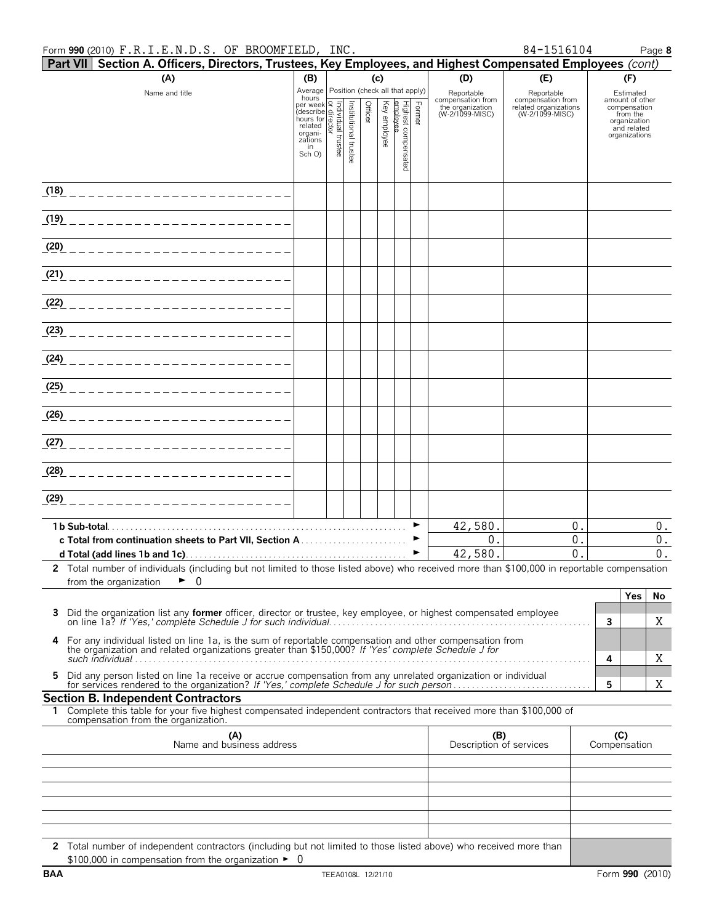#### Form **990** (2010) Page **8** F.R.I.E.N.D.S. OF BROOMFIELD, INC. 84-1516104

| 84-1516104 |  |  |
|------------|--|--|

| Part VII Section A. Officers, Directors, Trustees, Key Employees, and Highest Compensated Employees (cont)                                                      |                                                                                                                    |  |                       |         |          |                                 |        |                                                          |                                                               |              |                                 |
|-----------------------------------------------------------------------------------------------------------------------------------------------------------------|--------------------------------------------------------------------------------------------------------------------|--|-----------------------|---------|----------|---------------------------------|--------|----------------------------------------------------------|---------------------------------------------------------------|--------------|---------------------------------|
| (A)                                                                                                                                                             | (D)<br>(c)<br>(B)                                                                                                  |  | (E)                   |         | (F)      |                                 |        |                                                          |                                                               |              |                                 |
| Name and title                                                                                                                                                  | Average Position (check all that apply)<br>hours                                                                   |  |                       |         |          |                                 |        | Reportable                                               | Reportable                                                    |              | Estimated                       |
|                                                                                                                                                                 | nours<br>per week<br>(describe singularity)<br>mours for related<br>related<br>organing<br>zations<br>in<br>Sch O) |  |                       | Officer | Key      |                                 | Former | compensation from<br>the organization<br>(W-2/1099-MISC) | compensation from<br>related organizations<br>(W-2/1099-MISC) |              | amount of other<br>compensation |
|                                                                                                                                                                 |                                                                                                                    |  |                       |         | employee |                                 |        |                                                          |                                                               |              | from the<br>organization        |
|                                                                                                                                                                 |                                                                                                                    |  |                       |         |          |                                 |        |                                                          |                                                               |              | and related<br>organizations    |
|                                                                                                                                                                 |                                                                                                                    |  | Institutional trustee |         |          | Highest compensated<br>employee |        |                                                          |                                                               |              |                                 |
|                                                                                                                                                                 |                                                                                                                    |  |                       |         |          |                                 |        |                                                          |                                                               |              |                                 |
|                                                                                                                                                                 |                                                                                                                    |  |                       |         |          |                                 |        |                                                          |                                                               |              |                                 |
| (1 <u>8)</u> _____________________________                                                                                                                      |                                                                                                                    |  |                       |         |          |                                 |        |                                                          |                                                               |              |                                 |
|                                                                                                                                                                 |                                                                                                                    |  |                       |         |          |                                 |        |                                                          |                                                               |              |                                 |
| <u>(19) _______________________</u>                                                                                                                             |                                                                                                                    |  |                       |         |          |                                 |        |                                                          |                                                               |              |                                 |
|                                                                                                                                                                 |                                                                                                                    |  |                       |         |          |                                 |        |                                                          |                                                               |              |                                 |
| <u>(20) ________________________</u>                                                                                                                            |                                                                                                                    |  |                       |         |          |                                 |        |                                                          |                                                               |              |                                 |
|                                                                                                                                                                 |                                                                                                                    |  |                       |         |          |                                 |        |                                                          |                                                               |              |                                 |
|                                                                                                                                                                 |                                                                                                                    |  |                       |         |          |                                 |        |                                                          |                                                               |              |                                 |
|                                                                                                                                                                 |                                                                                                                    |  |                       |         |          |                                 |        |                                                          |                                                               |              |                                 |
|                                                                                                                                                                 |                                                                                                                    |  |                       |         |          |                                 |        |                                                          |                                                               |              |                                 |
| (2 <u>3)</u> ___________________________                                                                                                                        |                                                                                                                    |  |                       |         |          |                                 |        |                                                          |                                                               |              |                                 |
|                                                                                                                                                                 |                                                                                                                    |  |                       |         |          |                                 |        |                                                          |                                                               |              |                                 |
|                                                                                                                                                                 |                                                                                                                    |  |                       |         |          |                                 |        |                                                          |                                                               |              |                                 |
|                                                                                                                                                                 |                                                                                                                    |  |                       |         |          |                                 |        |                                                          |                                                               |              |                                 |
| <u>(25) ________________________</u>                                                                                                                            |                                                                                                                    |  |                       |         |          |                                 |        |                                                          |                                                               |              |                                 |
|                                                                                                                                                                 |                                                                                                                    |  |                       |         |          |                                 |        |                                                          |                                                               |              |                                 |
| <u>(26) ________________________</u>                                                                                                                            |                                                                                                                    |  |                       |         |          |                                 |        |                                                          |                                                               |              |                                 |
|                                                                                                                                                                 |                                                                                                                    |  |                       |         |          |                                 |        |                                                          |                                                               |              |                                 |
| (27) ___________________________                                                                                                                                |                                                                                                                    |  |                       |         |          |                                 |        |                                                          |                                                               |              |                                 |
|                                                                                                                                                                 |                                                                                                                    |  |                       |         |          |                                 |        |                                                          |                                                               |              |                                 |
|                                                                                                                                                                 |                                                                                                                    |  |                       |         |          |                                 |        |                                                          |                                                               |              |                                 |
|                                                                                                                                                                 |                                                                                                                    |  |                       |         |          |                                 |        |                                                          |                                                               |              |                                 |
| (29) __________________________                                                                                                                                 |                                                                                                                    |  |                       |         |          |                                 |        |                                                          |                                                               |              |                                 |
|                                                                                                                                                                 |                                                                                                                    |  |                       |         |          |                                 |        | 42,580.                                                  | 0.                                                            |              | $0$ .                           |
|                                                                                                                                                                 |                                                                                                                    |  |                       |         |          |                                 |        | 0.                                                       | 0.                                                            |              | 0.                              |
|                                                                                                                                                                 |                                                                                                                    |  |                       |         |          |                                 | ▶      | 42,580.                                                  | $\Omega$ .                                                    |              | 0.                              |
| 2 Total number of individuals (including but not limited to those listed above) who received more than \$100,000 in reportable compensation                     |                                                                                                                    |  |                       |         |          |                                 |        |                                                          |                                                               |              |                                 |
| 0<br>from the organization                                                                                                                                      |                                                                                                                    |  |                       |         |          |                                 |        |                                                          |                                                               |              |                                 |
|                                                                                                                                                                 |                                                                                                                    |  |                       |         |          |                                 |        |                                                          |                                                               |              | <b>Yes</b><br><b>No</b>         |
| Did the organization list any former officer, director or trustee, key employee, or highest compensated employee<br>3                                           |                                                                                                                    |  |                       |         |          |                                 |        |                                                          |                                                               |              |                                 |
|                                                                                                                                                                 |                                                                                                                    |  |                       |         |          |                                 |        |                                                          |                                                               | $\mathbf{3}$ | Χ                               |
| For any individual listed on line 1a, is the sum of reportable compensation and other compensation from<br>4                                                    |                                                                                                                    |  |                       |         |          |                                 |        |                                                          |                                                               |              |                                 |
| the organization and related organizations greater than \$150,000? If 'Yes' complete Schedule J for                                                             |                                                                                                                    |  |                       |         |          |                                 |        |                                                          |                                                               | 4            | Χ                               |
| Did any person listed on line 1a receive or accrue compensation from any unrelated organization or individual<br>5.                                             |                                                                                                                    |  |                       |         |          |                                 |        |                                                          |                                                               |              |                                 |
|                                                                                                                                                                 |                                                                                                                    |  |                       |         |          |                                 |        |                                                          |                                                               | 5            | X                               |
| <b>Section B. Independent Contractors</b>                                                                                                                       |                                                                                                                    |  |                       |         |          |                                 |        |                                                          |                                                               |              |                                 |
| Complete this table for your five highest compensated independent contractors that received more than \$100,000 of<br>1.<br>compensation from the organization. |                                                                                                                    |  |                       |         |          |                                 |        |                                                          |                                                               |              |                                 |
|                                                                                                                                                                 |                                                                                                                    |  |                       |         |          |                                 |        |                                                          |                                                               |              | (C)                             |
| (A)<br>(B)<br>Name and business address<br>Description of services                                                                                              |                                                                                                                    |  |                       |         |          |                                 |        | Compensation                                             |                                                               |              |                                 |
|                                                                                                                                                                 |                                                                                                                    |  |                       |         |          |                                 |        |                                                          |                                                               |              |                                 |
|                                                                                                                                                                 |                                                                                                                    |  |                       |         |          |                                 |        |                                                          |                                                               |              |                                 |
|                                                                                                                                                                 |                                                                                                                    |  |                       |         |          |                                 |        |                                                          |                                                               |              |                                 |
|                                                                                                                                                                 |                                                                                                                    |  |                       |         |          |                                 |        |                                                          |                                                               |              |                                 |
|                                                                                                                                                                 |                                                                                                                    |  |                       |         |          |                                 |        |                                                          |                                                               |              |                                 |
|                                                                                                                                                                 |                                                                                                                    |  |                       |         |          |                                 |        |                                                          |                                                               |              |                                 |
| 2 Total number of independent contractors (including but not limited to those listed above) who received more than                                              |                                                                                                                    |  |                       |         |          |                                 |        |                                                          |                                                               |              |                                 |
| \$100,000 in compensation from the organization $\blacktriangleright$ 0                                                                                         |                                                                                                                    |  |                       |         |          |                                 |        |                                                          |                                                               |              |                                 |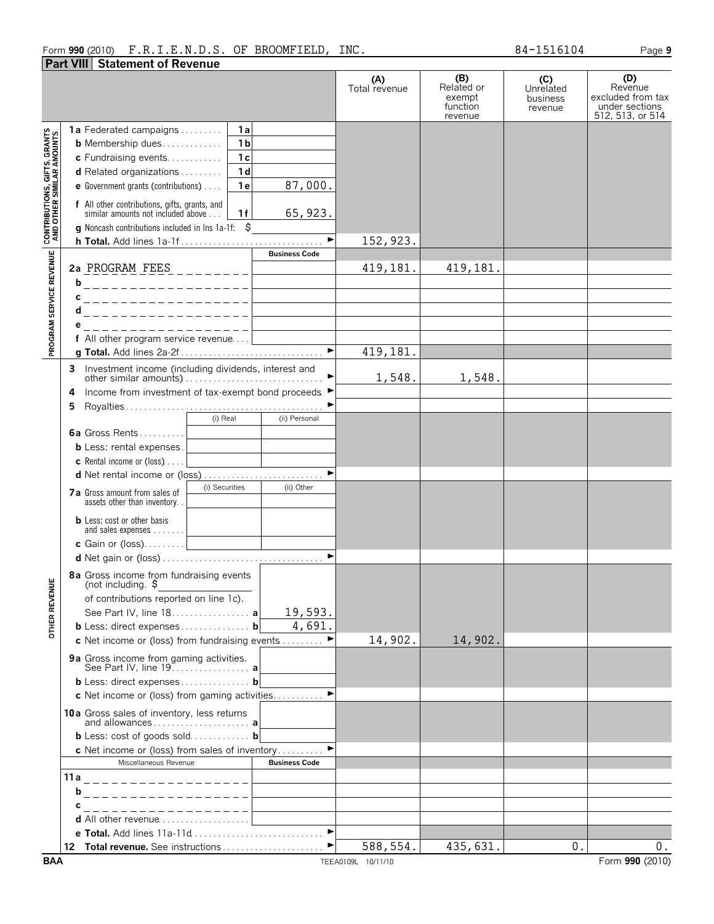#### Form **990** (2010) Page **9** F.R.I.E.N.D.S. OF BROOMFIELD, INC. 84-1516104 **Part VIII Statement of Revenue**

|                                                                   |                                                                                                                                                                   | (A)<br>Total revenue | (B)<br>Related or<br>exempt<br>function<br>revenue | (C)<br>Unrelated<br>business<br>revenue | (D)<br>Revenue<br>excluded from tax<br>under sections<br>512, 513, or 514 |
|-------------------------------------------------------------------|-------------------------------------------------------------------------------------------------------------------------------------------------------------------|----------------------|----------------------------------------------------|-----------------------------------------|---------------------------------------------------------------------------|
|                                                                   | 1a<br><b>1a</b> Federated campaigns $\ldots$                                                                                                                      |                      |                                                    |                                         |                                                                           |
|                                                                   | 1 <sub>b</sub><br><b>b</b> Membership dues                                                                                                                        |                      |                                                    |                                         |                                                                           |
|                                                                   | 1 <sub>c</sub><br>c Fundraising events                                                                                                                            |                      |                                                    |                                         |                                                                           |
|                                                                   | 1 <sub>d</sub><br>d Related organizations                                                                                                                         |                      |                                                    |                                         |                                                                           |
|                                                                   | 87,000.<br>1e<br>e Government grants (contributions)                                                                                                              |                      |                                                    |                                         |                                                                           |
|                                                                   |                                                                                                                                                                   |                      |                                                    |                                         |                                                                           |
| <b>CONTRIBUTIONS, GIFTS, GRANTS<br/>AND OTHER SIMILAR AMOUNTS</b> | <b>f</b> All other contributions, gifts, grants, and<br>similar amounts not included above<br>65, 923.<br>1f<br>g Noncash contributions included in lns 1a-1f: \$ |                      |                                                    |                                         |                                                                           |
|                                                                   |                                                                                                                                                                   | 152,923.             |                                                    |                                         |                                                                           |
|                                                                   | <b>Business Code</b>                                                                                                                                              |                      |                                                    |                                         |                                                                           |
| PROGRAM SERVICE REVENUE                                           | 2a PROGRAM FEES _________                                                                                                                                         | 419,181.             | 419,181.                                           |                                         |                                                                           |
|                                                                   | b                                                                                                                                                                 |                      |                                                    |                                         |                                                                           |
|                                                                   | . _ _ _ _ _ _ _ _ _ _ _ _ _ _ _ _ _ _                                                                                                                             |                      |                                                    |                                         |                                                                           |
|                                                                   | _ _ _ _ _ _ _ _ _ _ _ _ _ _ _ _ _ _ _<br>c                                                                                                                        |                      |                                                    |                                         |                                                                           |
|                                                                   | d____________________                                                                                                                                             |                      |                                                    |                                         |                                                                           |
|                                                                   | _ _ _ _ _ _ _ _ _ _ _ _ _ _ _ _ _ _                                                                                                                               |                      |                                                    |                                         |                                                                           |
|                                                                   | f All other program service revenue<br>$\blacktriangleright$                                                                                                      |                      |                                                    |                                         |                                                                           |
|                                                                   |                                                                                                                                                                   | 419,181.             |                                                    |                                         |                                                                           |
|                                                                   | 3                                                                                                                                                                 | 1,548.               | 1,548.                                             |                                         |                                                                           |
|                                                                   | Income from investment of tax-exempt bond proceeds ▶<br>4                                                                                                         |                      |                                                    |                                         |                                                                           |
|                                                                   | 5                                                                                                                                                                 |                      |                                                    |                                         |                                                                           |
|                                                                   | $(i)$ Real<br>(ii) Personal                                                                                                                                       |                      |                                                    |                                         |                                                                           |
|                                                                   | 6a Gross Rents                                                                                                                                                    |                      |                                                    |                                         |                                                                           |
|                                                                   | <b>b</b> Less: rental expenses.                                                                                                                                   |                      |                                                    |                                         |                                                                           |
|                                                                   | <b>c</b> Rental income or (loss) $\ldots$                                                                                                                         |                      |                                                    |                                         |                                                                           |
|                                                                   | $\blacktriangleright$                                                                                                                                             |                      |                                                    |                                         |                                                                           |
|                                                                   | (i) Securities<br>(ii) Other                                                                                                                                      |                      |                                                    |                                         |                                                                           |
|                                                                   | 7a Gross amount from sales of<br>assets other than inventory                                                                                                      |                      |                                                    |                                         |                                                                           |
|                                                                   | <b>b</b> Less: cost or other basis<br>and sales expenses <u>  _ _ _ _ _ _ _ _ _ _ _ _</u>                                                                         |                      |                                                    |                                         |                                                                           |
|                                                                   | c Gain or (loss) <br><u>c Gain or (loss)</u>                                                                                                                      |                      |                                                    |                                         |                                                                           |
|                                                                   |                                                                                                                                                                   |                      |                                                    |                                         |                                                                           |
|                                                                   | 8a Gross income from fundraising events<br>(not including. \$                                                                                                     |                      |                                                    |                                         |                                                                           |
|                                                                   | of contributions reported on line 1c).                                                                                                                            |                      |                                                    |                                         |                                                                           |
| <b>OTHER REVENUE</b>                                              | 19,593.<br>See Part IV, line 18. a                                                                                                                                |                      |                                                    |                                         |                                                                           |
|                                                                   | 4,691<br>b Less: direct expenses b                                                                                                                                |                      |                                                    |                                         |                                                                           |
|                                                                   | c Net income or (loss) from fundraising events                                                                                                                    | 14,902.              | 14,902.                                            |                                         |                                                                           |
|                                                                   | 9a Gross income from gaming activities.                                                                                                                           |                      |                                                    |                                         |                                                                           |
|                                                                   | b Less: direct expenses b                                                                                                                                         |                      |                                                    |                                         |                                                                           |
|                                                                   | c Net income or (loss) from gaming activities                                                                                                                     |                      |                                                    |                                         |                                                                           |
|                                                                   | 10a Gross sales of inventory, less returns                                                                                                                        |                      |                                                    |                                         |                                                                           |
|                                                                   | <b>b</b> Less: cost of goods sold <b>b</b>                                                                                                                        |                      |                                                    |                                         |                                                                           |
|                                                                   | c Net income or (loss) from sales of inventory                                                                                                                    |                      |                                                    |                                         |                                                                           |
|                                                                   | Miscellaneous Revenue<br><b>Business Code</b>                                                                                                                     |                      |                                                    |                                         |                                                                           |
|                                                                   |                                                                                                                                                                   |                      |                                                    |                                         |                                                                           |
|                                                                   | b<br>__________________                                                                                                                                           |                      |                                                    |                                         |                                                                           |
|                                                                   | -----------------                                                                                                                                                 |                      |                                                    |                                         |                                                                           |
|                                                                   | <b>d</b> All other revenue $\ldots, \ldots, \ldots, \ldots, \ldots$                                                                                               |                      |                                                    |                                         |                                                                           |
|                                                                   | e Total. Add lines 11a-11d                                                                                                                                        |                      |                                                    |                                         |                                                                           |
|                                                                   |                                                                                                                                                                   | 588,554.             | 435,631.                                           | 0.                                      | $0$ .                                                                     |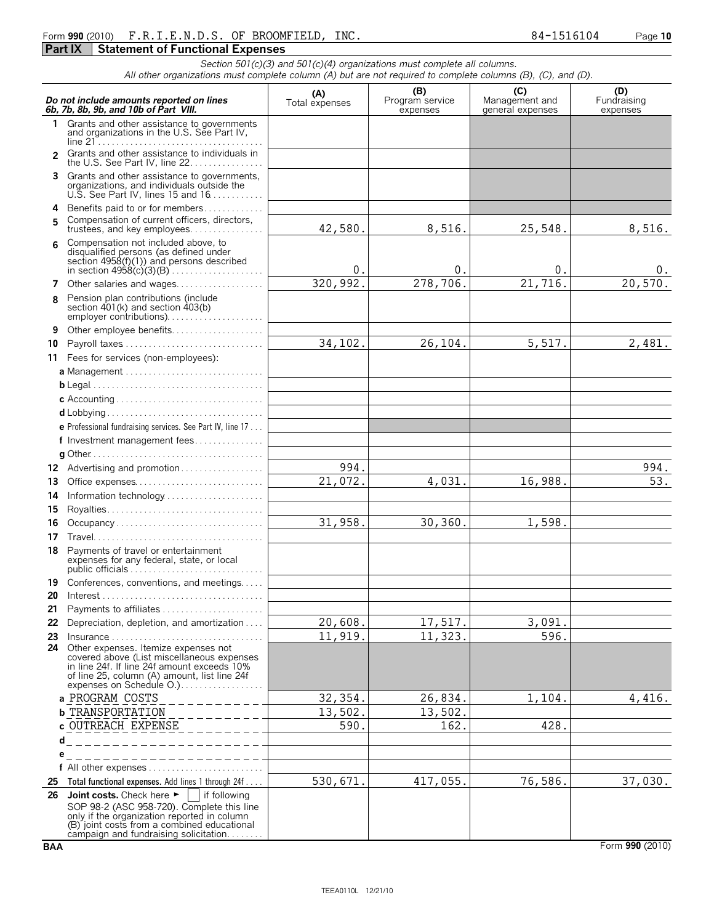#### Form **990** (2010) Page **10** F.R.I.E.N.D.S. OF BROOMFIELD, INC. 84-1516104 **Part IX | Statement of Functional Expenses**

*Section 501(c)(3) and 501(c)(4) organizations must complete all columns. All other organizations must complete column (A) but are not required to complete columns (B), (C), and (D).*

|              | Do not include amounts reported on lines<br>6b, 7b, 8b, 9b, and 10b of Part VIII.                                                                                                                                                                              | (A)<br>Total expenses | (B)<br>Program service<br>expenses | (C)<br>Management and<br>general expenses | (D)<br>Fundraising<br>expenses |
|--------------|----------------------------------------------------------------------------------------------------------------------------------------------------------------------------------------------------------------------------------------------------------------|-----------------------|------------------------------------|-------------------------------------------|--------------------------------|
| $\mathbf{1}$ | Grants and other assistance to governments<br>and organizations in the U.S. See Part IV,                                                                                                                                                                       |                       |                                    |                                           |                                |
| 2            | Grants and other assistance to individuals in<br>the U.S. See Part IV, line 22.                                                                                                                                                                                |                       |                                    |                                           |                                |
|              | 3 Grants and other assistance to governments,<br>organizations, and individuals outside the<br>U.S. See Part IV, lines 15 and $16$                                                                                                                             |                       |                                    |                                           |                                |
|              | 4 Benefits paid to or for members                                                                                                                                                                                                                              |                       |                                    |                                           |                                |
| 5            | Compensation of current officers, directors,                                                                                                                                                                                                                   | 42,580.               | 8,516.                             | 25,548.                                   | 8,516.                         |
| 6            | Compensation not included above, to<br>disqualified persons (as defined under<br>section $4958(f)(1)$ and persons described                                                                                                                                    | 0.                    | 0.                                 | 0.                                        | 0.                             |
| 7            | Other salaries and wages                                                                                                                                                                                                                                       | 320,992.              | 278, 706.                          | 21,716.                                   | 20,570.                        |
| 8            | Pension plan contributions (include<br>section $401(k)$ and section $403(b)$                                                                                                                                                                                   |                       |                                    |                                           |                                |
| 9            | Other employee benefits                                                                                                                                                                                                                                        |                       |                                    |                                           |                                |
| 10           | Payroll taxes                                                                                                                                                                                                                                                  | 34,102.               | 26,104.                            | 5,517.                                    | 2,481.                         |
|              | 11 Fees for services (non-employees):                                                                                                                                                                                                                          |                       |                                    |                                           |                                |
|              |                                                                                                                                                                                                                                                                |                       |                                    |                                           |                                |
|              |                                                                                                                                                                                                                                                                |                       |                                    |                                           |                                |
|              |                                                                                                                                                                                                                                                                |                       |                                    |                                           |                                |
|              |                                                                                                                                                                                                                                                                |                       |                                    |                                           |                                |
|              | <b>e</b> Professional fundraising services. See Part IV, line 17                                                                                                                                                                                               |                       |                                    |                                           |                                |
|              | f Investment management fees                                                                                                                                                                                                                                   |                       |                                    |                                           |                                |
|              |                                                                                                                                                                                                                                                                |                       |                                    |                                           |                                |
|              |                                                                                                                                                                                                                                                                | 994.                  |                                    |                                           | 994.                           |
| 13           | Office expenses                                                                                                                                                                                                                                                | 21,072.               | 4,031.                             | 16,988.                                   | 53.                            |
| 14           | Information technology                                                                                                                                                                                                                                         |                       |                                    |                                           |                                |
| 15           |                                                                                                                                                                                                                                                                | 31,958.               | 30,360.                            | 1,598.                                    |                                |
| 16<br>17     | Occupancy                                                                                                                                                                                                                                                      |                       |                                    |                                           |                                |
| 18           | Payments of travel or entertainment<br>expenses for any federal, state, or local<br>public officials $\ldots \ldots \ldots \ldots \ldots \ldots \ldots \ldots \ldots$                                                                                          |                       |                                    |                                           |                                |
| 19           | Conferences, conventions, and meetings                                                                                                                                                                                                                         |                       |                                    |                                           |                                |
| 20           | $Interest \dots \dots \dots \dots \dots \dots \dots \dots \dots \dots \dots \dots \dots \dots$                                                                                                                                                                 |                       |                                    |                                           |                                |
|              | 21 Payments to affiliates                                                                                                                                                                                                                                      |                       |                                    |                                           |                                |
|              | 22 Depreciation, depletion, and amortization                                                                                                                                                                                                                   | 20,608.               | 17,517.                            | 3,091.                                    |                                |
| 23<br>24     | $Insurance \ldots \ldots \ldots \ldots \ldots$<br>Other expenses. Itemize expenses not<br>covered above (List miscellaneous expenses<br>in line 24f. If line 24f amount exceeds 10%<br>of line 25, column (A) amount, list line 24f<br>expenses on Schedule O. | 11,919.               | 11,323.                            | 596.                                      |                                |
|              | a PROGRAM COSTS                                                                                                                                                                                                                                                | 32, 354.              | 26,834.                            | 1,104.                                    | 4,416.                         |
|              | <b>b</b> TRANSPORTATION                                                                                                                                                                                                                                        | 13,502.               | 13,502.                            |                                           |                                |
|              | c OUTREACH EXPENSE                                                                                                                                                                                                                                             | 590.                  | 162.                               | 428.                                      |                                |
|              | d                                                                                                                                                                                                                                                              |                       |                                    |                                           |                                |
|              | е                                                                                                                                                                                                                                                              |                       |                                    |                                           |                                |
| 25           | Total functional expenses. Add lines 1 through 24f                                                                                                                                                                                                             | 530,671.              | 417,055.                           | 76,586.                                   | 37,030.                        |
| 26           | Joint costs. Check here $\blacktriangleright$<br>if following                                                                                                                                                                                                  |                       |                                    |                                           |                                |
|              | SOP 98-2 (ASC 958-720). Complete this line<br>only if the organization reported in column<br>(B) joint costs from a combined educational<br>campaign and fundraising solicitation                                                                              |                       |                                    |                                           |                                |

**BAA** Form 990 (2010)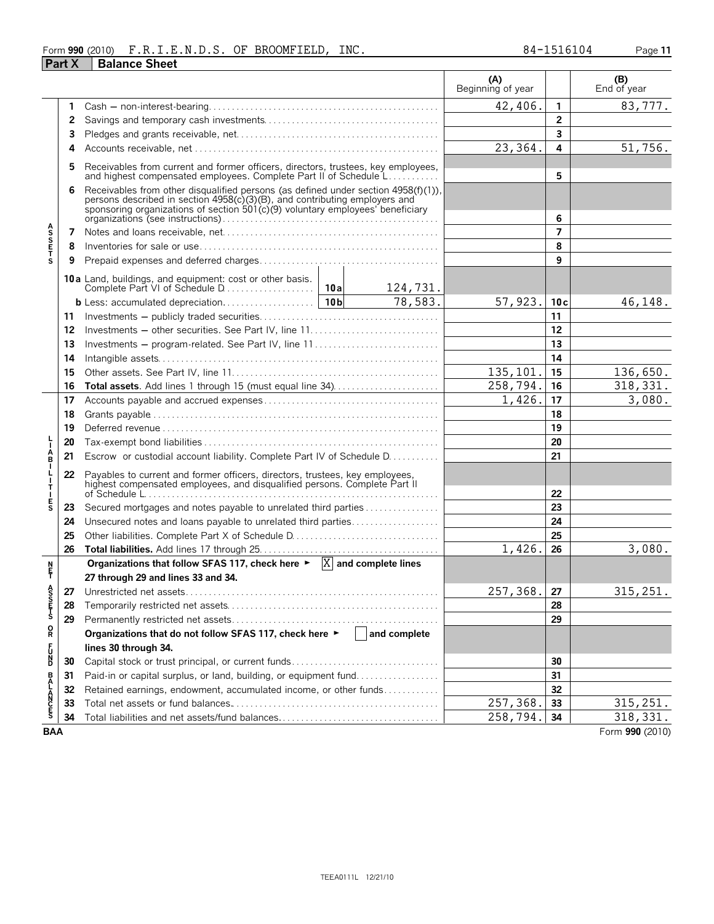#### Form **990** (2010) Page **11** F.R.I.E.N.D.S. OF BROOMFIELD, INC. 84-1516104 **Part X Balance Sheet**

|                                 |    |                                                                                                                                                                                                                                                 |  |                      | (A)<br>Beginning of year |                | (B)<br>End of year |
|---------------------------------|----|-------------------------------------------------------------------------------------------------------------------------------------------------------------------------------------------------------------------------------------------------|--|----------------------|--------------------------|----------------|--------------------|
|                                 | 1  |                                                                                                                                                                                                                                                 |  |                      | 42,406.                  | 1              | 83,777.            |
|                                 | 2  |                                                                                                                                                                                                                                                 |  |                      |                          | $\overline{2}$ |                    |
|                                 | 3  |                                                                                                                                                                                                                                                 |  |                      |                          | $\overline{3}$ |                    |
|                                 | 4  |                                                                                                                                                                                                                                                 |  |                      | 23,364.                  | 4              | 51,756.            |
|                                 | 5  | Receivables from current and former officers, directors, trustees, key employees, and highest compensated employees. Complete Part II of Schedule L                                                                                             |  |                      |                          | 5              |                    |
|                                 | 6  |                                                                                                                                                                                                                                                 |  |                      |                          |                |                    |
|                                 |    | Receivables from other disqualified persons (as defined under section 4958(f)(1)), persons described in section 4958(c)(3)(B), and contributing employers and<br>sponsoring organizations of section 501(c)(9) voluntary employees' beneficiary |  | 6                    |                          |                |                    |
|                                 | 7  |                                                                                                                                                                                                                                                 |  |                      |                          | $\overline{7}$ |                    |
| <b>ASSETS</b>                   | 8  |                                                                                                                                                                                                                                                 |  |                      |                          | 8              |                    |
|                                 | 9  |                                                                                                                                                                                                                                                 |  |                      |                          | 9              |                    |
|                                 |    | <b>10a</b> Land, buildings, and equipment: cost or other basis.                                                                                                                                                                                 |  | 124,731.             |                          |                |                    |
|                                 |    |                                                                                                                                                                                                                                                 |  | 78,583.              | 57,923.                  | 10c            | 46,148.            |
|                                 | 11 |                                                                                                                                                                                                                                                 |  | 11                   |                          |                |                    |
|                                 | 12 |                                                                                                                                                                                                                                                 |  |                      |                          | 12             |                    |
|                                 | 13 | Investments – program-related. See Part IV, line 11                                                                                                                                                                                             |  |                      |                          | 13             |                    |
|                                 | 14 |                                                                                                                                                                                                                                                 |  |                      | 14                       |                |                    |
|                                 | 15 |                                                                                                                                                                                                                                                 |  | 135,101.             | 15                       | 136,650.       |                    |
|                                 | 16 | Total assets. Add lines 1 through 15 (must equal line 34)                                                                                                                                                                                       |  |                      | 258,794.                 | 16             | 318, 331.          |
|                                 | 17 |                                                                                                                                                                                                                                                 |  |                      | 1,426.                   | 17             | 3,080.             |
|                                 | 18 |                                                                                                                                                                                                                                                 |  | 18                   |                          |                |                    |
|                                 | 19 |                                                                                                                                                                                                                                                 |  | 19                   |                          |                |                    |
|                                 | 20 |                                                                                                                                                                                                                                                 |  |                      | 20                       |                |                    |
| Å                               | 21 | Escrow or custodial account liability. Complete Part IV of Schedule D.                                                                                                                                                                          |  |                      | 21                       |                |                    |
| т                               | 22 | Payables to current and former officers, directors, trustees, key employees, highest compensated employees, and disqualified persons. Complete Part II                                                                                          |  |                      | 22                       |                |                    |
| E<br>S                          | 23 | Secured mortgages and notes payable to unrelated third parties                                                                                                                                                                                  |  |                      |                          | 23             |                    |
|                                 | 24 | Unsecured notes and loans payable to unrelated third parties                                                                                                                                                                                    |  |                      |                          | 24             |                    |
|                                 | 25 |                                                                                                                                                                                                                                                 |  |                      |                          | 25             |                    |
|                                 | 26 |                                                                                                                                                                                                                                                 |  |                      | 1,426.                   | 26             | 3,080.             |
|                                 |    | Organizations that follow SFAS 117, check here $\blacktriangleright$ $ X $ and complete lines                                                                                                                                                   |  |                      |                          |                |                    |
| n<br>F                          |    | 27 through 29 and lines 33 and 34.                                                                                                                                                                                                              |  |                      |                          |                |                    |
|                                 |    |                                                                                                                                                                                                                                                 |  |                      | 257,368.                 | 27             | 315,251.           |
| A<br>S<br>S<br>T<br>S<br>T<br>S | 28 |                                                                                                                                                                                                                                                 |  |                      |                          | 28             |                    |
|                                 | 29 |                                                                                                                                                                                                                                                 |  |                      | 29                       |                |                    |
| R                               |    | Organizations that do not follow SFAS 117, check here ▶                                                                                                                                                                                         |  | $\vert$ and complete |                          |                |                    |
|                                 |    | lines 30 through 34.                                                                                                                                                                                                                            |  |                      |                          |                |                    |
| F<br>D<br>D                     | 30 |                                                                                                                                                                                                                                                 |  |                      | 30                       |                |                    |
|                                 | 31 | Paid-in or capital surplus, or land, building, or equipment fund                                                                                                                                                                                |  |                      | 31                       |                |                    |
|                                 | 32 | Retained earnings, endowment, accumulated income, or other funds                                                                                                                                                                                |  | 32                   |                          |                |                    |
| <b>BALANCES</b>                 | 33 |                                                                                                                                                                                                                                                 |  |                      | 257,368.                 | 33             | 315, 251.          |
|                                 | 34 |                                                                                                                                                                                                                                                 |  |                      | 258,794.                 | 34             | 318, 331.          |
| <b>BAA</b>                      |    |                                                                                                                                                                                                                                                 |  |                      |                          |                | Form 990 (2010)    |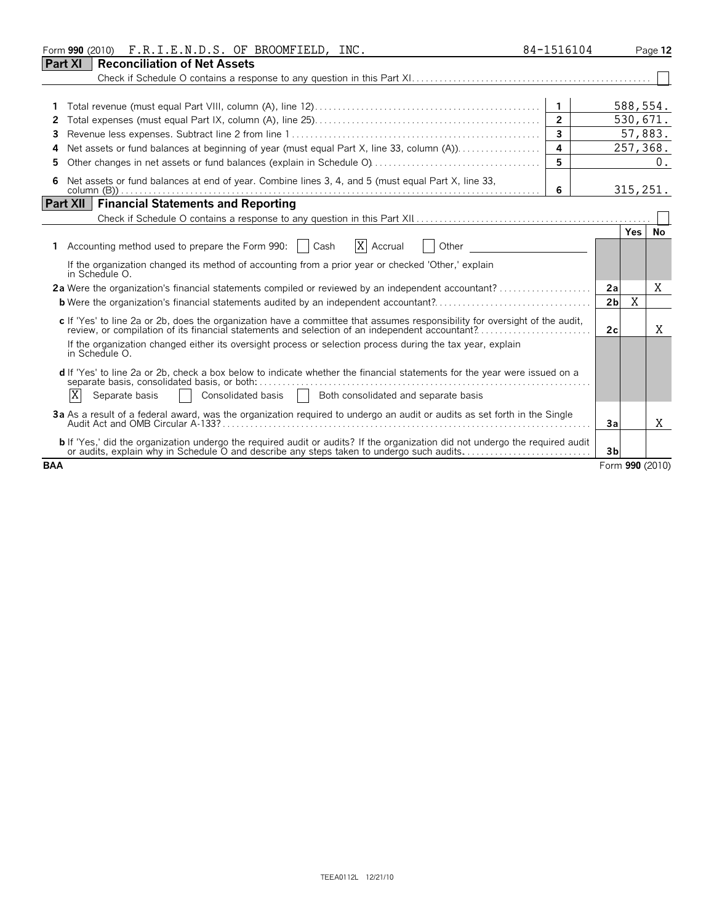|            | Form 990 (2010) F.R.I.E.N.D.S. OF BROOMFIELD, INC.                                                                                                                                                                                | 84-1516104     |                |           | Page 12         |
|------------|-----------------------------------------------------------------------------------------------------------------------------------------------------------------------------------------------------------------------------------|----------------|----------------|-----------|-----------------|
| Part XI    | <b>Reconciliation of Net Assets</b>                                                                                                                                                                                               |                |                |           |                 |
|            |                                                                                                                                                                                                                                   |                |                |           |                 |
|            |                                                                                                                                                                                                                                   |                |                |           |                 |
|            |                                                                                                                                                                                                                                   | $\mathbf{1}$   |                | 588,554.  |                 |
| 2          |                                                                                                                                                                                                                                   | $\overline{2}$ |                | 530,671.  |                 |
| 3          |                                                                                                                                                                                                                                   | $\overline{3}$ |                |           | 57,883.         |
| Δ          | Net assets or fund balances at beginning of year (must equal Part X, line 33, column (A))                                                                                                                                         | $\overline{4}$ |                | 257,368.  |                 |
| 5          |                                                                                                                                                                                                                                   | 5              |                |           | 0.              |
| 6          | Net assets or fund balances at end of year. Combine lines 3, 4, and 5 (must equal Part X, line 33,                                                                                                                                | 6              |                | 315, 251. |                 |
|            | <b>Financial Statements and Reporting</b><br>Part XII                                                                                                                                                                             |                |                |           |                 |
|            | Check if Schedule O contains a response to any question in this Part XII. <b>[1] CHECK</b> if Schedule O contains a response to any question in this Part XII. <b>[1] CHECK</b>                                                   |                |                |           |                 |
|            |                                                                                                                                                                                                                                   |                |                | Yes I     | No              |
|            | X Accrual<br>Accounting method used to prepare the Form 990:     Cash<br>Other                                                                                                                                                    |                |                |           |                 |
|            | If the organization changed its method of accounting from a prior year or checked 'Other,' explain<br>in Schedule O.                                                                                                              |                |                |           |                 |
|            | 2a Were the organization's financial statements compiled or reviewed by an independent accountant?                                                                                                                                |                | 2a             |           | X               |
|            |                                                                                                                                                                                                                                   |                | 2 <sub>b</sub> | X         |                 |
|            | c If 'Yes' to line 2a or 2b, does the organization have a committee that assumes responsibility for oversight of the audit,<br>review, or compilation of its financial statements and selection of an independent accountant?     |                | 2c             |           | X               |
|            | If the organization changed either its oversight process or selection process during the tax year, explain<br>in Schedule O.                                                                                                      |                |                |           |                 |
|            | d If 'Yes' to line 2a or 2b, check a box below to indicate whether the financial statements for the year were issued on a                                                                                                         |                |                |           |                 |
|            | X<br>Consolidated basis   Both consolidated and separate basis<br>Separate basis                                                                                                                                                  |                |                |           |                 |
|            | 3a As a result of a federal award, was the organization required to undergo an audit or audits as set forth in the Single                                                                                                         |                | 3a             |           | Χ               |
|            | <b>b</b> If 'Yes,' did the organization undergo the required audit or audits? If the organization did not undergo the required audit<br>or audits, explain why in Schedule O and describe any steps taken to undergo such audits. |                | 3 <sub>b</sub> |           |                 |
| <b>BAA</b> |                                                                                                                                                                                                                                   |                |                |           | Form 990 (2010) |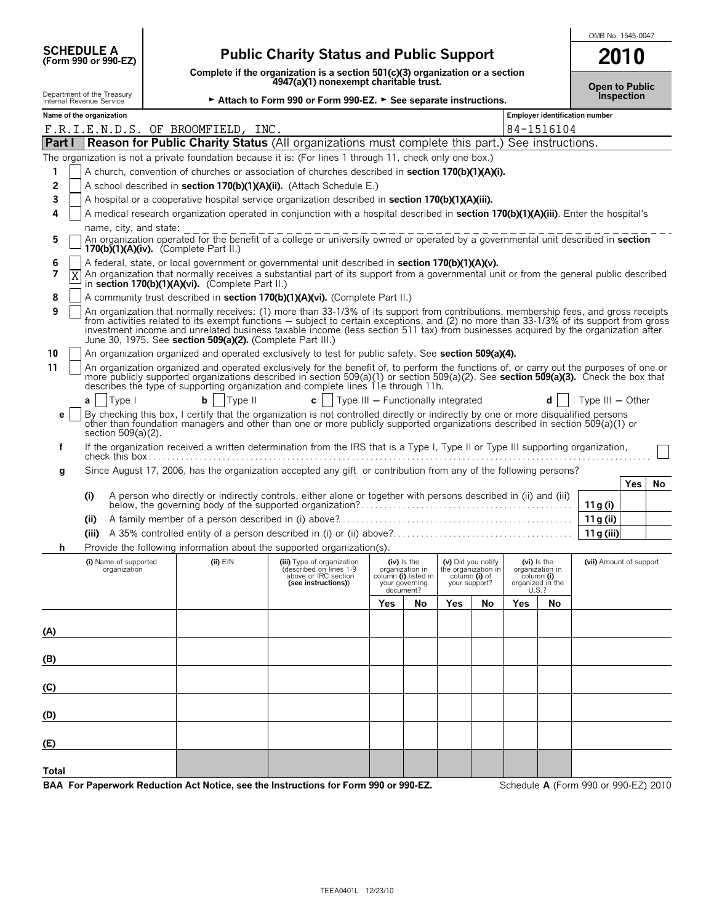|                                                        |                                                                                                                                                                                                                                                                              |                                                                                                                      |     |                                         |               |                                      |       |                                                   | OMB No. 1545-0047                    |
|--------------------------------------------------------|------------------------------------------------------------------------------------------------------------------------------------------------------------------------------------------------------------------------------------------------------------------------------|----------------------------------------------------------------------------------------------------------------------|-----|-----------------------------------------|---------------|--------------------------------------|-------|---------------------------------------------------|--------------------------------------|
| <b>SCHEDULE A</b><br>(Form 990 or 990-EZ)              |                                                                                                                                                                                                                                                                              | <b>Public Charity Status and Public Support</b>                                                                      |     |                                         |               |                                      |       |                                                   | 2010                                 |
|                                                        |                                                                                                                                                                                                                                                                              | Complete if the organization is a section 501(c)(3) organization or a section 4947(a)(1) nonexempt charitable trust. |     |                                         |               |                                      |       |                                                   |                                      |
| Department of the Treasury<br>Internal Revenue Service |                                                                                                                                                                                                                                                                              | Attach to Form 990 or Form 990-EZ. > See separate instructions.                                                      |     |                                         |               |                                      |       |                                                   | <b>Open to Public</b><br>Inspection  |
| Name of the organization                               |                                                                                                                                                                                                                                                                              |                                                                                                                      |     |                                         |               |                                      |       |                                                   | Employer identification number       |
|                                                        | F.R.I.E.N.D.S. OF BROOMFIELD, INC.                                                                                                                                                                                                                                           |                                                                                                                      |     |                                         |               |                                      |       | 84-1516104                                        |                                      |
|                                                        | Part I Reason for Public Charity Status (All organizations must complete this part.) See instructions.<br>The organization is not a private foundation because it is: (For lines 1 through 11, check only one box.)                                                          |                                                                                                                      |     |                                         |               |                                      |       |                                                   |                                      |
| 1                                                      | A church, convention of churches or association of churches described in section 170(b)(1)(A)(i).                                                                                                                                                                            |                                                                                                                      |     |                                         |               |                                      |       |                                                   |                                      |
| 2                                                      | A school described in section 170(b)(1)(A)(ii). (Attach Schedule E.)                                                                                                                                                                                                         |                                                                                                                      |     |                                         |               |                                      |       |                                                   |                                      |
| 3                                                      | A hospital or a cooperative hospital service organization described in section 170(b)(1)(A)(iii).                                                                                                                                                                            |                                                                                                                      |     |                                         |               |                                      |       |                                                   |                                      |
| 4                                                      | A medical research organization operated in conjunction with a hospital described in section 170(b)(1)(A)(iii). Enter the hospital's                                                                                                                                         |                                                                                                                      |     |                                         |               |                                      |       |                                                   |                                      |
| name, city, and state:                                 |                                                                                                                                                                                                                                                                              |                                                                                                                      |     |                                         |               |                                      |       |                                                   |                                      |
| 5                                                      | An organization operated for the benefit of a college or university owned or operated by a governmental unit described in section<br>170(b)(1)(A)(iv). (Complete Part II.)                                                                                                   |                                                                                                                      |     |                                         |               |                                      |       |                                                   |                                      |
| 6                                                      | A federal, state, or local government or governmental unit described in section 170(b)(1)(A)(v).                                                                                                                                                                             |                                                                                                                      |     |                                         |               |                                      |       |                                                   |                                      |
| 7<br>Χ                                                 | An organization that normally receives a substantial part of its support from a governmental unit or from the general public described<br>in section 170(b)(1)(A)(vi). (Complete Part II.)                                                                                   |                                                                                                                      |     |                                         |               |                                      |       |                                                   |                                      |
| 8                                                      | A community trust described in section 170(b)(1)(A)(vi). (Complete Part II.)                                                                                                                                                                                                 |                                                                                                                      |     |                                         |               |                                      |       |                                                   |                                      |
| 9                                                      | An organization that normally receives: (1) more than 33-1/3% of its support from contributions, membership fees, and gross receipts                                                                                                                                         |                                                                                                                      |     |                                         |               |                                      |       |                                                   |                                      |
|                                                        | from activities related to its exempt functions – subject to certain exceptions, and (2) no more than 33-1/3% of its support from gross<br>investment income and unrelated business taxable income (less section 511 tax) from businesses acquired by the organization after |                                                                                                                      |     |                                         |               |                                      |       |                                                   |                                      |
| 10                                                     | June 30, 1975. See section 509(a)(2). (Complete Part III.)<br>An organization organized and operated exclusively to test for public safety. See section 509(a)(4).                                                                                                           |                                                                                                                      |     |                                         |               |                                      |       |                                                   |                                      |
| 11                                                     | An organization organized and operated exclusively for the benefit of, to perform the functions of, or carry out the purposes of one or                                                                                                                                      |                                                                                                                      |     |                                         |               |                                      |       |                                                   |                                      |
|                                                        | more publicly supported organizations described in section 509(a)(1) or section 509(a)(2). See section 509(a)(3). Check the box that<br>describes the type of supporting organization and complete lines 11e through 11h.                                                    |                                                                                                                      |     |                                         |               |                                      |       |                                                   |                                      |
| $a$   Type I                                           | Type II<br>b l                                                                                                                                                                                                                                                               | $\mathbf{c}$   Type III – Functionally integrated                                                                    |     |                                         |               |                                      |       | $\mathsf{d}$                                      | Type $III - Other$                   |
| е                                                      |                                                                                                                                                                                                                                                                              |                                                                                                                      |     |                                         |               |                                      |       |                                                   |                                      |
| section 509(a)(2).                                     | By checking this box, I certify that the organization is not controlled directly or indirectly by one or more disqualified persons other than foundation managers and other than one or more publicly supported organizations                                                |                                                                                                                      |     |                                         |               |                                      |       |                                                   |                                      |
| f                                                      | If the organization received a written determination from the IRS that is a Type I, Type II or Type III supporting organization,                                                                                                                                             |                                                                                                                      |     |                                         |               |                                      |       |                                                   |                                      |
|                                                        | Since August 17, 2006, has the organization accepted any gift or contribution from any of the following persons?                                                                                                                                                             |                                                                                                                      |     |                                         |               |                                      |       |                                                   |                                      |
| g                                                      |                                                                                                                                                                                                                                                                              |                                                                                                                      |     |                                         |               |                                      |       |                                                   | Yes<br>No.                           |
| (i)                                                    | A person who directly or indirectly controls, either alone or together with persons described in (ii) and (iii)                                                                                                                                                              |                                                                                                                      |     |                                         |               |                                      |       |                                                   |                                      |
|                                                        |                                                                                                                                                                                                                                                                              |                                                                                                                      |     |                                         |               |                                      |       |                                                   | 11g(i)                               |
| (ii)                                                   |                                                                                                                                                                                                                                                                              |                                                                                                                      |     |                                         |               |                                      |       |                                                   | 11 g (ii)<br>11 g (iii)              |
| n                                                      | Provide the following information about the supported organization(s).                                                                                                                                                                                                       |                                                                                                                      |     |                                         |               |                                      |       |                                                   |                                      |
| (i) Name of supported                                  | $(ii)$ $EIN$                                                                                                                                                                                                                                                                 | (iii) Type of organization                                                                                           |     | $(iv)$ is the                           |               | (v) Did you notify                   |       | $(vi)$ is the                                     | (vii) Amount of support              |
| organization                                           |                                                                                                                                                                                                                                                                              | (described on lines 1-9<br>above or IRC section                                                                      |     | organization in<br>column (i) listed in |               | the organization in<br>column (i) of |       | organization in<br>column (i)<br>organized in the |                                      |
|                                                        |                                                                                                                                                                                                                                                                              | (see instructions))                                                                                                  |     | your governing<br>document?             | your support? |                                      | U.S.? |                                                   |                                      |
|                                                        |                                                                                                                                                                                                                                                                              |                                                                                                                      | Yes | No                                      | <b>Yes</b>    | No                                   | Yes   | No                                                |                                      |
| <u>(A)</u>                                             |                                                                                                                                                                                                                                                                              |                                                                                                                      |     |                                         |               |                                      |       |                                                   |                                      |
|                                                        |                                                                                                                                                                                                                                                                              |                                                                                                                      |     |                                         |               |                                      |       |                                                   |                                      |
| (B)                                                    |                                                                                                                                                                                                                                                                              |                                                                                                                      |     |                                         |               |                                      |       |                                                   |                                      |
|                                                        |                                                                                                                                                                                                                                                                              |                                                                                                                      |     |                                         |               |                                      |       |                                                   |                                      |
| (C)                                                    |                                                                                                                                                                                                                                                                              |                                                                                                                      |     |                                         |               |                                      |       |                                                   |                                      |
| (D)                                                    |                                                                                                                                                                                                                                                                              |                                                                                                                      |     |                                         |               |                                      |       |                                                   |                                      |
|                                                        |                                                                                                                                                                                                                                                                              |                                                                                                                      |     |                                         |               |                                      |       |                                                   |                                      |
| (E)                                                    |                                                                                                                                                                                                                                                                              |                                                                                                                      |     |                                         |               |                                      |       |                                                   |                                      |
| Total                                                  |                                                                                                                                                                                                                                                                              |                                                                                                                      |     |                                         |               |                                      |       |                                                   |                                      |
|                                                        | BAA For Paperwork Reduction Act Notice, see the Instructions for Form 990 or 990-EZ.                                                                                                                                                                                         |                                                                                                                      |     |                                         |               |                                      |       |                                                   | Schedule A (Form 990 or 990-EZ) 2010 |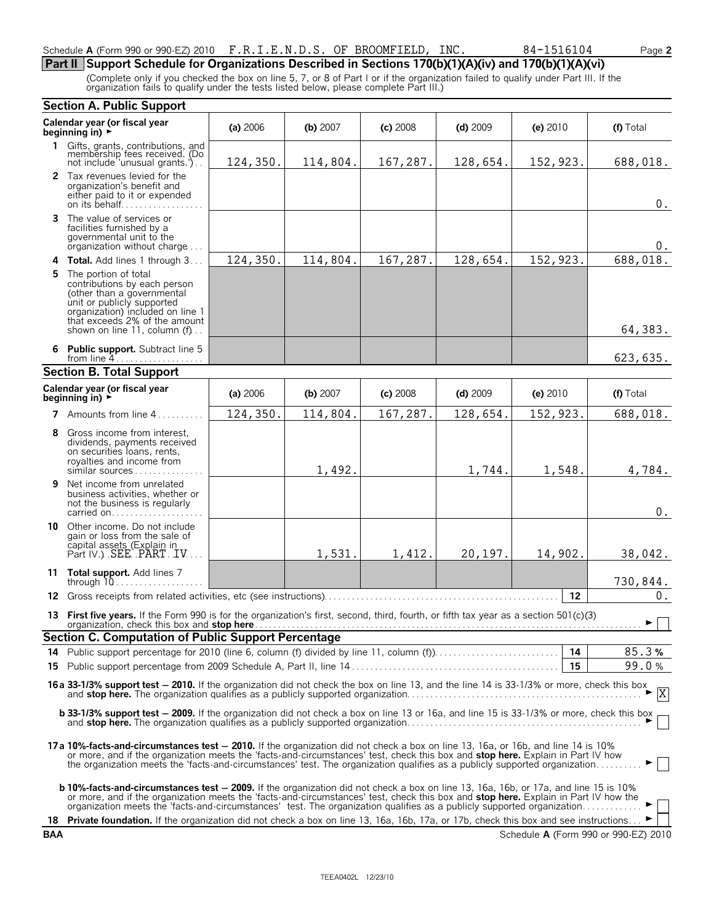#### Schedule **A** (Form 990 or 990-EZ) 2010 F.R.I.E.N.D.S. OF BROOMFIELD, INC. 84-1516104 Page 2

### **Part II Support Schedule for Organizations Described in Sections 170(b)(1)(A)(iv) and 170(b)(1)(A)(vi)**

(Complete only if you checked the box on line 5, 7, or 8 of Part I or if the organization failed to qualify under Part III. If the organization fails to qualify under the tests listed below, please complete Part III.)

|            | <b>Section A. Public Support</b>                                                                                                                                                                                                                                                                                                                                                                            |          |          |            |            |          |                                      |
|------------|-------------------------------------------------------------------------------------------------------------------------------------------------------------------------------------------------------------------------------------------------------------------------------------------------------------------------------------------------------------------------------------------------------------|----------|----------|------------|------------|----------|--------------------------------------|
|            | Calendar year (or fiscal year<br>beginning in) $\rightarrow$                                                                                                                                                                                                                                                                                                                                                | (a) 2006 | (b) 2007 | $(c)$ 2008 | $(d)$ 2009 | (e) 2010 | (f) Total                            |
|            | 1 Gifts, grants, contributions, and<br>membership fees received. (Do<br>not include 'unusual grants.')                                                                                                                                                                                                                                                                                                      | 124,350. | 114,804. | 167,287.   | 128,654.   | 152,923. | 688,018.                             |
|            | 2 Tax revenues levied for the<br>organization's benefit and<br>either paid to it or expended<br>on its behalf                                                                                                                                                                                                                                                                                               |          |          |            |            |          | $0$ .                                |
| 3          | The value of services or<br>facilities furnished by a<br>governmental unit to the<br>organization without charge                                                                                                                                                                                                                                                                                            |          |          |            |            |          | 0.                                   |
| 4          | Total. Add lines 1 through 3                                                                                                                                                                                                                                                                                                                                                                                | 124,350. | 114,804. | 167,287.   | 128,654.   | 152,923. | 688,018.                             |
| 5          | The portion of total<br>contributions by each person<br>(other than a governmental<br>unit or publicly supported<br>organization) included on line 1<br>that exceeds 2% of the amount<br>shown on line 11, column (f)                                                                                                                                                                                       |          |          |            |            |          | 64,383.                              |
| 6          | Public support. Subtract line 5<br>from line $4 \ldots \ldots \ldots \ldots \ldots$                                                                                                                                                                                                                                                                                                                         |          |          |            |            |          | 623,635.                             |
|            | <b>Section B. Total Support</b>                                                                                                                                                                                                                                                                                                                                                                             |          |          |            |            |          |                                      |
|            | Calendar year (or fiscal year<br>beginning in) $\rightarrow$                                                                                                                                                                                                                                                                                                                                                | (a) 2006 | (b) 2007 | $(c)$ 2008 | $(d)$ 2009 | (e) 2010 | (f) Total                            |
|            | 7 Amounts from line 4.                                                                                                                                                                                                                                                                                                                                                                                      | 124,350. | 114,804. | 167,287.   | 128,654.   | 152,923. | 688,018.                             |
| 8          | Gross income from interest.<br>dividends, payments received<br>on securities loans, rents,<br>royalties and income from<br>similar sources                                                                                                                                                                                                                                                                  |          | 1,492.   |            | 1,744.     | 1,548.   | 4,784.                               |
| 9          | Net income from unrelated<br>business activities, whether or<br>not the business is regularly<br>carried on                                                                                                                                                                                                                                                                                                 |          |          |            |            |          | $0$ .                                |
|            | <b>10</b> Other income. Do not include<br>gain or loss from the sale of<br>capital assets (Explain in<br>Part IV.) SEE PART TV                                                                                                                                                                                                                                                                              |          | 1,531.   | 1,412.     | 20,197.    | 14,902.  | 38,042.                              |
|            | 11 Total support. Add lines 7<br>through $10$                                                                                                                                                                                                                                                                                                                                                               |          |          |            |            |          | 730,844.                             |
| 12         |                                                                                                                                                                                                                                                                                                                                                                                                             |          |          |            |            | 12       | 0.                                   |
| 13         | First five years. If the Form 990 is for the organization's first, second, third, fourth, or fifth tax year as a section $501(c)(3)$<br>organization, check this box and stop here Manual Manual Manual Manual Manual Manual Manual Manual Manual Manu                                                                                                                                                      |          |          |            |            |          | $\blacktriangleright \Box$           |
|            | <b>Section C. Computation of Public Support Percentage</b>                                                                                                                                                                                                                                                                                                                                                  |          |          |            |            |          |                                      |
| 14         |                                                                                                                                                                                                                                                                                                                                                                                                             |          |          |            |            |          | 85.3%                                |
| 15.        |                                                                                                                                                                                                                                                                                                                                                                                                             |          |          |            |            | 15       | 99.0%                                |
|            | <b>16a 33-1/3% support test – 2010.</b> If the organization did not check the box on line 13, and the line 14 is 33-1/3% or more, check this box $\overline{X}$                                                                                                                                                                                                                                             |          |          |            |            |          |                                      |
|            | b 33-1/3% support test - 2009. If the organization did not check a box on line 13 or 16a, and line 15 is 33-1/3% or more, check this box                                                                                                                                                                                                                                                                    |          |          |            |            |          |                                      |
|            | 17a 10%-facts-and-circumstances test - 2010. If the organization did not check a box on line 13, 16a, or 16b, and line 14 is 10%<br>or more, and if the organization meets the 'facts-and-circumstances' test, check this box and stop here. Explain in Part IV how<br>the organization meets the 'facts-and-circumstances' test. The organization qualifies as a publicly supported organization           |          |          |            |            |          |                                      |
|            | <b>b 10%-facts-and-circumstances test - 2009.</b> If the organization did not check a box on line 13, 16a, 16b, or 17a, and line 15 is 10%<br>or more, and if the organization meets the 'facts-and-circumstances' test, check this box and stop here. Explain in Part IV how the<br>organization meets the 'facts-and-circumstances' test. The organization qualifies as a publicly supported organization |          |          |            |            |          |                                      |
| 18.        | <b>Private foundation.</b> If the organization did not check a box on line 13, 16a, 16b, 17a, or 17b, check this box and see instructions ▶                                                                                                                                                                                                                                                                 |          |          |            |            |          |                                      |
| <b>BAA</b> |                                                                                                                                                                                                                                                                                                                                                                                                             |          |          |            |            |          | Schedule A (Form 990 or 990-EZ) 2010 |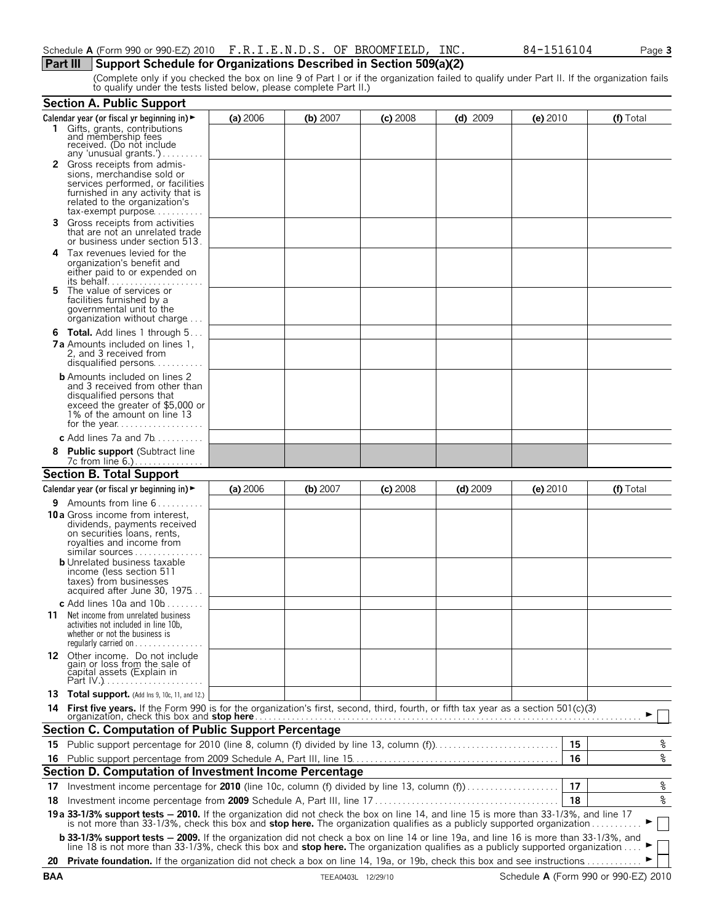#### **Part III** Support Schedule for Organizations Described in Section 509(a)(2)

(Complete only if you checked the box on line 9 of Part I or if the organization failed to qualify under Part II. If the organization fails to qualify under the tests listed below, please complete Part II.)

|    | <b>Section A. Public Support</b>                                                                                                                                                                                                                                 |          |          |            |            |            |                        |
|----|------------------------------------------------------------------------------------------------------------------------------------------------------------------------------------------------------------------------------------------------------------------|----------|----------|------------|------------|------------|------------------------|
|    | Calendar year (or fiscal yr beginning in) $\blacktriangleright$                                                                                                                                                                                                  | (a) 2006 | (b) 2007 | $(c)$ 2008 | $(d)$ 2009 | $(e)$ 2010 | (f) Total              |
|    | 1 Gifts, grants, contributions<br>and membership fees<br>received. (Do not include                                                                                                                                                                               |          |          |            |            |            |                        |
|    | any 'unusual grants.')<br>2 Gross receipts from admis-                                                                                                                                                                                                           |          |          |            |            |            |                        |
|    | sions, merchandise sold or                                                                                                                                                                                                                                       |          |          |            |            |            |                        |
|    | services performed, or facilities<br>furnished in any activity that is                                                                                                                                                                                           |          |          |            |            |            |                        |
|    | related to the organization's                                                                                                                                                                                                                                    |          |          |            |            |            |                        |
|    | tax-exempt purpose                                                                                                                                                                                                                                               |          |          |            |            |            |                        |
| 3. | Gross receipts from activities<br>that are not an unrelated trade<br>or business under section 513.                                                                                                                                                              |          |          |            |            |            |                        |
| 4  | Tax revenues levied for the                                                                                                                                                                                                                                      |          |          |            |            |            |                        |
|    | organization's benefit and<br>either paid to or expended on                                                                                                                                                                                                      |          |          |            |            |            |                        |
|    |                                                                                                                                                                                                                                                                  |          |          |            |            |            |                        |
| 5. | The value of services or<br>facilities furnished by a                                                                                                                                                                                                            |          |          |            |            |            |                        |
|    | governmental unit to the                                                                                                                                                                                                                                         |          |          |            |            |            |                        |
|    | organization without charge                                                                                                                                                                                                                                      |          |          |            |            |            |                        |
|    | <b>6 Total.</b> Add lines 1 through 5<br><b>7a</b> Amounts included on lines 1,                                                                                                                                                                                  |          |          |            |            |            |                        |
|    | 2. and 3 received from                                                                                                                                                                                                                                           |          |          |            |            |            |                        |
|    |                                                                                                                                                                                                                                                                  |          |          |            |            |            |                        |
|    | <b>b</b> Amounts included on lines 2<br>and 3 received from other than                                                                                                                                                                                           |          |          |            |            |            |                        |
|    | disqualified persons that                                                                                                                                                                                                                                        |          |          |            |            |            |                        |
|    | exceed the greater of \$5,000 or<br>1% of the amount on line 13                                                                                                                                                                                                  |          |          |            |            |            |                        |
|    |                                                                                                                                                                                                                                                                  |          |          |            |            |            |                        |
|    | c Add lines $7a$ and $7b$                                                                                                                                                                                                                                        |          |          |            |            |            |                        |
|    | <b>Public support (Subtract line</b>                                                                                                                                                                                                                             |          |          |            |            |            |                        |
|    | <b>Section B. Total Support</b>                                                                                                                                                                                                                                  |          |          |            |            |            |                        |
|    | Calendar year (or fiscal yr beginning in) $\blacktriangleright$                                                                                                                                                                                                  | (a) 2006 | (b) 2007 | $(c)$ 2008 | $(d)$ 2009 | $(e)$ 2010 | (f) Total              |
|    | <b>9</b> Amounts from line $6$                                                                                                                                                                                                                                   |          |          |            |            |            |                        |
|    | 10a Gross income from interest,                                                                                                                                                                                                                                  |          |          |            |            |            |                        |
|    | dividends, payments received<br>on securities loans, rents,                                                                                                                                                                                                      |          |          |            |            |            |                        |
|    | royalties and income from                                                                                                                                                                                                                                        |          |          |            |            |            |                        |
|    | similar sources<br><b>b</b> Unrelated business taxable                                                                                                                                                                                                           |          |          |            |            |            |                        |
|    | income (less section 511                                                                                                                                                                                                                                         |          |          |            |            |            |                        |
|    | taxes) from businesses<br>acquired after June 30, 1975                                                                                                                                                                                                           |          |          |            |            |            |                        |
|    | c Add lines 10a and $10b$                                                                                                                                                                                                                                        |          |          |            |            |            |                        |
|    | <b>11</b> Net income from unrelated business                                                                                                                                                                                                                     |          |          |            |            |            |                        |
|    | activities not included in line 10b,<br>whether or not the business is                                                                                                                                                                                           |          |          |            |            |            |                        |
|    | requiarly carried on $\ldots$ , $\ldots$                                                                                                                                                                                                                         |          |          |            |            |            |                        |
|    | 12 Other income. Do not include<br>gain or loss from the sale of<br>capital assets (Explain in                                                                                                                                                                   |          |          |            |            |            |                        |
|    |                                                                                                                                                                                                                                                                  |          |          |            |            |            |                        |
|    |                                                                                                                                                                                                                                                                  |          |          |            |            |            |                        |
|    | 13 Total support. (Add Ins 9, 10c, 11, and 12.)                                                                                                                                                                                                                  |          |          |            |            |            |                        |
|    |                                                                                                                                                                                                                                                                  |          |          |            |            |            |                        |
|    | Section C. Computation of Public Support Percentage                                                                                                                                                                                                              |          |          |            |            |            |                        |
|    |                                                                                                                                                                                                                                                                  |          |          |            |            | 15         | ್ಠಿ                    |
|    |                                                                                                                                                                                                                                                                  |          |          |            |            | 16         | $\rm _{\circ}^{\circ}$ |
|    | Section D. Computation of Investment Income Percentage                                                                                                                                                                                                           |          |          |            |            |            |                        |
| 17 | Investment income percentage for 2010 (line 10c, column (f) divided by line 13, column (f)                                                                                                                                                                       |          |          |            |            | 17         | <u>%</u>               |
| 18 |                                                                                                                                                                                                                                                                  |          |          |            |            | 18         | $\rm _{\circ}^{\circ}$ |
|    | 19a 33-1/3% support tests - 2010. If the organization did not check the box on line 14, and line 15 is more than 33-1/3%, and line 17<br>is not more than 33-1/3%, check this box and stop here. The organization qualifies as a publicly supported organization |          |          |            |            |            |                        |
|    | <b>b 33-1/3% support tests - 2009.</b> If the organization did not check a box on line 14 or line 19a, and line 16 is more than 33-1/3%, and line 18 is not more than 33-1/3%, check this box and <b>stop here.</b> The organization qua                         |          |          |            |            |            |                        |
|    | 20 Private foundation. If the organization did not check a box on line 14, 19a, or 19b, check this box and see instructions                                                                                                                                      |          |          |            |            |            |                        |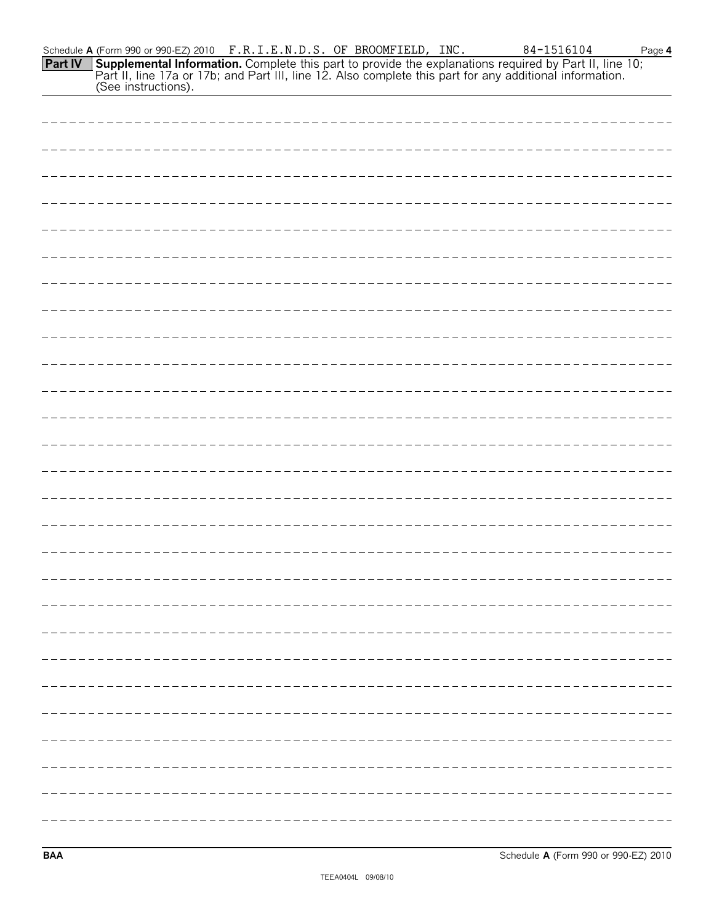| Schedule <b>A</b> (Form 990 or 990-EZ) 2010 $F.R.I.E.N.D.S.$ OF BROOMFIELD, INC.                                      |  | 84-1516104 | Page 4 |
|-----------------------------------------------------------------------------------------------------------------------|--|------------|--------|
| <b>Part IV</b> Supplemental Information. Complete this part to provide the explanations required by Part II, line 10; |  |            |        |
| Part II, line 17a or 17b; and Part III, line 12. Also complete this part for any additional information.              |  |            |        |
| (See instructions).                                                                                                   |  |            |        |

**BAA** Schedule **A** (Form 990 or 990-EZ) 2010

I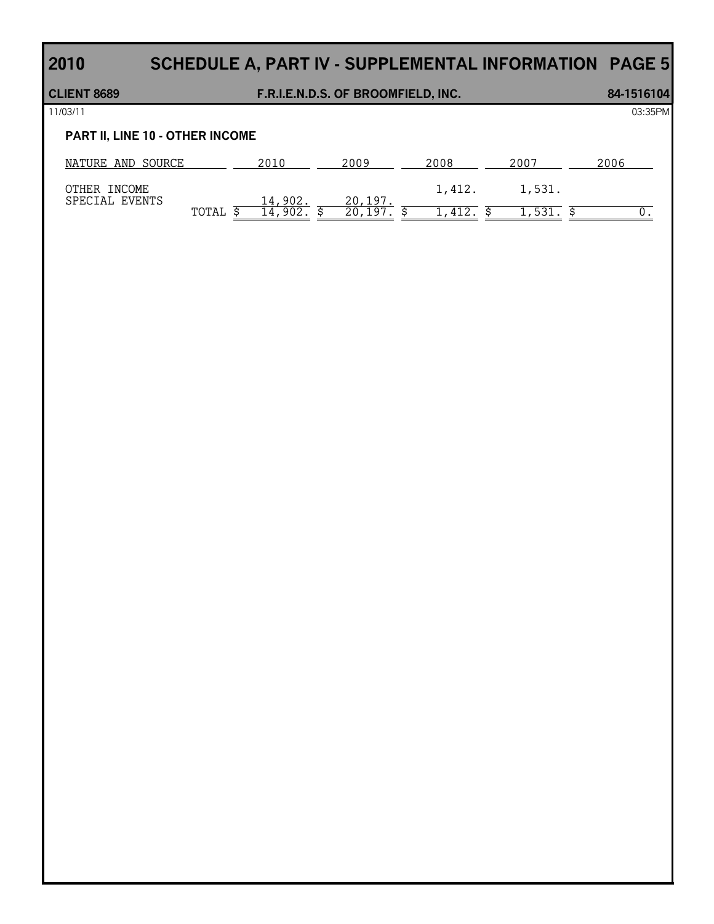# **2010 SCHEDULE A, PART IV - SUPPLEMENTAL INFORMATION PAGE 5**

# **CLIENT 8689 F.R.I.E.N.D.S. OF BROOMFIELD, INC. 84-1516104** 11/03/11 03:35PM **PART II, LINE 10 - OTHER INCOME** NATURE AND SOURCE 2010 2009 2008 2008 2007 2006

| OTHER<br>INCOME |       |           |                    | ᠴᠴ᠘ | 1,531. |  |
|-----------------|-------|-----------|--------------------|-----|--------|--|
| SPECIAL EVENTS  |       | 14,902.   | 1 Q 7              |     |        |  |
|                 | TOTAL | 902<br>14 | 1 Q 7<br>ን በ<br>∠∪ |     | 531    |  |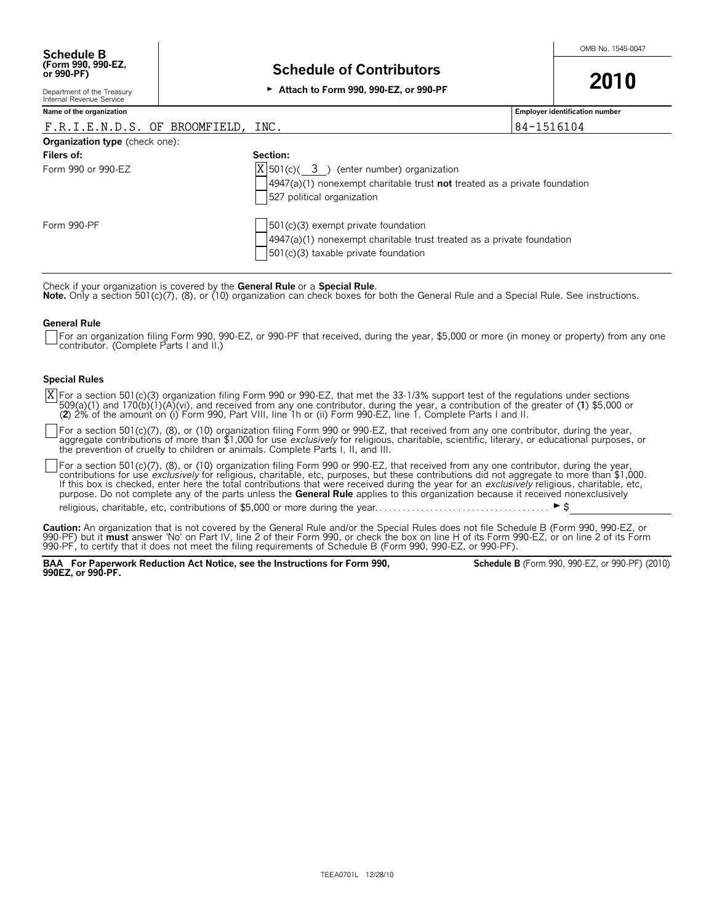Department of the Treasury Internal Revenue Service

**Name of the organization Employer identification number**

| F.R.I.E.N.D.S. OF BROOMFIELD, INC.    |                                              | 84-1516104                                                                  |
|---------------------------------------|----------------------------------------------|-----------------------------------------------------------------------------|
| <b>Organization type</b> (check one): |                                              |                                                                             |
| Filers of:                            | Section:                                     |                                                                             |
| Form 990 or 990-EZ                    | $ X $ 501(c)( 3) (enter number) organization |                                                                             |
|                                       |                                              | $4947(a)(1)$ nonexempt charitable trust not treated as a private foundation |
|                                       | 527 political organization                   |                                                                             |
| Form 990-PF                           | $501(c)(3)$ exempt private foundation        |                                                                             |
|                                       |                                              | $4947(a)(1)$ nonexempt charitable trust treated as a private foundation     |
|                                       |                                              |                                                                             |
|                                       | 501(c)(3) taxable private foundation         |                                                                             |

Check if your organization is covered by the **General Rule** or a **Special Rule**.<br>**Note.** Only a section 501(c)(7), (8), or (10) organization can check boxes for both the General Rule and a Special Rule. See instructions.

#### **General Rule**

For an organization filing Form 990, 990-EZ, or 990-PF that received, during the year, \$5,000 or more (in money or property) from any one contributor. (Complete Parts I and II.)

#### **Special Rules**

For a section 501(c)(3) organization filing Form 990 or 990-EZ, that met the 33-1/3% support test of the regulations under sections 509(a)(1) and 170(b)(1)(A)(vi), and received from any one contributor, during the year, a contribution of the greater of (1) \$5,000 or<br>(2) 2% of the amount on (i) Form 990, Part VIII, line 1h or (ii) Form 990-EZ, line 1. C X

For a section 501(c)(7), (8), or (10) organization filing Form 990 or 990-EZ, that received from any one contributor, during the year, aggregate contributions of more than \$1,000 for use *exclusively* for religious, charitable, scientific, literary, or educational purposes, or<br>the prevention of cruelty to children or animals. Complete Parts I, II, and III

For a section 501(c)(7), (8), or (10) organization filing Form 990 or 990-EZ, that received from any one contributor, during the year, contributions for use *exclusively* for religious, charitable, etc, purposes, but these contributions did not aggregate to more than \$1,000.<br>If this box is checked, enter here the total contributions that were received dur purpose. Do not complete any of the parts unless the **General Rule** applies to this organization because it received nonexclusively

religious, charitable, etc, contributions of \$5,000 or more during the year. . . . . . . . . . . . . . . . . . . . . . . . . . . . . . . . . . . . . . G\$

**Caution:** An organization that is not covered by the General Rule and/or the Special Rules does not file Schedule B (Form 990, 990-EZ, or<br>990-PF) but it **must** answer 'No' on Part IV, line 2 of their Form 990, or check th 990-PF, to certify that it does not meet the filing requirements of Schedule B (Form 990, 990-EZ, or 990-PF).

**BAA For Paperwork Reduction Act Notice, see the Instructions for Form 990, 990EZ, or 990-PF.**

**Schedule B** (Form 990, 990-EZ, or 990-PF) (2010)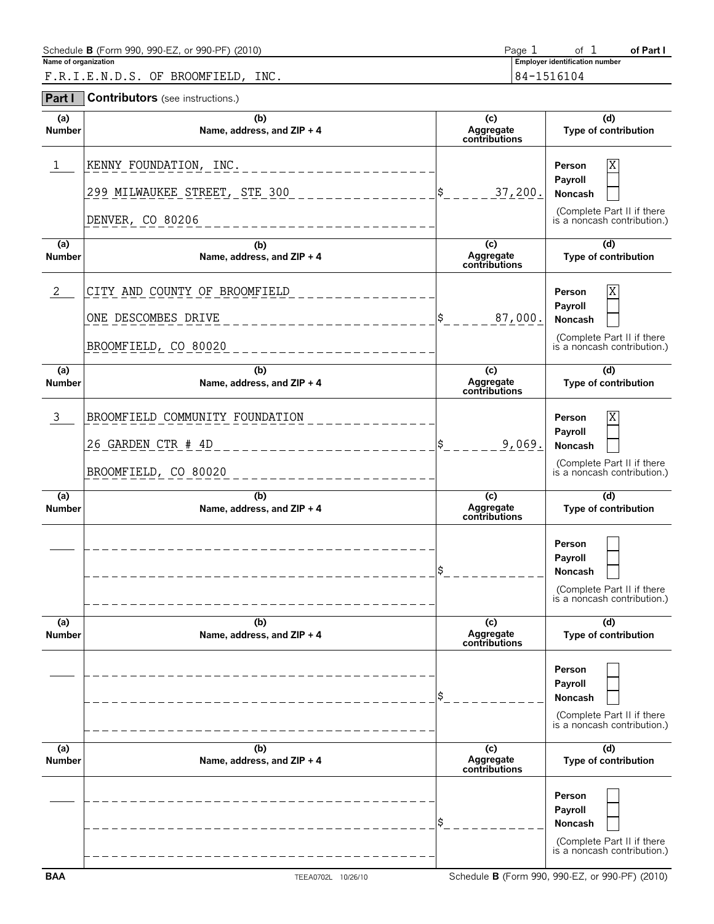| Schedule <b>B</b> (Form 990, 990-EZ, or 990-PF) (2010) | Page |                                       | of Part |
|--------------------------------------------------------|------|---------------------------------------|---------|
| Name of organization                                   |      | <b>Employer identification number</b> |         |
| INC.<br>F.R.I.E.N.D.S. OF BROOMFIELD.                  |      | 84-1516104                            |         |

**Part I Contributors** (see instructions.)

| (a)<br><b>Number</b>            | (b)<br>Name, address, and ZIP + 4                                             | (c)<br>Aggregate<br>contributions | (d)<br>Type of contribution                                                                    |
|---------------------------------|-------------------------------------------------------------------------------|-----------------------------------|------------------------------------------------------------------------------------------------|
| 1                               | KENNY FOUNDATION, INC.<br>299 MILWAUKEE STREET, STE 300<br>DENVER, CO 80206   | 37,200.<br>\$                     | Χ<br>Person<br>Payroll<br>Noncash<br>(Complete Part II if there<br>is a noncash contribution.) |
| (a)<br><b>Number</b>            | (b)<br>Name, address, and ZIP + 4                                             | (c)<br>Aggregate<br>contributions | $\overline{d}$<br>Type of contribution                                                         |
| 2                               | CITY AND COUNTY OF BROOMFIELD<br>ONE DESCOMBES DRIVE<br>BROOMFIELD, CO 80020  | 87,000.<br>\$                     | Χ<br>Person<br>Payroll<br>Noncash<br>(Complete Part II if there<br>is a noncash contribution.) |
| (a)<br><b>Number</b>            | (b)<br>Name, address, and ZIP + 4                                             | (c)<br>Aggregate<br>contributions | (d)<br>Type of contribution                                                                    |
| 3                               | BROOMFIELD COMMUNITY FOUNDATION<br>26 GARDEN CTR # 4D<br>BROOMFIELD, CO 80020 | 9,069.<br>\$                      | Χ<br>Person<br>Payroll<br>Noncash<br>(Complete Part II if there<br>is a noncash contribution.) |
| (a)<br><b>Number</b>            | (b)<br>Name, address, and ZIP + 4                                             | (c)<br>Aggregate<br>contributions | $\overline{d}$<br>Type of contribution                                                         |
|                                 |                                                                               | \$                                | Person<br>Payroll<br>Noncash<br>(Complete Part II if there<br>is a noncash contribution.)      |
| (a)<br>Number                   | (b)<br>Name, address, and ZIP + 4                                             | (c)<br>Aggregate<br>contributions | $\overline{d}$<br>Type of contribution                                                         |
|                                 |                                                                               | \$                                | Person<br>Payroll<br>Noncash<br>(Complete Part II if there<br>is a noncash contribution.)      |
| $\overline{a}$<br><b>Number</b> | (b)<br>Name, address, and ZIP + 4                                             | (c)<br>Aggregate<br>contributions | (d)<br>Type of contribution                                                                    |
|                                 |                                                                               |                                   |                                                                                                |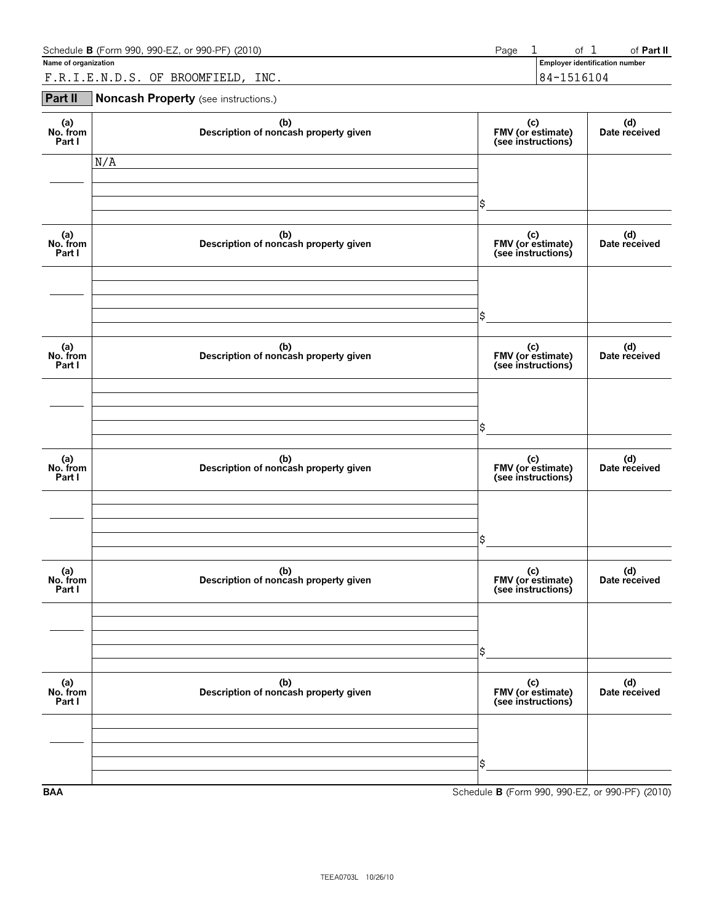| Schedule <b>B</b> (Form 990, 990-EZ, or 990-PF) (2010) | Page |        | 0t                                    | ์ Part II |
|--------------------------------------------------------|------|--------|---------------------------------------|-----------|
| Name of organization                                   |      |        | <b>Employer identification number</b> |           |
| INC.<br>BROOMFIELD,<br>OF<br>TENDS<br>FRT              |      | $84 -$ | 1516104                               |           |

#### **Part II Noncash Property** (see instructions.)

| (a)<br>No. from<br>Part I | (b)<br>Description of noncash property given | (c)<br>FMV (or estimate)<br>(see instructions)  | (d)<br>Date received |
|---------------------------|----------------------------------------------|-------------------------------------------------|----------------------|
|                           | N/A                                          |                                                 |                      |
|                           |                                              | \$                                              |                      |
| (a)<br>No. from<br>Part I | (b)<br>Description of noncash property given | (c)<br>FMV (or estimate)<br>(see instructions)  | (d)<br>Date received |
|                           |                                              |                                                 |                      |
|                           |                                              | \$                                              |                      |
| (a)<br>No. from<br>Part I | (b)<br>Description of noncash property given | (c)<br>FMV (or estimate)<br>(see instructions)  | (d)<br>Date received |
|                           |                                              |                                                 |                      |
|                           |                                              | \$                                              |                      |
| (a)<br>No. from<br>Part I | (b)<br>Description of noncash property given | (c)<br>FMV (or estimate)<br>(see instructions)  | (d)<br>Date received |
|                           |                                              |                                                 |                      |
|                           |                                              | \$                                              |                      |
| (a)<br>No. from<br>Part I | (b)<br>Description of noncash property given | (c)<br>FMV (or estimate)<br>(see instructions)  | (d)<br>Date received |
|                           |                                              |                                                 |                      |
|                           |                                              | \$                                              |                      |
| (a)<br>No. from<br>Part I | (b)<br>Description of noncash property given | (c)<br>FMV (or estimate)<br>(see instructions)  | (d)<br>Date received |
|                           |                                              |                                                 |                      |
|                           |                                              | \$                                              |                      |
| <b>BAA</b>                |                                              | Schedule B (Form 990, 990-EZ, or 990-PF) (2010) |                      |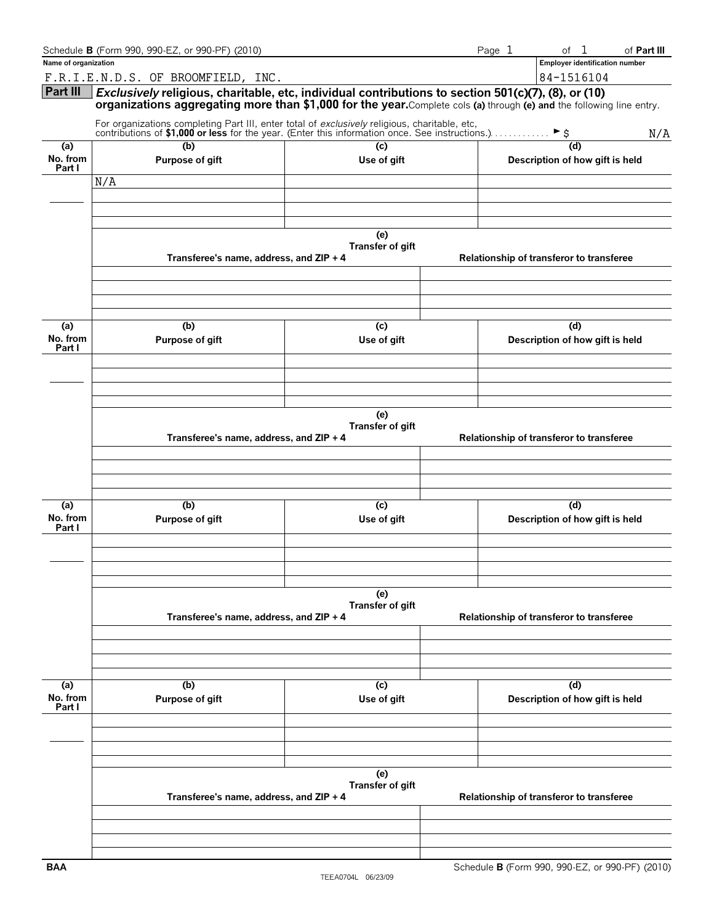|                      | Schedule B (Form 990, 990-EZ, or 990-PF) (2010)                                                                                                                                                                              |                         |                                          | Page 1 | $\mathbf{1}$<br>of                       | of Part III |
|----------------------|------------------------------------------------------------------------------------------------------------------------------------------------------------------------------------------------------------------------------|-------------------------|------------------------------------------|--------|------------------------------------------|-------------|
| Name of organization |                                                                                                                                                                                                                              |                         |                                          |        | <b>Employer identification number</b>    |             |
|                      | F.R.I.E.N.D.S. OF BROOMFIELD, INC.                                                                                                                                                                                           |                         |                                          |        | 84-1516104                               |             |
| Part III             | Exclusively religious, charitable, etc, individual contributions to section 501(c)(7), (8), or (10)<br>organizations aggregating more than \$1,000 for the year. Complete cols (a) through (e) and the following line entry. |                         |                                          |        |                                          |             |
|                      | For organizations completing Part III, enter total of exclusively religious, charitable, etc, contributions of \$1,000 or less for the year. (Enter this information once. See instructions.)                                |                         |                                          |        |                                          | N/A         |
| (a)                  | (b)                                                                                                                                                                                                                          | (c)                     |                                          |        | (d)                                      |             |
| No. from             | Purpose of gift                                                                                                                                                                                                              | Use of gift             |                                          |        | Description of how gift is held          |             |
| Part I               | N/A                                                                                                                                                                                                                          |                         |                                          |        |                                          |             |
|                      |                                                                                                                                                                                                                              |                         |                                          |        |                                          |             |
|                      |                                                                                                                                                                                                                              |                         |                                          |        |                                          |             |
|                      |                                                                                                                                                                                                                              |                         |                                          |        |                                          |             |
|                      | Transferee's name, address, and ZIP + 4                                                                                                                                                                                      | (e)<br>Transfer of gift | Relationship of transferor to transferee |        |                                          |             |
|                      |                                                                                                                                                                                                                              |                         |                                          |        |                                          |             |
|                      |                                                                                                                                                                                                                              |                         |                                          |        |                                          |             |
| (a)                  | (b)                                                                                                                                                                                                                          | (c)                     |                                          |        | (d)                                      |             |
| No. from<br>Part I   | Purpose of gift                                                                                                                                                                                                              | Use of gift             |                                          |        | Description of how gift is held          |             |
|                      |                                                                                                                                                                                                                              |                         |                                          |        |                                          |             |
|                      |                                                                                                                                                                                                                              |                         |                                          |        |                                          |             |
|                      |                                                                                                                                                                                                                              |                         |                                          |        |                                          |             |
|                      |                                                                                                                                                                                                                              | (e)                     |                                          |        |                                          |             |
|                      |                                                                                                                                                                                                                              | Transfer of gift        |                                          |        |                                          |             |
|                      | Transferee's name, address, and ZIP + 4                                                                                                                                                                                      |                         |                                          |        | Relationship of transferor to transferee |             |
|                      |                                                                                                                                                                                                                              |                         |                                          |        |                                          |             |
|                      |                                                                                                                                                                                                                              |                         |                                          |        |                                          |             |
|                      |                                                                                                                                                                                                                              |                         |                                          |        |                                          |             |
| (a)                  | (b)                                                                                                                                                                                                                          | (c)                     |                                          |        | (d)                                      |             |
| No. from<br>Part I   | Purpose of gift                                                                                                                                                                                                              | Use of gift             |                                          |        | Description of how gift is held          |             |
|                      |                                                                                                                                                                                                                              |                         |                                          |        |                                          |             |
|                      |                                                                                                                                                                                                                              |                         |                                          |        |                                          |             |
|                      |                                                                                                                                                                                                                              |                         |                                          |        |                                          |             |
|                      |                                                                                                                                                                                                                              |                         |                                          |        |                                          |             |
|                      |                                                                                                                                                                                                                              | (e)<br>Transfer of gift |                                          |        |                                          |             |
|                      | Transferee's name, address, and ZIP + 4                                                                                                                                                                                      |                         |                                          |        | Relationship of transferor to transferee |             |
|                      |                                                                                                                                                                                                                              |                         |                                          |        |                                          |             |
|                      |                                                                                                                                                                                                                              |                         |                                          |        |                                          |             |
|                      |                                                                                                                                                                                                                              |                         |                                          |        |                                          |             |
| (a)                  | (b)                                                                                                                                                                                                                          | (c)                     |                                          |        | (d)                                      |             |
| No. from             | Purpose of gift                                                                                                                                                                                                              | Use of gift             |                                          |        | Description of how gift is held          |             |
| Part I               |                                                                                                                                                                                                                              |                         |                                          |        |                                          |             |
|                      |                                                                                                                                                                                                                              |                         |                                          |        |                                          |             |
|                      |                                                                                                                                                                                                                              |                         |                                          |        |                                          |             |
|                      |                                                                                                                                                                                                                              |                         |                                          |        |                                          |             |
|                      |                                                                                                                                                                                                                              | (e)                     |                                          |        |                                          |             |
|                      |                                                                                                                                                                                                                              | Transfer of gift        |                                          |        |                                          |             |
|                      | Transferee's name, address, and ZIP + 4                                                                                                                                                                                      |                         |                                          |        | Relationship of transferor to transferee |             |
|                      |                                                                                                                                                                                                                              |                         |                                          |        |                                          |             |
|                      |                                                                                                                                                                                                                              |                         |                                          |        |                                          |             |
|                      |                                                                                                                                                                                                                              |                         |                                          |        |                                          |             |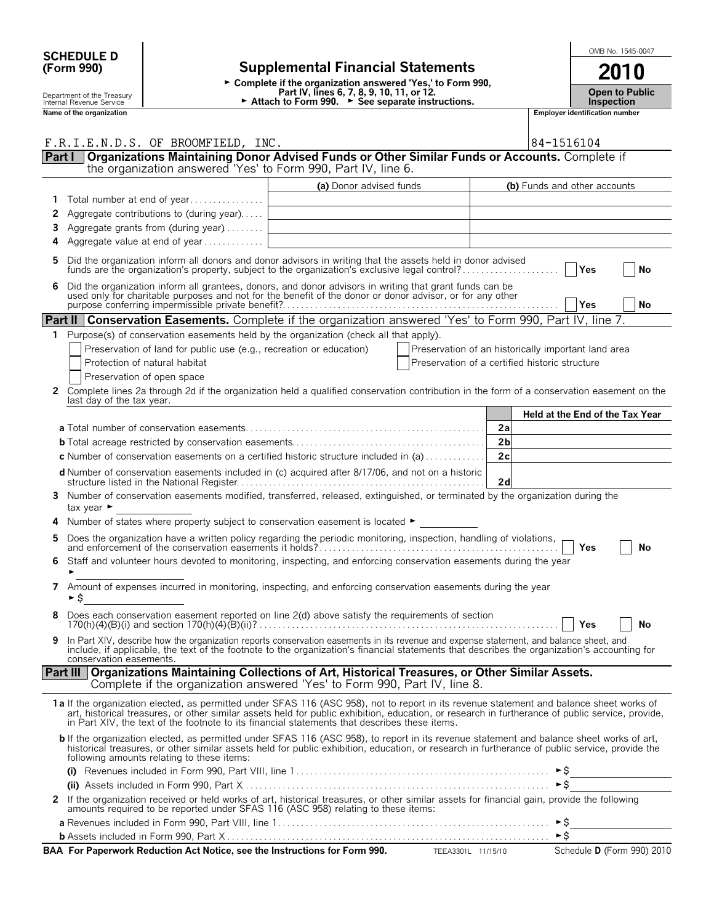|            | <b>SCHEDULE D</b>                                      |                                                                     |                                                                                                                                                                                                                                                                                                                                                                            |                                                                                                                                                                |                                 |            | OMB No. 1545-0047          |  |
|------------|--------------------------------------------------------|---------------------------------------------------------------------|----------------------------------------------------------------------------------------------------------------------------------------------------------------------------------------------------------------------------------------------------------------------------------------------------------------------------------------------------------------------------|----------------------------------------------------------------------------------------------------------------------------------------------------------------|---------------------------------|------------|----------------------------|--|
| (Form 990) |                                                        |                                                                     | <b>Supplemental Financial Statements</b>                                                                                                                                                                                                                                                                                                                                   | 2010                                                                                                                                                           |                                 |            |                            |  |
|            | Department of the Treasury<br>Internal Revenue Service |                                                                     |                                                                                                                                                                                                                                                                                                                                                                            | ► Complete if the organization answered 'Yes,' to Form 990,<br>Part IV, lines 6, 7, 8, 9, 10, 11, or 12.<br>► Attach to Form 990. ► See separate instructions. |                                 |            |                            |  |
|            | Name of the organization                               |                                                                     |                                                                                                                                                                                                                                                                                                                                                                            | Employer identification number                                                                                                                                 |                                 |            |                            |  |
|            |                                                        |                                                                     |                                                                                                                                                                                                                                                                                                                                                                            |                                                                                                                                                                |                                 |            |                            |  |
|            |                                                        | F.R.I.E.N.D.S. OF BROOMFIELD, INC.                                  |                                                                                                                                                                                                                                                                                                                                                                            |                                                                                                                                                                | 84-1516104                      |            |                            |  |
|            | Part I                                                 |                                                                     | Organizations Maintaining Donor Advised Funds or Other Similar Funds or Accounts. Complete if the organization answered 'Yes' to Form 990, Part IV, line 6.                                                                                                                                                                                                                |                                                                                                                                                                |                                 |            |                            |  |
|            |                                                        |                                                                     | (a) Donor advised funds                                                                                                                                                                                                                                                                                                                                                    |                                                                                                                                                                | (b) Funds and other accounts    |            |                            |  |
| 1          |                                                        | Total number at end of year                                         |                                                                                                                                                                                                                                                                                                                                                                            |                                                                                                                                                                |                                 |            |                            |  |
| 2          |                                                        | Aggregate contributions to (during year)                            |                                                                                                                                                                                                                                                                                                                                                                            |                                                                                                                                                                |                                 |            |                            |  |
| 3          |                                                        | Aggregate grants from (during year)                                 |                                                                                                                                                                                                                                                                                                                                                                            |                                                                                                                                                                |                                 |            |                            |  |
| 4          |                                                        | Aggregate value at end of year                                      |                                                                                                                                                                                                                                                                                                                                                                            |                                                                                                                                                                |                                 |            |                            |  |
| 5          |                                                        |                                                                     | Did the organization inform all donors and donor advisors in writing that the assets held in donor advised<br>funds are the organization's property, subject to the organization's exclusive legal control?                                                                                                                                                                |                                                                                                                                                                |                                 | Yes        | No                         |  |
| 6          |                                                        |                                                                     | Did the organization inform all grantees, donors, and donor advisors in writing that grant funds can be used only for charitable purposes and not for the benefit of the donor or donor advisor, or for any other purpose conf                                                                                                                                             |                                                                                                                                                                |                                 |            |                            |  |
|            |                                                        |                                                                     |                                                                                                                                                                                                                                                                                                                                                                            |                                                                                                                                                                |                                 | <b>Yes</b> | No                         |  |
|            |                                                        |                                                                     | Part II Conservation Easements. Complete if the organization answered 'Yes' to Form 990, Part IV, line 7.                                                                                                                                                                                                                                                                  |                                                                                                                                                                |                                 |            |                            |  |
| 1.         |                                                        |                                                                     | Purpose(s) of conservation easements held by the organization (check all that apply).                                                                                                                                                                                                                                                                                      |                                                                                                                                                                |                                 |            |                            |  |
|            |                                                        | Preservation of land for public use (e.g., recreation or education) |                                                                                                                                                                                                                                                                                                                                                                            | Preservation of an historically important land area                                                                                                            |                                 |            |                            |  |
|            |                                                        | Protection of natural habitat                                       |                                                                                                                                                                                                                                                                                                                                                                            | Preservation of a certified historic structure                                                                                                                 |                                 |            |                            |  |
| 2          |                                                        | Preservation of open space                                          | Complete lines 2a through 2d if the organization held a qualified conservation contribution in the form of a conservation easement on the                                                                                                                                                                                                                                  |                                                                                                                                                                |                                 |            |                            |  |
|            | last day of the tax year.                              |                                                                     |                                                                                                                                                                                                                                                                                                                                                                            |                                                                                                                                                                |                                 |            |                            |  |
|            |                                                        |                                                                     |                                                                                                                                                                                                                                                                                                                                                                            |                                                                                                                                                                | Held at the End of the Tax Year |            |                            |  |
|            |                                                        |                                                                     |                                                                                                                                                                                                                                                                                                                                                                            | 2a                                                                                                                                                             |                                 |            |                            |  |
|            |                                                        |                                                                     |                                                                                                                                                                                                                                                                                                                                                                            | 2 <sub>b</sub><br>2c                                                                                                                                           |                                 |            |                            |  |
|            |                                                        |                                                                     | <b>c</b> Number of conservation easements on a certified historic structure included in (a)<br>d Number of conservation easements included in (c) acquired after 8/17/06, and not on a historic                                                                                                                                                                            |                                                                                                                                                                |                                 |            |                            |  |
|            |                                                        |                                                                     |                                                                                                                                                                                                                                                                                                                                                                            | 2d                                                                                                                                                             |                                 |            |                            |  |
| 3          | tax year $\blacktriangleright$                         |                                                                     | Number of conservation easements modified, transferred, released, extinguished, or terminated by the organization during the                                                                                                                                                                                                                                               |                                                                                                                                                                |                                 |            |                            |  |
| 4          |                                                        |                                                                     | Number of states where property subject to conservation easement is located ►                                                                                                                                                                                                                                                                                              |                                                                                                                                                                |                                 |            |                            |  |
| 5          |                                                        |                                                                     |                                                                                                                                                                                                                                                                                                                                                                            |                                                                                                                                                                |                                 | Yes        | No                         |  |
| 6.         |                                                        |                                                                     | Staff and volunteer hours devoted to monitoring, inspecting, and enforcing conservation easements during the year                                                                                                                                                                                                                                                          |                                                                                                                                                                |                                 |            |                            |  |
| 7          | ►S                                                     |                                                                     | Amount of expenses incurred in monitoring, inspecting, and enforcing conservation easements during the year                                                                                                                                                                                                                                                                |                                                                                                                                                                |                                 |            |                            |  |
| 8          |                                                        |                                                                     | Does each conservation easement reported on line 2(d) above satisfy the requirements of section                                                                                                                                                                                                                                                                            |                                                                                                                                                                |                                 | Yes        | No                         |  |
| 9          | conservation easements.                                |                                                                     | In Part XIV, describe how the organization reports conservation easements in its revenue and expense statement, and balance sheet, and<br>include, if applicable, the text of the footnote to the organization's financial statements that describes the organization's accounting for                                                                                     |                                                                                                                                                                |                                 |            |                            |  |
|            |                                                        |                                                                     | Part III   Organizations Maintaining Collections of Art, Historical Treasures, or Other Similar Assets.<br>Complete if the organization answered 'Yes' to Form 990, Part IV, line 8.                                                                                                                                                                                       |                                                                                                                                                                |                                 |            |                            |  |
|            |                                                        |                                                                     | 1a If the organization elected, as permitted under SFAS 116 (ASC 958), not to report in its revenue statement and balance sheet works of<br>art, historical treasures, or other similar assets held for public exhibition, education, or research in furtherance of public service, provide, in Part XIV, the text of the footnote to its financial statements that descri |                                                                                                                                                                |                                 |            |                            |  |
|            |                                                        | following amounts relating to these items:                          | <b>b</b> If the organization elected, as permitted under SFAS 116 (ASC 958), to report in its revenue statement and balance sheet works of art,<br>historical treasures, or other similar assets held for public exhibition, education, or research in furtherance of public service, provide the                                                                          |                                                                                                                                                                |                                 |            |                            |  |
|            |                                                        |                                                                     | (i) Revenues included in Form 990, Part VIII, line $1 \dots 1 \dots 1 \dots 1 \dots 1 \dots 1 \dots 1 \dots 1 \dots 1 \dots 1$                                                                                                                                                                                                                                             |                                                                                                                                                                |                                 |            |                            |  |
|            |                                                        |                                                                     |                                                                                                                                                                                                                                                                                                                                                                            |                                                                                                                                                                | ►\$                             |            |                            |  |
| 2          |                                                        |                                                                     | If the organization received or held works of art, historical treasures, or other similar assets for financial gain, provide the following<br>amounts required to be reported under SFAS 116 (ASC 958) relating to these items:                                                                                                                                            |                                                                                                                                                                |                                 |            |                            |  |
|            |                                                        |                                                                     |                                                                                                                                                                                                                                                                                                                                                                            |                                                                                                                                                                | ►\$                             |            |                            |  |
|            |                                                        |                                                                     | BAA For Paperwork Reduction Act Notice, see the Instructions for Form 990. TEEA3301L 11/15/10                                                                                                                                                                                                                                                                              |                                                                                                                                                                |                                 |            | Schedule D (Form 990) 2010 |  |
|            |                                                        |                                                                     |                                                                                                                                                                                                                                                                                                                                                                            |                                                                                                                                                                |                                 |            |                            |  |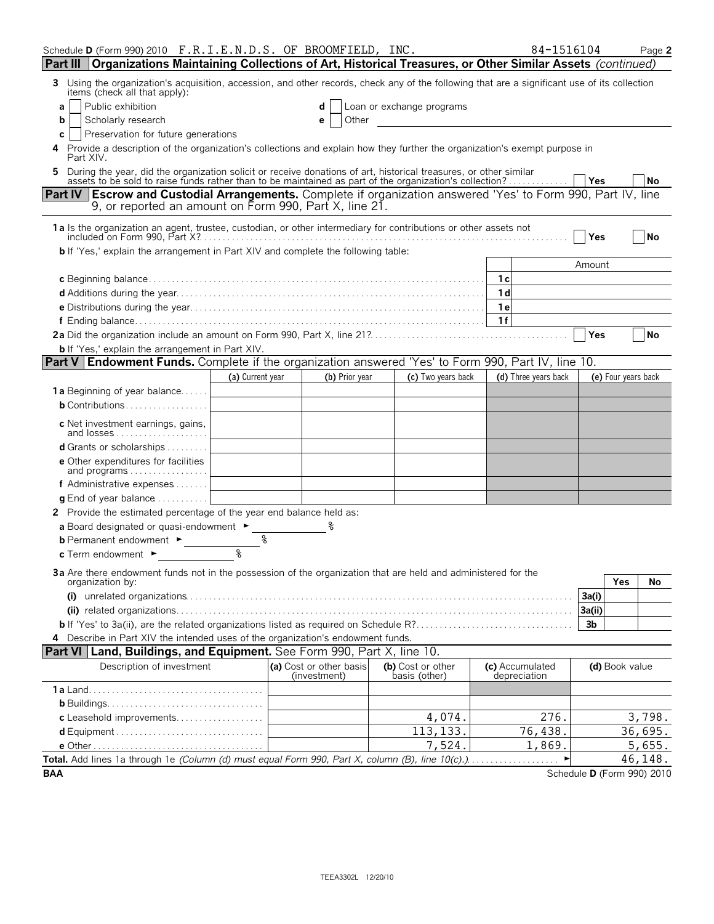| Schedule D (Form 990) 2010 F.R.I.E.N.D.S. OF BROOMFIELD, INC.                                                                                                                                                                  |                  |                                         |                |                                    | 84-1516104                      |            |                     | Page 2                     |
|--------------------------------------------------------------------------------------------------------------------------------------------------------------------------------------------------------------------------------|------------------|-----------------------------------------|----------------|------------------------------------|---------------------------------|------------|---------------------|----------------------------|
| Part III   Organizations Maintaining Collections of Art, Historical Treasures, or Other Similar Assets (continued)                                                                                                             |                  |                                         |                |                                    |                                 |            |                     |                            |
| Using the organization's acquisition, accession, and other records, check any of the following that are a significant use of its collection<br>3<br>items (check all that apply):                                              |                  |                                         |                |                                    |                                 |            |                     |                            |
| Public exhibition<br>a                                                                                                                                                                                                         |                  |                                         |                | Loan or exchange programs          |                                 |            |                     |                            |
| Scholarly research<br>b                                                                                                                                                                                                        |                  | е                                       | Other          |                                    |                                 |            |                     |                            |
| Preservation for future generations<br>С                                                                                                                                                                                       |                  |                                         |                |                                    |                                 |            |                     |                            |
| Provide a description of the organization's collections and explain how they further the organization's exempt purpose in<br>4<br>Part XIV.                                                                                    |                  |                                         |                |                                    |                                 |            |                     |                            |
| 5 During the year, did the organization solicit or receive donations of art, historical treasures, or other similar<br>assets to be sold to raise funds rather than to be maintained as part of the organization's collection? |                  |                                         |                |                                    |                                 | l Yes      |                     | No                         |
| <b>Part IV Escrow and Custodial Arrangements.</b> Complete if organization answered 'Yes' to Form 990, Part IV, line<br>9, or reported an amount on Form 990, Part X, line 21.                                                 |                  |                                         |                |                                    |                                 |            |                     |                            |
| 1a Is the organization an agent, trustee, custodian, or other intermediary for contributions or other assets not                                                                                                               |                  |                                         |                |                                    |                                 | Yes        |                     | <b>No</b>                  |
| <b>b</b> If 'Yes,' explain the arrangement in Part XIV and complete the following table:                                                                                                                                       |                  |                                         |                |                                    |                                 |            |                     |                            |
|                                                                                                                                                                                                                                |                  |                                         |                |                                    |                                 | Amount     |                     |                            |
|                                                                                                                                                                                                                                |                  |                                         |                |                                    | 1с                              |            |                     |                            |
|                                                                                                                                                                                                                                |                  |                                         |                |                                    | 1 <sub>d</sub>                  |            |                     |                            |
|                                                                                                                                                                                                                                |                  |                                         |                |                                    | 1 e                             |            |                     |                            |
|                                                                                                                                                                                                                                |                  |                                         |                |                                    | 1f                              |            |                     |                            |
|                                                                                                                                                                                                                                |                  |                                         |                |                                    |                                 | <b>Yes</b> |                     | No                         |
| <b>b</b> If 'Yes,' explain the arrangement in Part XIV.                                                                                                                                                                        |                  |                                         |                |                                    |                                 |            |                     |                            |
| <b>Part V Endowment Funds.</b> Complete if the organization answered 'Yes' to Form 990, Part IV, line 10.                                                                                                                      |                  |                                         |                |                                    |                                 |            |                     |                            |
|                                                                                                                                                                                                                                | (a) Current year |                                         | (b) Prior year | (c) Two years back                 | (d) Three years back            |            | (e) Four years back |                            |
| 1a Beginning of year balance                                                                                                                                                                                                   |                  |                                         |                |                                    |                                 |            |                     |                            |
|                                                                                                                                                                                                                                |                  |                                         |                |                                    |                                 |            |                     |                            |
| c Net investment earnings, gains,<br>and losses                                                                                                                                                                                |                  |                                         |                |                                    |                                 |            |                     |                            |
| d Grants or scholarships                                                                                                                                                                                                       |                  |                                         |                |                                    |                                 |            |                     |                            |
| <b>e</b> Other expenditures for facilities<br>and programs                                                                                                                                                                     |                  |                                         |                |                                    |                                 |            |                     |                            |
| f Administrative expenses                                                                                                                                                                                                      |                  |                                         |                |                                    |                                 |            |                     |                            |
| <b>g</b> End of year balance $\ldots \ldots \ldots$                                                                                                                                                                            |                  |                                         |                |                                    |                                 |            |                     |                            |
| 2 Provide the estimated percentage of the year end balance held as:                                                                                                                                                            |                  |                                         |                |                                    |                                 |            |                     |                            |
| a Board designated or quasi-endowment $\blacktriangleright$                                                                                                                                                                    |                  |                                         |                |                                    |                                 |            |                     |                            |
| <b>b</b> Permanent endowment ►                                                                                                                                                                                                 | ٩                |                                         |                |                                    |                                 |            |                     |                            |
| c Term endowment ►                                                                                                                                                                                                             | ৡ                |                                         |                |                                    |                                 |            |                     |                            |
| 3a Are there endowment funds not in the possession of the organization that are held and administered for the                                                                                                                  |                  |                                         |                |                                    |                                 |            |                     |                            |
| organization by:                                                                                                                                                                                                               |                  |                                         |                |                                    |                                 |            | <b>Yes</b>          | No                         |
|                                                                                                                                                                                                                                |                  |                                         |                |                                    |                                 | 3a(i)      |                     |                            |
|                                                                                                                                                                                                                                |                  |                                         |                |                                    |                                 | 3a(ii)     |                     |                            |
|                                                                                                                                                                                                                                |                  |                                         |                |                                    |                                 | 3b         |                     |                            |
| 4 Describe in Part XIV the intended uses of the organization's endowment funds.                                                                                                                                                |                  |                                         |                |                                    |                                 |            |                     |                            |
| <b>Part VI   Land, Buildings, and Equipment.</b> See Form 990, Part X, line 10.                                                                                                                                                |                  |                                         |                |                                    |                                 |            |                     |                            |
| Description of investment                                                                                                                                                                                                      |                  | (a) Cost or other basis<br>(investment) |                | (b) Cost or other<br>basis (other) | (c) Accumulated<br>depreciation |            | (d) Book value      |                            |
|                                                                                                                                                                                                                                |                  |                                         |                |                                    |                                 |            |                     |                            |
|                                                                                                                                                                                                                                |                  |                                         |                |                                    |                                 |            |                     |                            |
| c Leasehold improvements                                                                                                                                                                                                       |                  |                                         |                | 4,074.                             | 276.                            |            |                     | 3,798.                     |
|                                                                                                                                                                                                                                |                  |                                         |                | 113, 133.                          | 76,438.                         |            |                     | 36,695.                    |
|                                                                                                                                                                                                                                |                  |                                         |                | 7,524.                             | 1,869.                          |            |                     | 5,655.                     |
|                                                                                                                                                                                                                                |                  |                                         |                |                                    |                                 |            |                     | 46,148.                    |
| <b>BAA</b>                                                                                                                                                                                                                     |                  |                                         |                |                                    |                                 |            |                     | Schedule D (Form 990) 2010 |

| ۰. |  |
|----|--|
|    |  |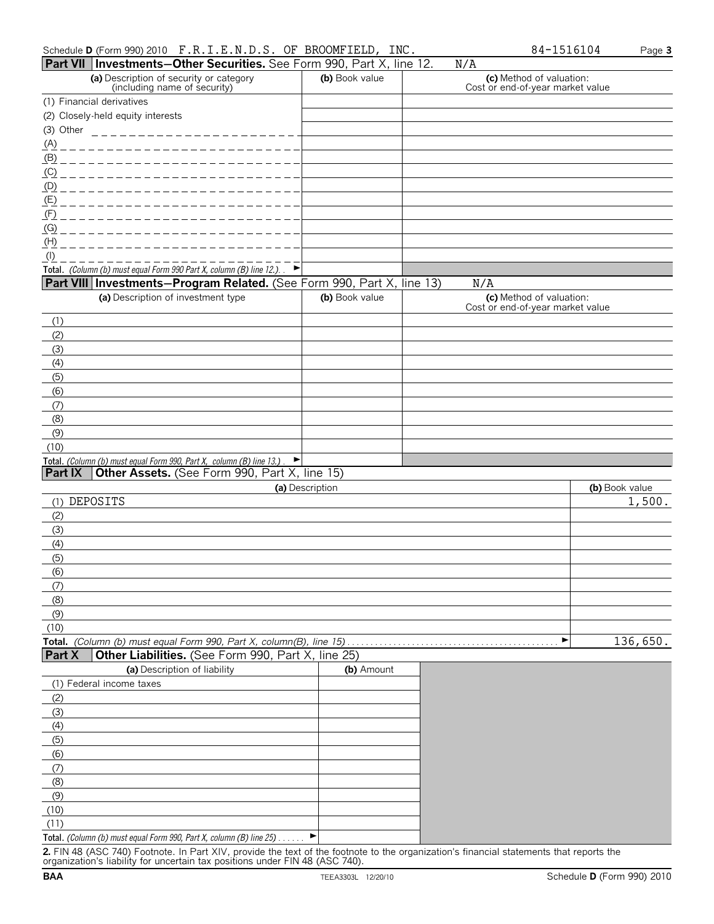|              | Part VII   Investments-Other Securities. See Form 990, Part X, line 12.                                                |                 | N/A                                                          |                |
|--------------|------------------------------------------------------------------------------------------------------------------------|-----------------|--------------------------------------------------------------|----------------|
|              | (a) Description of security or category<br>(including name of security)                                                | (b) Book value  | (c) Method of valuation:<br>Cost or end-of-year market value |                |
|              | (1) Financial derivatives                                                                                              |                 |                                                              |                |
|              | (2) Closely-held equity interests                                                                                      |                 |                                                              |                |
| (3) Other    | _________________________                                                                                              |                 |                                                              |                |
| <u>(A)</u>   | _________________________                                                                                              |                 |                                                              |                |
|              |                                                                                                                        |                 |                                                              |                |
|              |                                                                                                                        |                 |                                                              |                |
|              |                                                                                                                        |                 |                                                              |                |
|              | <u>(E) _ _ _ _ _ _ _ _ _ _ _ _ _ _ _ _</u>                                                                             |                 |                                                              |                |
|              | <u>(F) _ _ _ _ _ _ _ _ _ _ _ _ _ _ _ _</u>                                                                             |                 |                                                              |                |
| (G)          | _ _ _ _ _ _ _ _ _ _ _ _ _ _                                                                                            |                 |                                                              |                |
| (H)          |                                                                                                                        |                 |                                                              |                |
| $($ l $)$    | Total. (Column (b) must equal Form 990 Part X, column (B) line 12.). $\blacktriangleright$                             |                 |                                                              |                |
|              | Part VIII Investments-Program Related. (See Form 990, Part X, line 13)                                                 |                 | N/A                                                          |                |
|              | (a) Description of investment type                                                                                     | (b) Book value  | (c) Method of valuation:                                     |                |
|              |                                                                                                                        |                 | Cost or end-of-year market value                             |                |
| (1)          |                                                                                                                        |                 |                                                              |                |
| (2)          |                                                                                                                        |                 |                                                              |                |
| (3)          |                                                                                                                        |                 |                                                              |                |
| (4)          |                                                                                                                        |                 |                                                              |                |
| (5)          |                                                                                                                        |                 |                                                              |                |
| (6)          |                                                                                                                        |                 |                                                              |                |
| (7)          |                                                                                                                        |                 |                                                              |                |
| (8)          |                                                                                                                        |                 |                                                              |                |
| (9)          |                                                                                                                        |                 |                                                              |                |
| (10)         | $\blacktriangleright$                                                                                                  |                 |                                                              |                |
| Part IX      | Total. (Column (b) must equal Form 990, Part X, column (B) line 13.).<br>Other Assets. (See Form 990, Part X, line 15) |                 |                                                              |                |
|              |                                                                                                                        | (a) Description |                                                              | (b) Book value |
|              | (1) DEPOSITS                                                                                                           |                 |                                                              | 1,500.         |
| (2)          |                                                                                                                        |                 |                                                              |                |
| (3)          |                                                                                                                        |                 |                                                              |                |
| (4)          |                                                                                                                        |                 |                                                              |                |
| (5)          |                                                                                                                        |                 |                                                              |                |
| (6)          |                                                                                                                        |                 |                                                              |                |
| (7)          |                                                                                                                        |                 |                                                              |                |
| (8)          |                                                                                                                        |                 |                                                              |                |
| (9)          |                                                                                                                        |                 |                                                              |                |
| (10)         |                                                                                                                        |                 |                                                              |                |
|              | Total. (Column (b) must equal Form 990, Part X, column(B), line 15)                                                    |                 | ▶                                                            | 136,650.       |
| Part X       | Other Liabilities. (See Form 990, Part X, line 25)                                                                     |                 |                                                              |                |
|              | (a) Description of liability                                                                                           | (b) Amount      |                                                              |                |
|              |                                                                                                                        |                 |                                                              |                |
|              | (1) Federal income taxes                                                                                               |                 |                                                              |                |
| (2)          |                                                                                                                        |                 |                                                              |                |
| (3)          |                                                                                                                        |                 |                                                              |                |
| (4)          |                                                                                                                        |                 |                                                              |                |
| (5)          |                                                                                                                        |                 |                                                              |                |
| (6)          |                                                                                                                        |                 |                                                              |                |
| (7)          |                                                                                                                        |                 |                                                              |                |
| (8)          |                                                                                                                        |                 |                                                              |                |
| (9)          |                                                                                                                        |                 |                                                              |                |
| (10)<br>(11) |                                                                                                                        |                 |                                                              |                |

**2.** FIN 48 (ASC 740) Footnote. In Part XIV, provide the text of the footnote to the organization's financial statements that reports the organization's liability for uncertain tax positions under FIN 48 (ASC 740).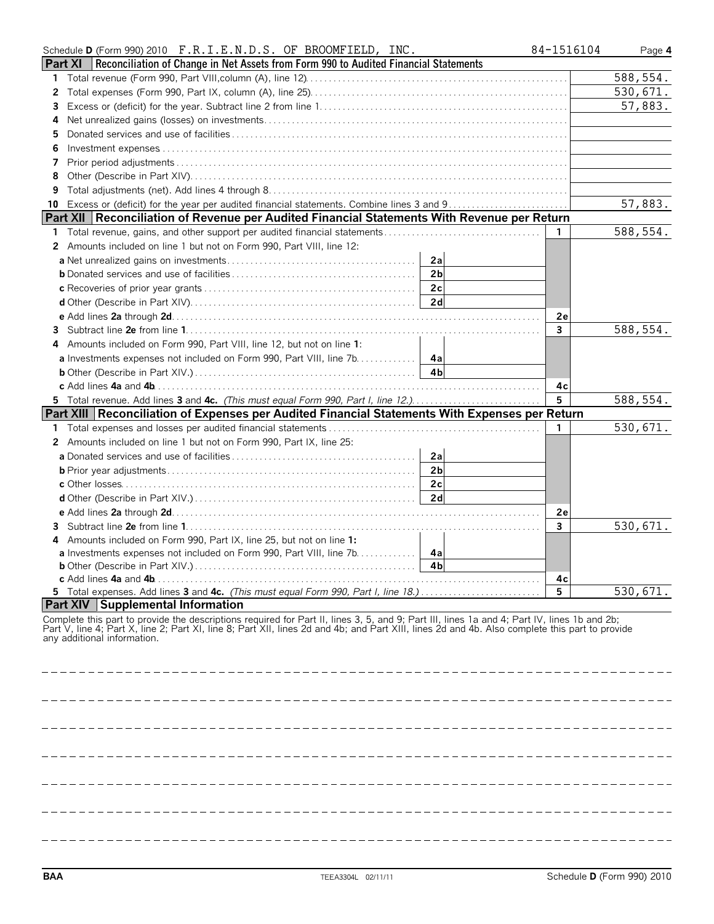| Schedule D (Form 990) 2010 F.R.I.E.N.D.S. OF BROOMFIELD, INC.                                                                                                                                                                                                                                                                | 84-1516104 | Page 4   |
|------------------------------------------------------------------------------------------------------------------------------------------------------------------------------------------------------------------------------------------------------------------------------------------------------------------------------|------------|----------|
| <b>Part XI</b>   Reconciliation of Change in Net Assets from Form 990 to Audited Financial Statements                                                                                                                                                                                                                        |            |          |
|                                                                                                                                                                                                                                                                                                                              |            | 588,554. |
| 2                                                                                                                                                                                                                                                                                                                            |            | 530,671. |
| 3                                                                                                                                                                                                                                                                                                                            |            | 57,883.  |
| 4                                                                                                                                                                                                                                                                                                                            |            |          |
| 5                                                                                                                                                                                                                                                                                                                            |            |          |
| 6                                                                                                                                                                                                                                                                                                                            |            |          |
| 7                                                                                                                                                                                                                                                                                                                            |            |          |
| 8                                                                                                                                                                                                                                                                                                                            |            |          |
|                                                                                                                                                                                                                                                                                                                              |            |          |
| 10                                                                                                                                                                                                                                                                                                                           |            | 57,883.  |
| Part XII   Reconciliation of Revenue per Audited Financial Statements With Revenue per Return                                                                                                                                                                                                                                |            |          |
| 1 Total revenue, gains, and other support per audited financial statements                                                                                                                                                                                                                                                   |            | 588,554. |
| Amounts included on line 1 but not on Form 990, Part VIII, line 12:<br>2                                                                                                                                                                                                                                                     |            |          |
| 2a                                                                                                                                                                                                                                                                                                                           |            |          |
| 2 <sub>b</sub>                                                                                                                                                                                                                                                                                                               |            |          |
| 2c                                                                                                                                                                                                                                                                                                                           |            |          |
| 2d                                                                                                                                                                                                                                                                                                                           |            |          |
|                                                                                                                                                                                                                                                                                                                              | 2e         |          |
| 3                                                                                                                                                                                                                                                                                                                            | 3          | 588,554. |
| Amounts included on Form 990, Part VIII, line 12, but not on line 1:<br>4                                                                                                                                                                                                                                                    |            |          |
| a Investments expenses not included on Form 990, Part VIII, line 7b. 4a                                                                                                                                                                                                                                                      |            |          |
| 4b                                                                                                                                                                                                                                                                                                                           |            |          |
|                                                                                                                                                                                                                                                                                                                              | 4c         |          |
| 5 Total revenue. Add lines 3 and 4c. (This must equal Form 990, Part I, line 12.)                                                                                                                                                                                                                                            | 5          | 588,554. |
| Part XIII   Reconciliation of Expenses per Audited Financial Statements With Expenses per Return                                                                                                                                                                                                                             |            |          |
|                                                                                                                                                                                                                                                                                                                              | 1.         | 530,671. |
| 2 Amounts included on line 1 but not on Form 990, Part IX, line 25:                                                                                                                                                                                                                                                          |            |          |
| 2a                                                                                                                                                                                                                                                                                                                           |            |          |
| 2 <sub>b</sub>                                                                                                                                                                                                                                                                                                               |            |          |
| 2c                                                                                                                                                                                                                                                                                                                           |            |          |
| 2d                                                                                                                                                                                                                                                                                                                           |            |          |
|                                                                                                                                                                                                                                                                                                                              | 2e         |          |
| 3                                                                                                                                                                                                                                                                                                                            | 3          | 530,671. |
| Amounts included on Form 990, Part IX, line 25, but not on line 1:                                                                                                                                                                                                                                                           |            |          |
| <b>a</b> Investments expenses not included on Form 990, Part VIII, line 7b<br>-4al                                                                                                                                                                                                                                           |            |          |
| 4 <sub>b</sub>                                                                                                                                                                                                                                                                                                               |            |          |
| <b>c</b> Add lines 4a and 4b.                                                                                                                                                                                                                                                                                                | 4с         |          |
|                                                                                                                                                                                                                                                                                                                              | 5          | 530,671. |
| <b>Part XIV Supplemental Information</b>                                                                                                                                                                                                                                                                                     |            |          |
| Complete this part to provide the descriptions required for Part II, lines 3, 5, and 9; Part III, lines 1a and 4; Part IV, lines 1b and 2b;<br>Part V, line 4; Part X, line 2; Part XI, line 8; Part XII, lines 2d and 4b; and Part XIII, lines 2d and 4b. Also complete this part to provide<br>any additional information. |            |          |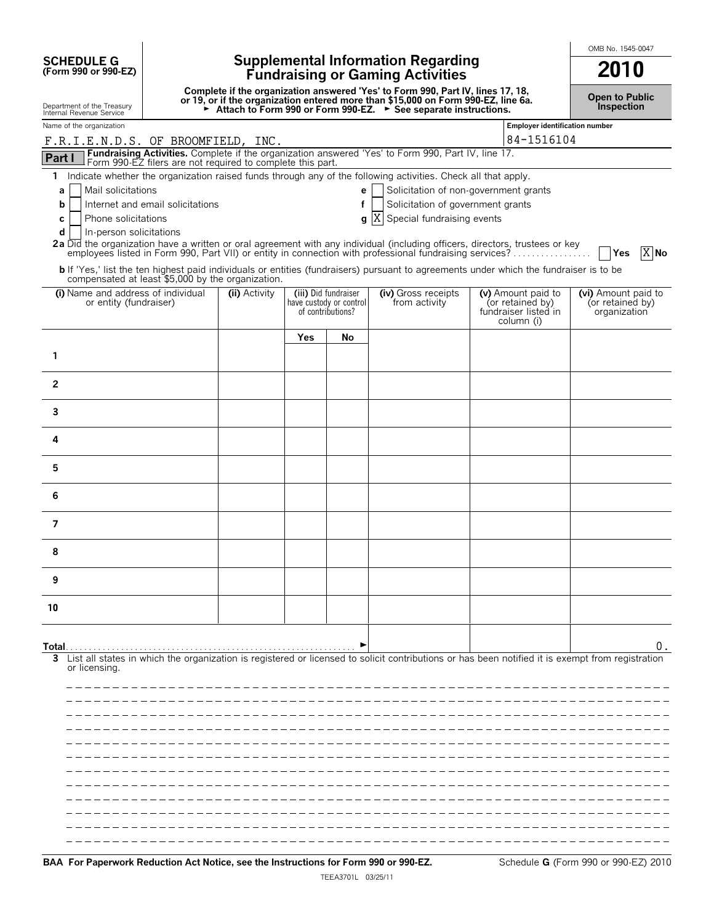**SCHEDULE G (Form 990 or 990-EZ)**

# **Supplemental Information Regarding Fundraising or Gaming Activities 2010**

**Complete if the organization answered 'Yes' to Form 990, Part IV, lines 17, 18,** or 19, or if the organization entered more than \$15,000 on Form 990-EZ, line 6a.<br>► Attach to Form 990 or Form 990-EZ. ► See separate instructions.

**Open to Public Inspection**

OMB No. 1545-0047

| Department of the Treasury<br>Internal Revenue Service                                                                                                                                                                                                                                                                                                                                                                                                                                     |               |     |                                                                      | Attach to Form 990 or Form 990-EZ. > See separate instructions.                                               |                                                                              | <b>Inspection</b>                                       |
|--------------------------------------------------------------------------------------------------------------------------------------------------------------------------------------------------------------------------------------------------------------------------------------------------------------------------------------------------------------------------------------------------------------------------------------------------------------------------------------------|---------------|-----|----------------------------------------------------------------------|---------------------------------------------------------------------------------------------------------------|------------------------------------------------------------------------------|---------------------------------------------------------|
| Name of the organization                                                                                                                                                                                                                                                                                                                                                                                                                                                                   |               |     |                                                                      |                                                                                                               | <b>Employer identification number</b>                                        |                                                         |
| F.R.I.E.N.D.S. OF BROOMFIELD, INC.                                                                                                                                                                                                                                                                                                                                                                                                                                                         |               |     |                                                                      |                                                                                                               | 84-1516104                                                                   |                                                         |
| Fundraising Activities. Complete if the organization answered 'Yes' to Form 990, Part IV, line 17.<br>Part I<br>Form 990-EZ filers are not required to complete this part.                                                                                                                                                                                                                                                                                                                 |               |     |                                                                      |                                                                                                               |                                                                              |                                                         |
| 1 Indicate whether the organization raised funds through any of the following activities. Check all that apply.<br>Mail solicitations<br>а<br>Internet and email solicitations<br>b<br>Phone solicitations<br>C<br>d<br>In-person solicitations<br>2a Did the organization have a written or oral agreement with any individual (including officers, directors, trustees or key<br>employees listed in Form 990, Part VII) or entity in connection with professional fundraising services? |               |     | e<br>f<br>q                                                          | Solicitation of non-government grants<br>Solicitation of government grants<br>X<br>Special fundraising events |                                                                              | $X$ No<br>l lYes                                        |
| <b>b</b> If 'Yes,' list the ten highest paid individuals or entities (fundraisers) pursuant to agreements under which the fundraiser is to be<br>compensated at least \$5,000 by the organization.                                                                                                                                                                                                                                                                                         |               |     |                                                                      |                                                                                                               |                                                                              |                                                         |
| (i) Name and address of individual<br>or entity (fundraiser)                                                                                                                                                                                                                                                                                                                                                                                                                               | (ii) Activity |     | (iii) Did fundraiser<br>have custody or control<br>of contributions? | (iv) Gross receipts<br>from activity                                                                          | (v) Amount paid to<br>(or retained by)<br>fundraiser listed in<br>column (i) | (vi) Amount paid to<br>(or retained by)<br>organization |
|                                                                                                                                                                                                                                                                                                                                                                                                                                                                                            |               | Yes | No                                                                   |                                                                                                               |                                                                              |                                                         |
| 1                                                                                                                                                                                                                                                                                                                                                                                                                                                                                          |               |     |                                                                      |                                                                                                               |                                                                              |                                                         |
| $\mathbf{2}$                                                                                                                                                                                                                                                                                                                                                                                                                                                                               |               |     |                                                                      |                                                                                                               |                                                                              |                                                         |
| 3                                                                                                                                                                                                                                                                                                                                                                                                                                                                                          |               |     |                                                                      |                                                                                                               |                                                                              |                                                         |
| 4                                                                                                                                                                                                                                                                                                                                                                                                                                                                                          |               |     |                                                                      |                                                                                                               |                                                                              |                                                         |
| 5                                                                                                                                                                                                                                                                                                                                                                                                                                                                                          |               |     |                                                                      |                                                                                                               |                                                                              |                                                         |
| 6                                                                                                                                                                                                                                                                                                                                                                                                                                                                                          |               |     |                                                                      |                                                                                                               |                                                                              |                                                         |
| $\overline{7}$                                                                                                                                                                                                                                                                                                                                                                                                                                                                             |               |     |                                                                      |                                                                                                               |                                                                              |                                                         |
| 8                                                                                                                                                                                                                                                                                                                                                                                                                                                                                          |               |     |                                                                      |                                                                                                               |                                                                              |                                                         |
| 9                                                                                                                                                                                                                                                                                                                                                                                                                                                                                          |               |     |                                                                      |                                                                                                               |                                                                              |                                                         |
| 10                                                                                                                                                                                                                                                                                                                                                                                                                                                                                         |               |     |                                                                      |                                                                                                               |                                                                              |                                                         |
| Total<br>List all states in which the organization is registered or licensed to solicit contributions or has been notified it is exempt from registration<br>3                                                                                                                                                                                                                                                                                                                             |               |     |                                                                      |                                                                                                               |                                                                              | 0.                                                      |
| or licensing.                                                                                                                                                                                                                                                                                                                                                                                                                                                                              |               |     |                                                                      |                                                                                                               |                                                                              |                                                         |
|                                                                                                                                                                                                                                                                                                                                                                                                                                                                                            |               |     |                                                                      |                                                                                                               |                                                                              |                                                         |
|                                                                                                                                                                                                                                                                                                                                                                                                                                                                                            |               |     |                                                                      |                                                                                                               |                                                                              |                                                         |
|                                                                                                                                                                                                                                                                                                                                                                                                                                                                                            |               |     |                                                                      |                                                                                                               |                                                                              |                                                         |
|                                                                                                                                                                                                                                                                                                                                                                                                                                                                                            |               |     |                                                                      |                                                                                                               |                                                                              |                                                         |
|                                                                                                                                                                                                                                                                                                                                                                                                                                                                                            |               |     |                                                                      |                                                                                                               |                                                                              |                                                         |
|                                                                                                                                                                                                                                                                                                                                                                                                                                                                                            |               |     |                                                                      |                                                                                                               |                                                                              |                                                         |
|                                                                                                                                                                                                                                                                                                                                                                                                                                                                                            |               |     |                                                                      |                                                                                                               |                                                                              |                                                         |
|                                                                                                                                                                                                                                                                                                                                                                                                                                                                                            |               |     |                                                                      |                                                                                                               |                                                                              |                                                         |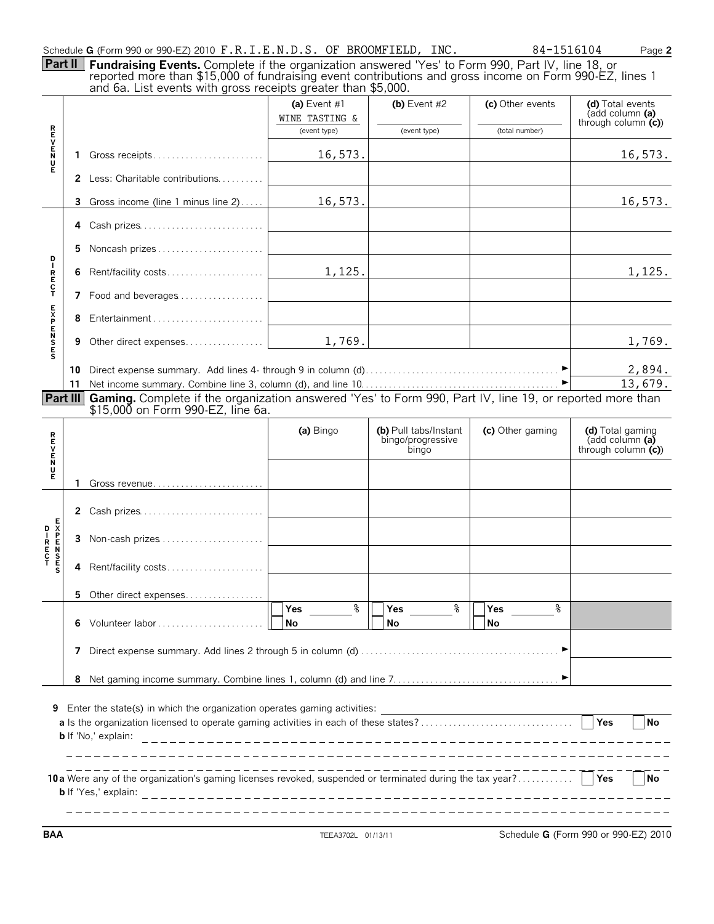| Schedule G (Form 990 or 990-EZ) 2010 F.R.I.E.N.D.S. OF BROOMFIELD, INC |  |  |  |  |  |  |
|------------------------------------------------------------------------|--|--|--|--|--|--|
|------------------------------------------------------------------------|--|--|--|--|--|--|

|                                  | Part II | Schedule G (Form 990 or 990-EZ) 2010 F.R.I.E.N.D.S. OF BROOMFIELD, INC.                                                                                                                                                                                                    |                                                |                                                     | 84-1516104                         | Page 2                                                          |
|----------------------------------|---------|----------------------------------------------------------------------------------------------------------------------------------------------------------------------------------------------------------------------------------------------------------------------------|------------------------------------------------|-----------------------------------------------------|------------------------------------|-----------------------------------------------------------------|
|                                  |         | Fundraising Events. Complete if the organization answered 'Yes' to Form 990, Part IV, line 18, or reported more than \$15,000 of fundraising event contributions and gross income on Form 990-EZ, lines 1<br>and 6a. List events with gross receipts greater than \$5,000. |                                                |                                                     |                                    |                                                                 |
|                                  |         |                                                                                                                                                                                                                                                                            | (a) Event #1<br>WINE TASTING &<br>(event type) | (b) Event $#2$<br>(event type)                      | (c) Other events<br>(total number) | (d) Total events<br>(add column (a)<br>through column $(c)$ )   |
| <b>R<br/>U<br/>N<br/>U</b>       | 1.      | Gross receipts                                                                                                                                                                                                                                                             | 16,573.                                        |                                                     |                                    | 16,573.                                                         |
| Е                                |         | 2 Less: Charitable contributions                                                                                                                                                                                                                                           |                                                |                                                     |                                    |                                                                 |
|                                  | 3       | Gross income (line 1 minus line 2)                                                                                                                                                                                                                                         | 16,573.                                        |                                                     |                                    | 16,573.                                                         |
|                                  | 4       | Cash prizes                                                                                                                                                                                                                                                                |                                                |                                                     |                                    |                                                                 |
|                                  | 5.      | Noncash prizes                                                                                                                                                                                                                                                             |                                                |                                                     |                                    |                                                                 |
| <b>DIRECT</b>                    | 6       |                                                                                                                                                                                                                                                                            | 1,125.                                         |                                                     |                                    | 1,125.                                                          |
|                                  |         | 7 Food and beverages                                                                                                                                                                                                                                                       |                                                |                                                     |                                    |                                                                 |
|                                  | 8       | Entertainment                                                                                                                                                                                                                                                              |                                                |                                                     |                                    |                                                                 |
| <b>SESPENSE</b>                  | 9       |                                                                                                                                                                                                                                                                            | 1,769.                                         |                                                     |                                    | 1,769.                                                          |
|                                  |         |                                                                                                                                                                                                                                                                            |                                                |                                                     |                                    | 2,894.<br>13,679.                                               |
|                                  |         | Part III Gaming. Complete if the organization answered 'Yes' to Form 990, Part IV, line 19, or reported more than<br>\$15,000 on Form 990-EZ, line 6a.                                                                                                                     |                                                |                                                     |                                    |                                                                 |
| <b>FICZECR</b>                   |         |                                                                                                                                                                                                                                                                            | (a) Bingo                                      | (b) Pull tabs/Instant<br>bingo/progressive<br>bingo | (c) Other gaming                   | (d) Total gaming<br>$\overline{a}$ (add column $\overline{a}$ ) |
|                                  |         |                                                                                                                                                                                                                                                                            |                                                |                                                     |                                    | through column $(c)$                                            |
|                                  |         |                                                                                                                                                                                                                                                                            |                                                |                                                     |                                    |                                                                 |
|                                  |         | 2 Cash prizes                                                                                                                                                                                                                                                              |                                                |                                                     |                                    |                                                                 |
|                                  | 3       | Non-cash prizes                                                                                                                                                                                                                                                            |                                                |                                                     |                                    |                                                                 |
| <b>EXPENSES</b><br><b>DIRECT</b> | 4       | Rent/facility costs                                                                                                                                                                                                                                                        |                                                |                                                     |                                    |                                                                 |
|                                  | 5.      | Other direct expenses                                                                                                                                                                                                                                                      |                                                |                                                     |                                    |                                                                 |
|                                  | 6       | Volunteer labor                                                                                                                                                                                                                                                            | နွ<br>Yes<br>No                                | ఄ<br>Yes<br>No                                      | နွ<br>Yes<br>No                    |                                                                 |
|                                  | 7       |                                                                                                                                                                                                                                                                            |                                                |                                                     |                                    |                                                                 |
|                                  | 8       |                                                                                                                                                                                                                                                                            |                                                |                                                     |                                    |                                                                 |

| 10 a<br>Mere any of the organization's gaming licenses revoked, suspended or terminated during the tax year? | Yes | l No |
|--------------------------------------------------------------------------------------------------------------|-----|------|
| <b>b</b> If 'Yes<br>explair                                                                                  |     |      |

**BAA** TEEA3702L 01/13/11 Schedule **G** (Form 990 or 990-EZ) 2010

J.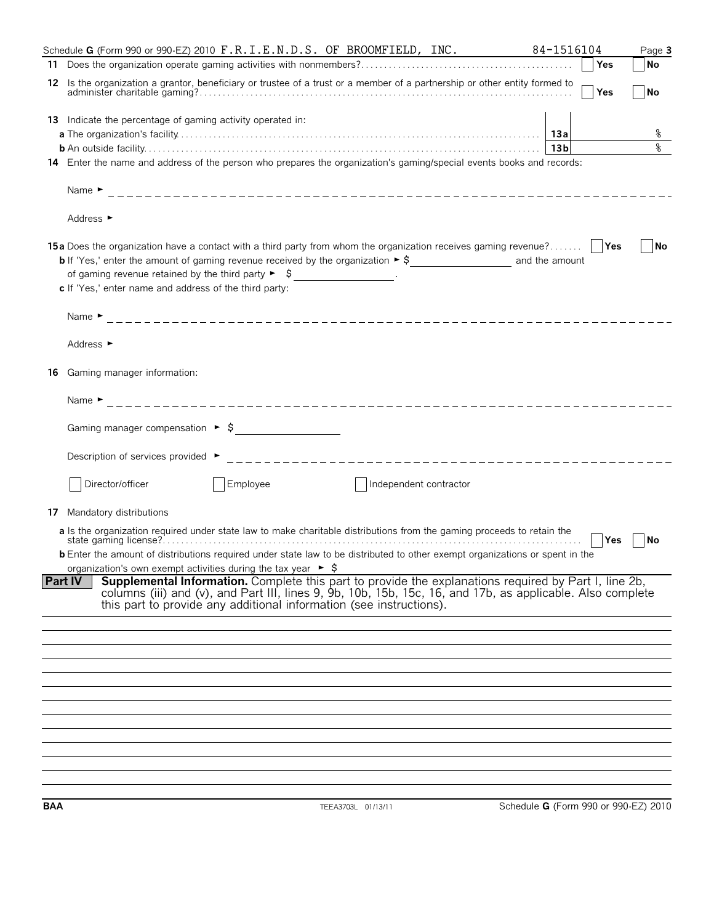|    | Schedule G (Form 990 or 990-EZ) 2010 F.R.I.E.N.D.S. OF BROOMFIELD, INC.                                                                                                                                                                                                                                                                       | 84-1516104      | Page 3    |
|----|-----------------------------------------------------------------------------------------------------------------------------------------------------------------------------------------------------------------------------------------------------------------------------------------------------------------------------------------------|-----------------|-----------|
|    |                                                                                                                                                                                                                                                                                                                                               | Yes             | No        |
|    | 12 Is the organization a grantor, beneficiary or trustee of a trust or a member of a partnership or other entity formed to                                                                                                                                                                                                                    | Yes             | <b>No</b> |
|    | <b>13</b> Indicate the percentage of gaming activity operated in:<br>14 Enter the name and address of the person who prepares the organization's gaming/special events books and records:                                                                                                                                                     | 13 <sub>b</sub> | ႜ<br>٩,   |
|    | Address ►<br>15a Does the organization have a contact with a third party from whom the organization receives gaming revenue?                                                                                                                                                                                                                  |                 | No        |
|    | of qaming revenue retained by the third party $\triangleright$ $\zeta$ ________________.<br>c If 'Yes,' enter name and address of the third party:                                                                                                                                                                                            |                 |           |
|    | Address $\blacktriangleright$                                                                                                                                                                                                                                                                                                                 |                 |           |
| 16 | Gaming manager information:                                                                                                                                                                                                                                                                                                                   |                 |           |
|    |                                                                                                                                                                                                                                                                                                                                               |                 |           |
|    |                                                                                                                                                                                                                                                                                                                                               |                 |           |
|    | Description of services provided ►                                                                                                                                                                                                                                                                                                            |                 |           |
|    | Director/officer<br>Employee<br>Independent contractor                                                                                                                                                                                                                                                                                        |                 |           |
| 17 | Mandatory distributions                                                                                                                                                                                                                                                                                                                       |                 |           |
|    | a Is the organization required under state law to make charitable distributions from the gaming proceeds to retain the<br><b>b</b> Enter the amount of distributions required under state law to be distributed to other exempt organizations or spent in the<br>organization's own exempt activities during the tax year $\triangleright$ \$ | ∣ ∣Yes          | No        |
|    | Supplemental Information. Complete this part to provide the explanations required by Part I, line 2b,<br><b>Part IV</b><br>columns (iii) and (v), and Part III, lines 9, 9b, 10b, 15b, 15c, 16, and 17b, as applicable. Also complete<br>this part to provide any additional information (see instructions).                                  |                 |           |
|    |                                                                                                                                                                                                                                                                                                                                               |                 |           |
|    |                                                                                                                                                                                                                                                                                                                                               |                 |           |
|    |                                                                                                                                                                                                                                                                                                                                               |                 |           |
|    |                                                                                                                                                                                                                                                                                                                                               |                 |           |
|    |                                                                                                                                                                                                                                                                                                                                               |                 |           |
|    |                                                                                                                                                                                                                                                                                                                                               |                 |           |
|    |                                                                                                                                                                                                                                                                                                                                               |                 |           |
|    |                                                                                                                                                                                                                                                                                                                                               |                 |           |
|    |                                                                                                                                                                                                                                                                                                                                               |                 |           |
|    |                                                                                                                                                                                                                                                                                                                                               |                 |           |
|    |                                                                                                                                                                                                                                                                                                                                               |                 |           |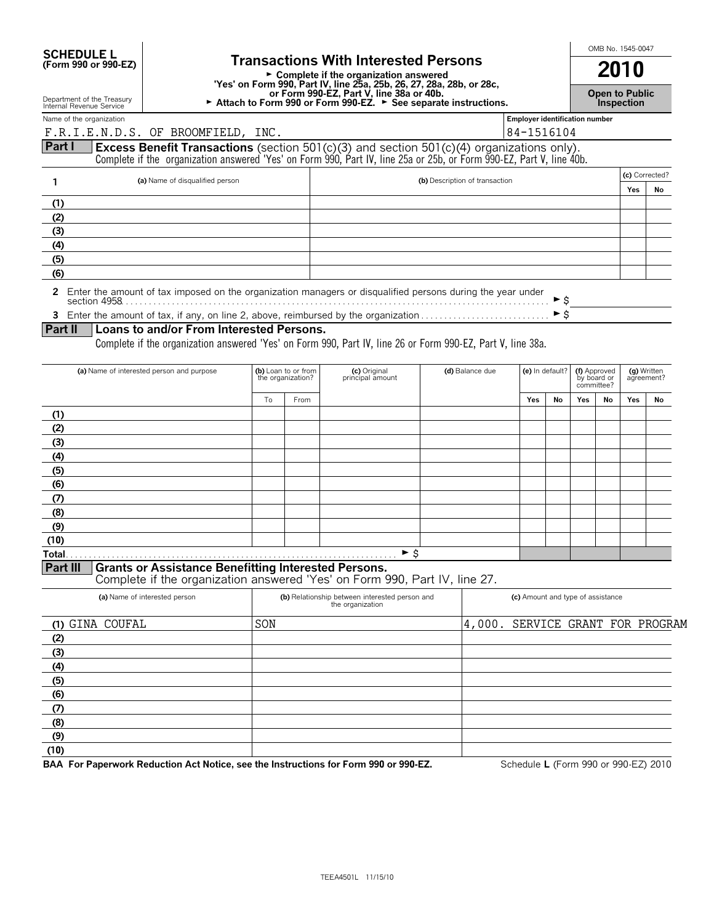| <b>SCHEDULE L</b>                          |  |
|--------------------------------------------|--|
| $T_{\rm C}$ $\sim$ 000 $\sim$ 000 $\rm{F}$ |  |

SCHEDULE L<br>
Form 990 or 990-EZ) **Supplement Complete if the organization answered and all model in the <b>2010** G **Complete if the organization answered 'Yes' on Form 990, Part IV, line 25a, 25b, 26, 27, 28a, 28b, or 28c, or Form 990-EZ, Part V, line 38a or 40b.** G **Attach to Form 990 or Form 990-EZ.** G **See separate instructions.**

**Open to Public Inspection**

Department of the Treasury Internal Revenue Service

#### F.R.I.E.N.D.S. OF BROOMFIELD, INC.  $|84-1516104$

Name of the organization **number Employer identification number Employer identification number** 

## **Part I Excess Benefit Transactions** (section 501(c)(3) and section 501(c)(4) organizations only).

Complete if the organization answered 'Yes' on Form 990, Part IV, line 25a or 25b, or Form 990-EZ, Part V, line 40b.

|     | (a) Name of disqualified person | (b) Description of transaction |     | (c) Corrected? |
|-----|---------------------------------|--------------------------------|-----|----------------|
|     |                                 |                                | Yes | No             |
|     |                                 |                                |     |                |
| ゚゚  |                                 |                                |     |                |
| (3) |                                 |                                |     |                |
| (4) |                                 |                                |     |                |
| (5) |                                 |                                |     |                |
| (6) |                                 |                                |     |                |

**2** Enter the amount of tax imposed on the organization managers or disqualified persons during the year under section 4958. . . . . . . . . . . . . . . . . . . . . . . . . . . . . . . . . . . . . . . . . . . . . . . . . . . . . . . . . . . . . . . . . . . . . . . . . . . . . . . . . . . . . . . . . . . . . G\$

**3** Enter the amount of tax, if any, on line 2, above, reimbursed by the organization . . . . . . . . . . . . . . . . . . . . . . . . . . . . G\$

#### **Part II Loans to and/or From Interested Persons.**

Complete if the organization answered 'Yes' on Form 990, Part IV, line 26 or Form 990-EZ, Part V, line 38a.

| (a) Name of interested person and purpose                                                                                                                                                                                                                                                                                                                                                       |    | (b) Loan to or from<br>the organization? | (c) Original<br>principal amount | (d) Balance due | (e) In default? |    | (f) Approved<br>by board or<br>committee? |    | (g) Written<br>agreement? |    |
|-------------------------------------------------------------------------------------------------------------------------------------------------------------------------------------------------------------------------------------------------------------------------------------------------------------------------------------------------------------------------------------------------|----|------------------------------------------|----------------------------------|-----------------|-----------------|----|-------------------------------------------|----|---------------------------|----|
|                                                                                                                                                                                                                                                                                                                                                                                                 | To | From                                     |                                  |                 | Yes             | No | Yes                                       | No | Yes                       | No |
| (1)                                                                                                                                                                                                                                                                                                                                                                                             |    |                                          |                                  |                 |                 |    |                                           |    |                           |    |
| (2)                                                                                                                                                                                                                                                                                                                                                                                             |    |                                          |                                  |                 |                 |    |                                           |    |                           |    |
| (3)                                                                                                                                                                                                                                                                                                                                                                                             |    |                                          |                                  |                 |                 |    |                                           |    |                           |    |
| (4)                                                                                                                                                                                                                                                                                                                                                                                             |    |                                          |                                  |                 |                 |    |                                           |    |                           |    |
| (5)                                                                                                                                                                                                                                                                                                                                                                                             |    |                                          |                                  |                 |                 |    |                                           |    |                           |    |
| (6)                                                                                                                                                                                                                                                                                                                                                                                             |    |                                          |                                  |                 |                 |    |                                           |    |                           |    |
| (7)                                                                                                                                                                                                                                                                                                                                                                                             |    |                                          |                                  |                 |                 |    |                                           |    |                           |    |
| (8)                                                                                                                                                                                                                                                                                                                                                                                             |    |                                          |                                  |                 |                 |    |                                           |    |                           |    |
| (9)                                                                                                                                                                                                                                                                                                                                                                                             |    |                                          |                                  |                 |                 |    |                                           |    |                           |    |
| (10)                                                                                                                                                                                                                                                                                                                                                                                            |    |                                          |                                  |                 |                 |    |                                           |    |                           |    |
| Total.<br>$R_{\text{min}}$ $R_{\text{min}}$ $R_{\text{min}}$ $R_{\text{min}}$ $R_{\text{min}}$ $R_{\text{min}}$ $R_{\text{min}}$ $R_{\text{min}}$ $R_{\text{min}}$ $R_{\text{min}}$ $R_{\text{min}}$ $R_{\text{min}}$ $R_{\text{min}}$ $R_{\text{min}}$ $R_{\text{min}}$ $R_{\text{min}}$ $R_{\text{min}}$ $R_{\text{min}}$ $R_{\text{min}}$ $R_{\text{min}}$ $R_{\text{min}}$ $R_{\text{min}}$ |    |                                          | ► \$                             |                 |                 |    |                                           |    |                           |    |

#### **Part III** Grants or Assistance Benefitting Interested Persons.

Complete if the organization answered 'Yes' on Form 990, Part IV, line 27.

| (a) Name of interested person | (b) Relationship between interested person and<br>the organization | (c) Amount and type of assistance |  |  |
|-------------------------------|--------------------------------------------------------------------|-----------------------------------|--|--|
| (1) GINA COUFAL               | SON                                                                | 4,000. SERVICE GRANT FOR PROGRAM  |  |  |
| (2)                           |                                                                    |                                   |  |  |
| (3)                           |                                                                    |                                   |  |  |
| (4)                           |                                                                    |                                   |  |  |
| (5)                           |                                                                    |                                   |  |  |
| (6)                           |                                                                    |                                   |  |  |
| (7)                           |                                                                    |                                   |  |  |
| (8)                           |                                                                    |                                   |  |  |
| (9)                           |                                                                    |                                   |  |  |
| (10)                          |                                                                    |                                   |  |  |

**BAA For Paperwork Reduction Act Notice, see the Instructions for Form 990 or 990-EZ.** Schedule **L** (Form 990 or 990-EZ) 2010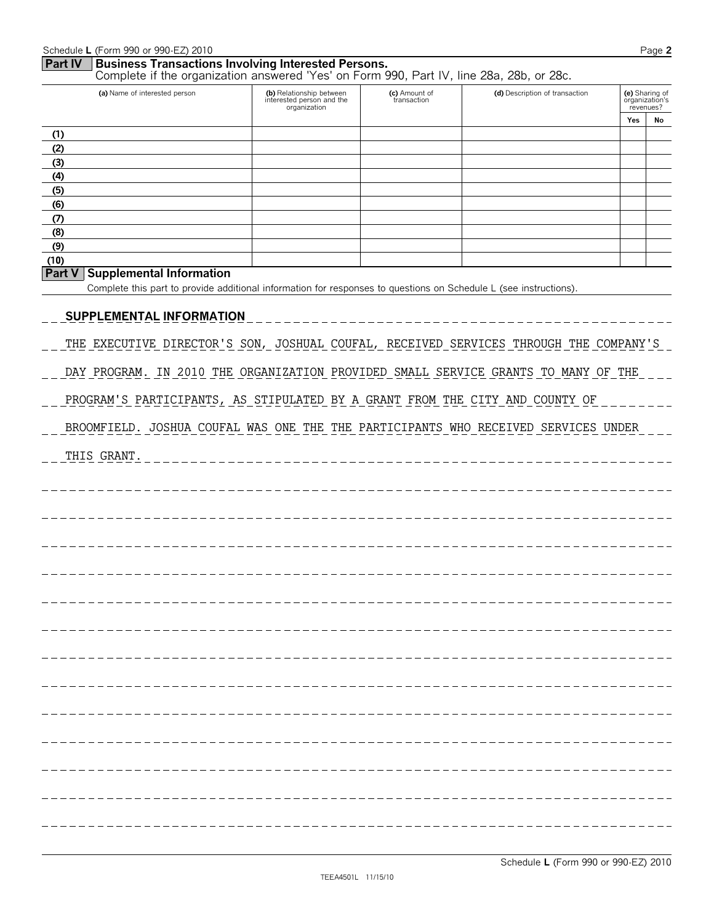|             | Schedule L (Form 990 or 990-EZ) 2010                                                                                                                   |                                                                       |                              |                                |     | Page 2                                        |
|-------------|--------------------------------------------------------------------------------------------------------------------------------------------------------|-----------------------------------------------------------------------|------------------------------|--------------------------------|-----|-----------------------------------------------|
| Part IV     | <b>Business Transactions Involving Interested Persons.</b><br>Complete if the organization answered 'Yes' on Form 990, Part IV, line 28a, 28b, or 28c. |                                                                       |                              |                                |     |                                               |
|             | (a) Name of interested person                                                                                                                          | (b) Relationship between<br>interested person and the<br>organization | (c) Amount of<br>transaction | (d) Description of transaction |     | (e) Sharing of<br>organization's<br>revenues? |
| (1)         |                                                                                                                                                        |                                                                       |                              |                                | Yes | No                                            |
| (2)         |                                                                                                                                                        |                                                                       |                              |                                |     |                                               |
| (3)         |                                                                                                                                                        |                                                                       |                              |                                |     |                                               |
| (4)         |                                                                                                                                                        |                                                                       |                              |                                |     |                                               |
| (5)<br>(6)  |                                                                                                                                                        |                                                                       |                              |                                |     |                                               |
| (7)         |                                                                                                                                                        |                                                                       |                              |                                |     |                                               |
| (8)         |                                                                                                                                                        |                                                                       |                              |                                |     |                                               |
| (9)<br>(10) |                                                                                                                                                        |                                                                       |                              |                                |     |                                               |
| Part V      | <b>Supplemental Information</b>                                                                                                                        |                                                                       |                              |                                |     |                                               |
|             | Complete this part to provide additional information for responses to questions on Schedule L (see instructions).                                      |                                                                       |                              |                                |     |                                               |
|             |                                                                                                                                                        |                                                                       |                              |                                |     |                                               |
|             | <b>SUPPLEMENTAL INFORMATION</b>                                                                                                                        |                                                                       |                              |                                |     |                                               |
|             | THE EXECUTIVE DIRECTOR'S SON, JOSHUAL COUFAL, RECEIVED SERVICES THROUGH THE COMPANY'S                                                                  |                                                                       |                              |                                |     |                                               |
|             |                                                                                                                                                        |                                                                       |                              |                                |     |                                               |
|             | DAY PROGRAM. IN 2010 THE ORGANIZATION PROVIDED SMALL SERVICE GRANTS TO MANY OF THE                                                                     |                                                                       |                              |                                |     |                                               |
|             | PROGRAM'S PARTICIPANTS, AS STIPULATED BY A GRANT FROM THE CITY AND COUNTY OF                                                                           |                                                                       |                              |                                |     |                                               |
|             | BROOMFIELD. JOSHUA COUFAL WAS ONE THE THE PARTICIPANTS WHO RECEIVED SERVICES UNDER                                                                     |                                                                       |                              |                                |     |                                               |
|             | THIS GRANT.                                                                                                                                            |                                                                       |                              |                                |     |                                               |
|             |                                                                                                                                                        |                                                                       |                              |                                |     |                                               |
|             |                                                                                                                                                        |                                                                       |                              |                                |     |                                               |
|             |                                                                                                                                                        |                                                                       |                              |                                |     |                                               |
|             |                                                                                                                                                        |                                                                       |                              |                                |     |                                               |
|             |                                                                                                                                                        |                                                                       |                              |                                |     |                                               |
|             |                                                                                                                                                        |                                                                       |                              |                                |     |                                               |
|             |                                                                                                                                                        |                                                                       |                              |                                |     |                                               |
|             |                                                                                                                                                        |                                                                       |                              |                                |     |                                               |
|             |                                                                                                                                                        |                                                                       |                              |                                |     |                                               |
|             |                                                                                                                                                        |                                                                       |                              |                                |     |                                               |
|             |                                                                                                                                                        |                                                                       |                              |                                |     |                                               |
|             |                                                                                                                                                        |                                                                       |                              |                                |     |                                               |
|             |                                                                                                                                                        |                                                                       |                              |                                |     |                                               |
|             |                                                                                                                                                        |                                                                       |                              |                                |     |                                               |
|             |                                                                                                                                                        |                                                                       |                              |                                |     |                                               |
|             |                                                                                                                                                        |                                                                       |                              |                                |     |                                               |
|             |                                                                                                                                                        |                                                                       |                              |                                |     |                                               |
|             |                                                                                                                                                        |                                                                       |                              |                                |     |                                               |
|             |                                                                                                                                                        |                                                                       |                              |                                |     |                                               |
|             |                                                                                                                                                        |                                                                       |                              |                                |     |                                               |
|             |                                                                                                                                                        |                                                                       |                              |                                |     |                                               |
|             |                                                                                                                                                        |                                                                       |                              |                                |     |                                               |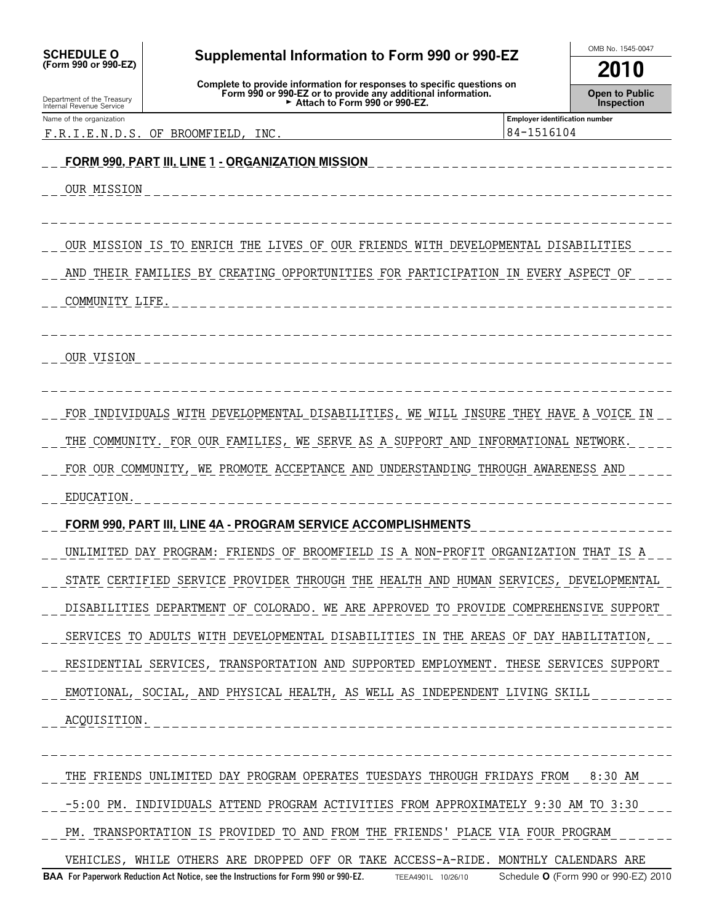| <b>SCHEDULE O</b><br>(Form 990 or 990-EZ)              | Supplemental Information to Form 990 or 990-EZ<br>Complete to provide information for responses to specific questions on<br>Form 990 or 990-EZ or to provide any additional information.<br>Attach to Form 990 or 990-EZ. |                                                     | OMB No. 1545-0047<br>2010           |  |  |
|--------------------------------------------------------|---------------------------------------------------------------------------------------------------------------------------------------------------------------------------------------------------------------------------|-----------------------------------------------------|-------------------------------------|--|--|
| Department of the Treasury<br>Internal Revenue Service |                                                                                                                                                                                                                           |                                                     | <b>Open to Public</b><br>Inspection |  |  |
| Name of the organization<br>F.R.I.E.N.D.S.             | ΟF<br>BROOMFIELD.<br>INC                                                                                                                                                                                                  | <b>Employer identification number</b><br>84-1516104 |                                     |  |  |
|                                                        | <u> FORM 990, PART III. LINE 1 - ORGANIZATION MISSION</u>                                                                                                                                                                 |                                                     |                                     |  |  |
| OUR MISSION                                            |                                                                                                                                                                                                                           |                                                     |                                     |  |  |
|                                                        |                                                                                                                                                                                                                           |                                                     |                                     |  |  |
|                                                        | OUR MISSION IS TO ENRICH THE LIVES OF OUR FRIENDS WITH DEVELOPMENTAL DISABILITIES                                                                                                                                         |                                                     |                                     |  |  |
|                                                        | AND THEIR FAMILIES BY CREATING OPPORTUNITIES FOR PARTICIPATION IN EVERY ASPECT OF                                                                                                                                         |                                                     |                                     |  |  |
| COMMUNITY LIFE.                                        |                                                                                                                                                                                                                           |                                                     |                                     |  |  |
|                                                        |                                                                                                                                                                                                                           |                                                     |                                     |  |  |
| OUR VISION                                             |                                                                                                                                                                                                                           |                                                     |                                     |  |  |
|                                                        |                                                                                                                                                                                                                           |                                                     |                                     |  |  |
|                                                        | FOR INDIVIDUALS WITH DEVELOPMENTAL DISABILITIES, WE WILL INSURE THEY HAVE A VOICE IN                                                                                                                                      |                                                     |                                     |  |  |
|                                                        | THE COMMUNITY. FOR OUR FAMILIES, WE SERVE AS A SUPPORT AND INFORMATIONAL NETWORK.                                                                                                                                         |                                                     |                                     |  |  |
|                                                        | FOR OUR COMMUNITY, WE PROMOTE ACCEPTANCE AND UNDERSTANDING THROUGH AWARENESS AND                                                                                                                                          |                                                     |                                     |  |  |
| EDUCATION.                                             |                                                                                                                                                                                                                           |                                                     |                                     |  |  |
|                                                        | FORM 990, PART III, LINE 4A - PROGRAM SERVICE ACCOMPLISHMENTS                                                                                                                                                             |                                                     |                                     |  |  |
|                                                        | UNLIMITED DAY PROGRAM: FRIENDS OF BROOMFIELD IS A NON-PROFIT ORGANIZATION THAT IS A                                                                                                                                       |                                                     |                                     |  |  |
|                                                        | STATE CERTIFIED SERVICE PROVIDER THROUGH THE HEALTH AND HUMAN SERVICES, DEVELOPMENTAL                                                                                                                                     |                                                     |                                     |  |  |
|                                                        | DISABILITIES DEPARTMENT OF COLORADO. WE ARE APPROVED TO PROVIDE COMPREHENSIVE SUPPORT                                                                                                                                     |                                                     |                                     |  |  |
|                                                        | SERVICES TO ADULTS WITH DEVELOPMENTAL DISABILITIES IN THE AREAS OF DAY HABILITATION,                                                                                                                                      |                                                     |                                     |  |  |
|                                                        | RESIDENTIAL SERVICES, TRANSPORTATION AND SUPPORTED EMPLOYMENT. THESE SERVICES SUPPORT                                                                                                                                     |                                                     |                                     |  |  |
|                                                        | EMOTIONAL, SOCIAL, AND PHYSICAL HEALTH, AS WELL AS INDEPENDENT LIVING SKILL                                                                                                                                               |                                                     |                                     |  |  |
| ACQUISITION.                                           |                                                                                                                                                                                                                           |                                                     |                                     |  |  |
|                                                        |                                                                                                                                                                                                                           |                                                     |                                     |  |  |
|                                                        | THE FRIENDS UNLIMITED DAY PROGRAM OPERATES TUESDAYS THROUGH FRIDAYS FROM 8:30 AM                                                                                                                                          |                                                     |                                     |  |  |
|                                                        | -5:00 PM. INDIVIDUALS ATTEND PROGRAM ACTIVITIES FROM APPROXIMATELY 9:30 AM TO 3:30                                                                                                                                        |                                                     |                                     |  |  |
|                                                        | PM. TRANSPORTATION IS PROVIDED TO AND FROM THE FRIENDS' PLACE VIA FOUR PROGRAM                                                                                                                                            |                                                     |                                     |  |  |
|                                                        | VEHICLES, WHILE OTHERS ARE DROPPED OFF OR TAKE ACCESS-A-RIDE. MONTHLY CALENDARS ARE                                                                                                                                       |                                                     |                                     |  |  |

**BAA For Paperwork Reduction Act Notice, see the Instructions for Form 990 or 990-EZ.** TEEA4901L 10/26/10 Schedule **O** (Form 990 or 990-EZ) 2010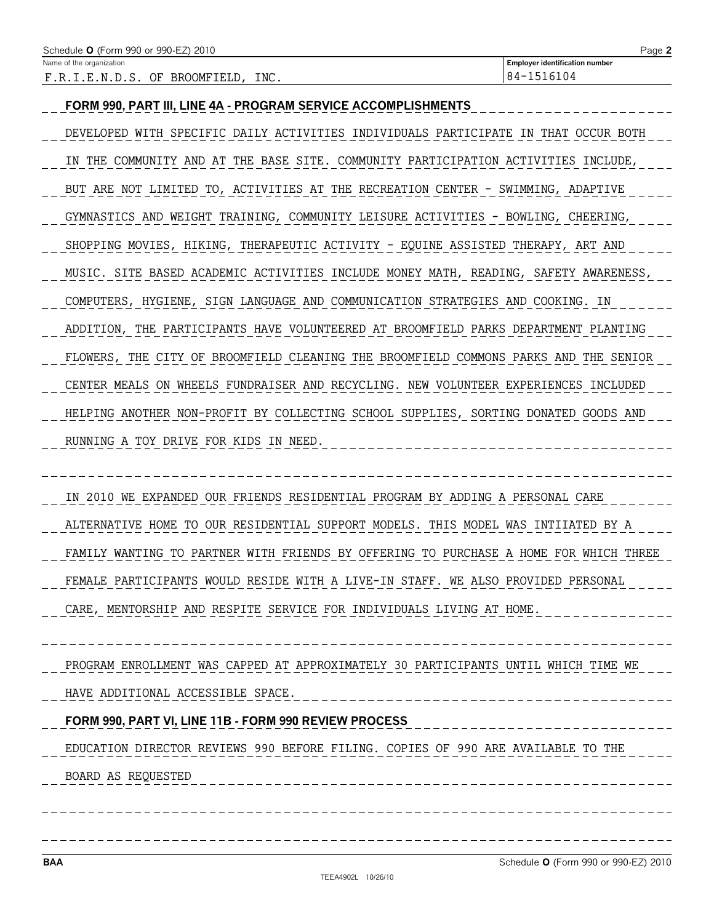| Schedule <b>O</b> (Form 990 or 990-EZ) 2010 | Page 2                                |
|---------------------------------------------|---------------------------------------|
| Name of the organization                    | <b>Employer identification number</b> |
| INC.<br>OF BROOMFIELD.<br>F.R.I.E.N.D.S.    | 184-1516104                           |

#### **FORM 990, PART III, LINE 4A - PROGRAM SERVICE ACCOMPLISHMENTS**

DEVELOPED WITH SPECIFIC DAILY ACTIVITIES INDIVIDUALS PARTICIPATE IN THAT OCCUR BOTH IN THE COMMUNITY AND AT THE BASE SITE. COMMUNITY PARTICIPATION ACTIVITIES INCLUDE, BUT ARE NOT LIMITED TO, ACTIVITIES AT THE RECREATION CENTER - SWIMMING, ADAPTIVE GYMNASTICS AND WEIGHT TRAINING, COMMUNITY LEISURE ACTIVITIES - BOWLING, CHEERING, SHOPPING MOVIES, HIKING, THERAPEUTIC ACTIVITY - EQUINE ASSISTED THERAPY, ART AND MUSIC. SITE BASED ACADEMIC ACTIVITIES INCLUDE MONEY MATH, READING, SAFETY AWARENESS, COMPUTERS, HYGIENE, SIGN LANGUAGE AND COMMUNICATION STRATEGIES AND COOKING. IN ADDITION, THE PARTICIPANTS HAVE VOLUNTEERED AT BROOMFIELD PARKS DEPARTMENT PLANTING FLOWERS, THE CITY OF BROOMFIELD CLEANING THE BROOMFIELD COMMONS PARKS AND THE SENIOR CENTER MEALS ON WHEELS FUNDRAISER AND RECYCLING. NEW VOLUNTEER EXPERIENCES INCLUDED HELPING ANOTHER NON-PROFIT BY COLLECTING SCHOOL SUPPLIES, SORTING DONATED GOODS AND RUNNING A TOY DRIVE FOR KIDS IN NEED.

IN 2010 WE EXPANDED OUR FRIENDS RESIDENTIAL PROGRAM BY ADDING A PERSONAL CARE ALTERNATIVE HOME TO OUR RESIDENTIAL SUPPORT MODELS. THIS MODEL WAS INTIIATED BY A FAMILY WANTING TO PARTNER WITH FRIENDS BY OFFERING TO PURCHASE A HOME FOR WHICH THREE FEMALE PARTICIPANTS WOULD RESIDE WITH A LIVE-IN STAFF. WE ALSO PROVIDED PERSONAL

CARE, MENTORSHIP AND RESPITE SERVICE FOR INDIVIDUALS LIVING AT HOME.

PROGRAM ENROLLMENT WAS CAPPED AT APPROXIMATELY 30 PARTICIPANTS UNTIL WHICH TIME WE

## HAVE ADDITIONAL ACCESSIBLE SPACE.

### **FORM 990, PART VI, LINE 11B - FORM 990 REVIEW PROCESS**

EDUCATION DIRECTOR REVIEWS 990 BEFORE FILING. COPIES OF 990 ARE AVAILABLE TO THE BOARD AS REQUESTED